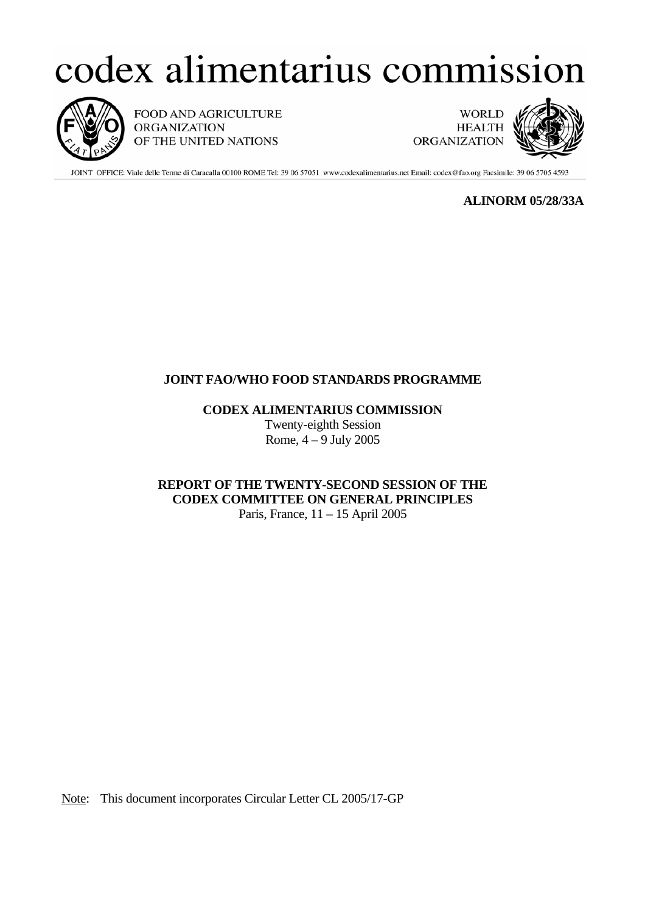# codex alimentarius commission



FOOD AND AGRICULTURE **ORGANIZATION** OF THE UNITED NATIONS

**WORLD HEALTH ORGANIZATION** 



JOINT OFFICE: Viale delle Terme di Caracalla 00100 ROME Tel: 39 06 57051 www.codexalimentarius.net Email: codex@fao.org Facsimile: 39 06 5705 4593

 **ALINORM 05/28/33A** 

# **JOINT FAO/WHO FOOD STANDARDS PROGRAMME**

 **CODEX ALIMENTARIUS COMMISSION**

 Twenty-eighth Session Rome, 4 – 9 July 2005

 **REPORT OF THE TWENTY-SECOND SESSION OF THE CODEX COMMITTEE ON GENERAL PRINCIPLES**  Paris, France, 11 – 15 April 2005

Note: This document incorporates Circular Letter CL 2005/17-GP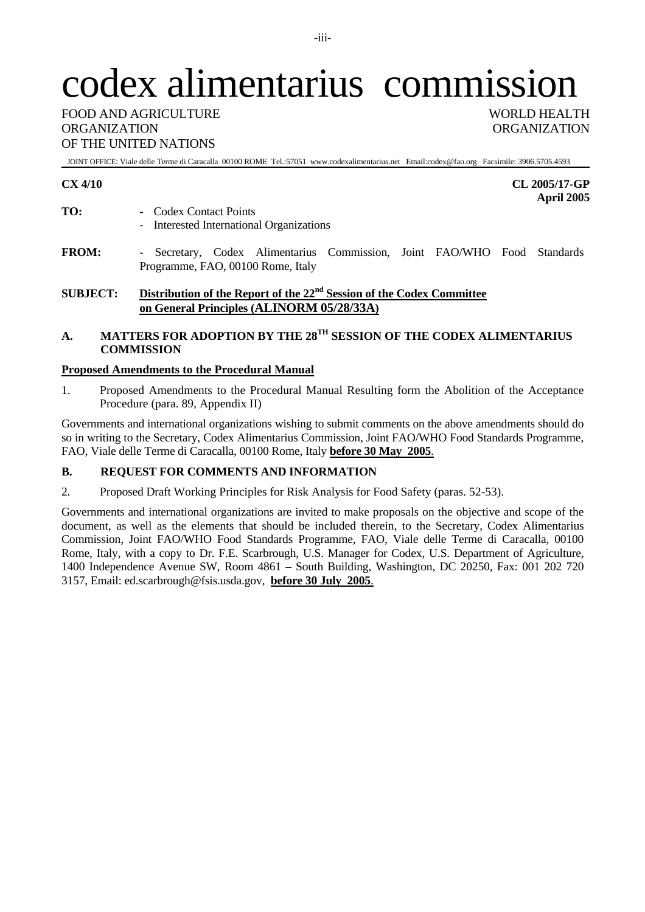# codex alimentarius commission

FOOD AND AGRICULTURE WORLD HEALTH ORGANIZATION ORGANIZATION OF THE UNITED NATIONS

JOINT OFFICE: Viale delle Terme di Caracalla 00100 ROME Tel.:57051 www.codexalimentarius.net Email:codex@fao.org Facsimile: 3906.5705.4593

# **CX 4/10 CL 2005/17-GP**

- **April 2005 TO:** - Codex Contact Points - Interested International Organizations
- **FROM:** Secretary, Codex Alimentarius Commission, Joint FAO/WHO Food Standards Programme, FAO, 00100 Rome, Italy

# **SUBJECT: Distribution of the Report of the 22nd Session of the Codex Committee on General Principles (ALINORM 05/28/33A)**

# **A. MATTERS FOR ADOPTION BY THE 28TH SESSION OF THE CODEX ALIMENTARIUS COMMISSION**

# **Proposed Amendments to the Procedural Manual**

1. Proposed Amendments to the Procedural Manual Resulting form the Abolition of the Acceptance Procedure (para. 89, Appendix II)

Governments and international organizations wishing to submit comments on the above amendments should do so in writing to the Secretary, Codex Alimentarius Commission, Joint FAO/WHO Food Standards Programme, FAO, Viale delle Terme di Caracalla, 00100 Rome, Italy **before 30 May 2005**.

# **B. REQUEST FOR COMMENTS AND INFORMATION**

2. Proposed Draft Working Principles for Risk Analysis for Food Safety (paras. 52-53).

Governments and international organizations are invited to make proposals on the objective and scope of the document, as well as the elements that should be included therein, to the Secretary, Codex Alimentarius Commission, Joint FAO/WHO Food Standards Programme, FAO, Viale delle Terme di Caracalla, 00100 Rome, Italy, with a copy to Dr. F.E. Scarbrough, U.S. Manager for Codex, U.S. Department of Agriculture, 1400 Independence Avenue SW, Room 4861 – South Building, Washington, DC 20250, Fax: 001 202 720 3157, Email: ed.scarbrough@fsis.usda.gov, **before 30 July 2005**.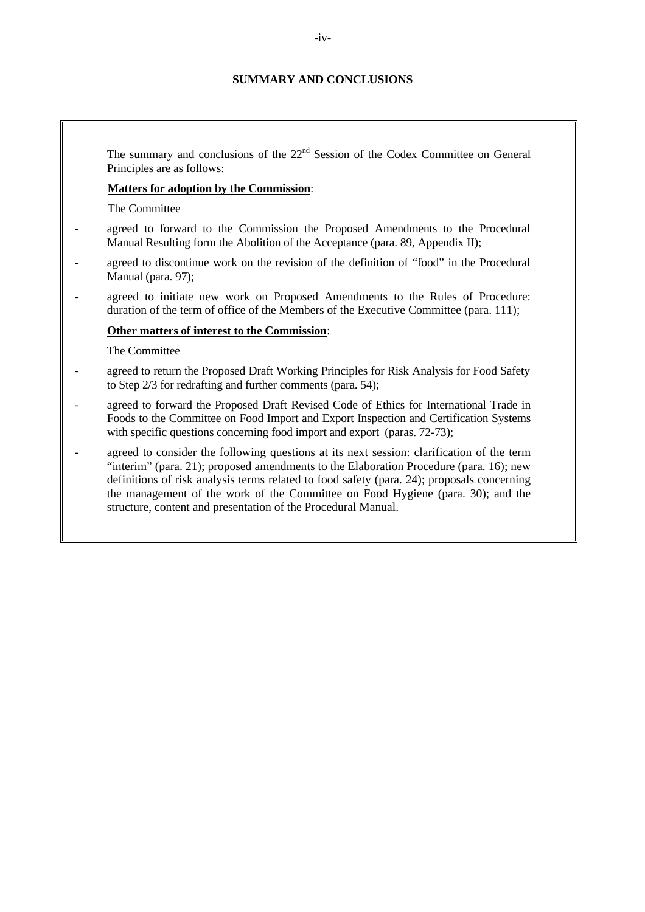# **SUMMARY AND CONCLUSIONS**

The summary and conclusions of the  $22<sup>nd</sup>$  Session of the Codex Committee on General Principles are as follows:

# **Matters for adoption by the Commission**:

The Committee

- agreed to forward to the Commission the Proposed Amendments to the Procedural Manual Resulting form the Abolition of the Acceptance (para. 89, Appendix II);
- agreed to discontinue work on the revision of the definition of "food" in the Procedural Manual (para. 97);
- agreed to initiate new work on Proposed Amendments to the Rules of Procedure: duration of the term of office of the Members of the Executive Committee (para. 111);

# **Other matters of interest to the Commission**:

The Committee

- agreed to return the Proposed Draft Working Principles for Risk Analysis for Food Safety to Step 2/3 for redrafting and further comments (para. 54);
- agreed to forward the Proposed Draft Revised Code of Ethics for International Trade in Foods to the Committee on Food Import and Export Inspection and Certification Systems with specific questions concerning food import and export (paras. 72-73);
- agreed to consider the following questions at its next session: clarification of the term "interim" (para. 21); proposed amendments to the Elaboration Procedure (para. 16); new definitions of risk analysis terms related to food safety (para. 24); proposals concerning the management of the work of the Committee on Food Hygiene (para. 30); and the structure, content and presentation of the Procedural Manual.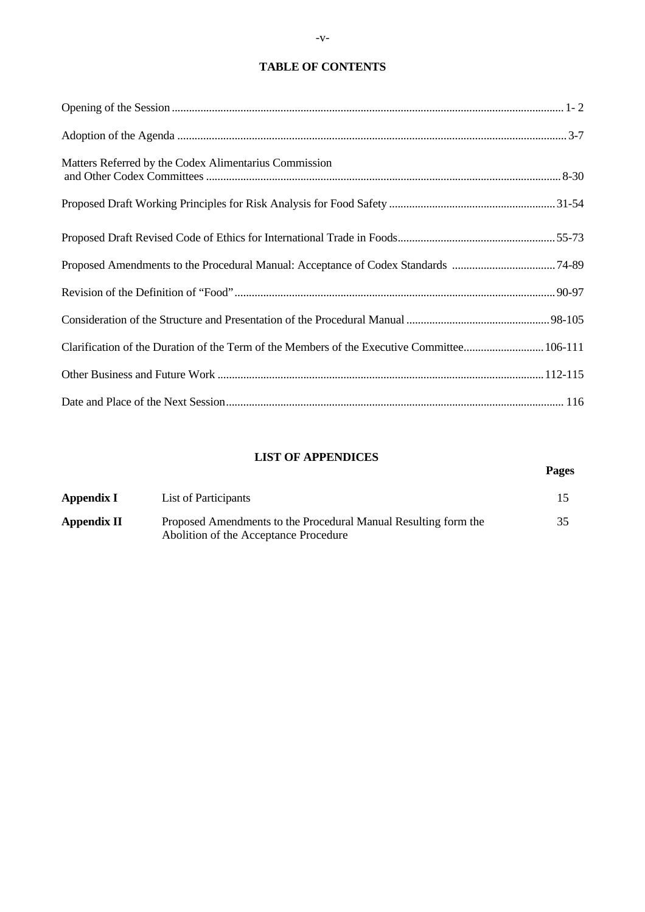# **TABLE OF CONTENTS**

| Matters Referred by the Codex Alimentarius Commission                                       |  |
|---------------------------------------------------------------------------------------------|--|
|                                                                                             |  |
|                                                                                             |  |
|                                                                                             |  |
|                                                                                             |  |
|                                                                                             |  |
| Clarification of the Duration of the Term of the Members of the Executive Committee 106-111 |  |
|                                                                                             |  |
|                                                                                             |  |

# **LIST OF APPENDICES**

**Pages** 

| Appendix I         | List of Participants                                                                                     |    |
|--------------------|----------------------------------------------------------------------------------------------------------|----|
| <b>Appendix II</b> | Proposed Amendments to the Procedural Manual Resulting form the<br>Abolition of the Acceptance Procedure | 35 |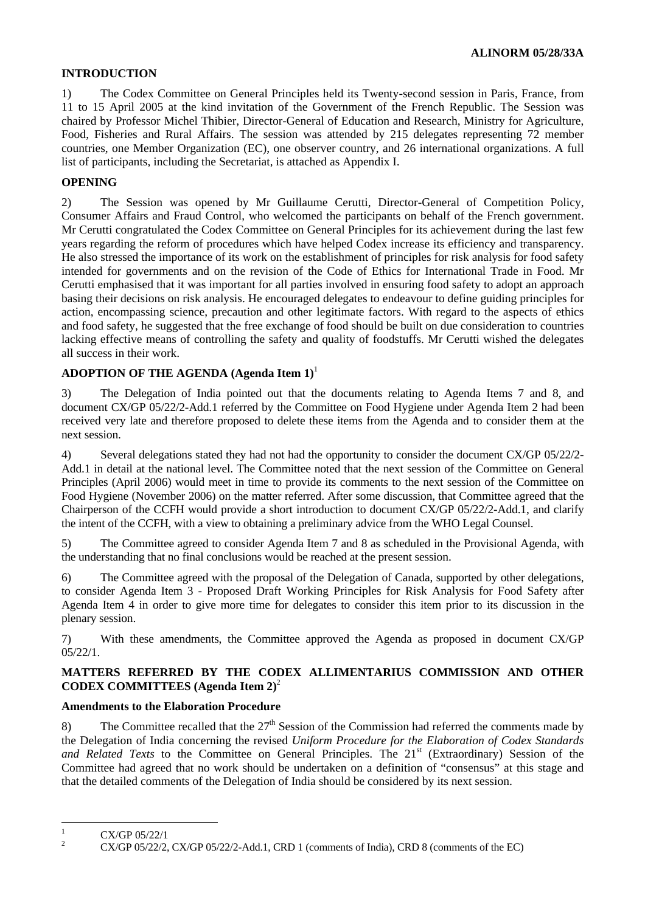# **INTRODUCTION**

1) The Codex Committee on General Principles held its Twenty-second session in Paris, France, from 11 to 15 April 2005 at the kind invitation of the Government of the French Republic. The Session was chaired by Professor Michel Thibier, Director-General of Education and Research, Ministry for Agriculture, Food, Fisheries and Rural Affairs. The session was attended by 215 delegates representing 72 member countries, one Member Organization (EC), one observer country, and 26 international organizations. A full list of participants, including the Secretariat, is attached as Appendix I.

# **OPENING**

2) The Session was opened by Mr Guillaume Cerutti, Director-General of Competition Policy, Consumer Affairs and Fraud Control, who welcomed the participants on behalf of the French government. Mr Cerutti congratulated the Codex Committee on General Principles for its achievement during the last few years regarding the reform of procedures which have helped Codex increase its efficiency and transparency. He also stressed the importance of its work on the establishment of principles for risk analysis for food safety intended for governments and on the revision of the Code of Ethics for International Trade in Food. Mr Cerutti emphasised that it was important for all parties involved in ensuring food safety to adopt an approach basing their decisions on risk analysis. He encouraged delegates to endeavour to define guiding principles for action, encompassing science, precaution and other legitimate factors. With regard to the aspects of ethics and food safety, he suggested that the free exchange of food should be built on due consideration to countries lacking effective means of controlling the safety and quality of foodstuffs. Mr Cerutti wished the delegates all success in their work.

# **ADOPTION OF THE AGENDA (Agenda Item 1)**[1](#page-4-0)

3) The Delegation of India pointed out that the documents relating to Agenda Items 7 and 8, and document CX/GP 05/22/2-Add.1 referred by the Committee on Food Hygiene under Agenda Item 2 had been received very late and therefore proposed to delete these items from the Agenda and to consider them at the next session.

4) Several delegations stated they had not had the opportunity to consider the document CX/GP 05/22/2- Add.1 in detail at the national level. The Committee noted that the next session of the Committee on General Principles (April 2006) would meet in time to provide its comments to the next session of the Committee on Food Hygiene (November 2006) on the matter referred. After some discussion, that Committee agreed that the Chairperson of the CCFH would provide a short introduction to document CX/GP 05/22/2-Add.1, and clarify the intent of the CCFH, with a view to obtaining a preliminary advice from the WHO Legal Counsel.

5) The Committee agreed to consider Agenda Item 7 and 8 as scheduled in the Provisional Agenda, with the understanding that no final conclusions would be reached at the present session.

6) The Committee agreed with the proposal of the Delegation of Canada, supported by other delegations, to consider Agenda Item 3 - Proposed Draft Working Principles for Risk Analysis for Food Safety after Agenda Item 4 in order to give more time for delegates to consider this item prior to its discussion in the plenary session.

7) With these amendments, the Committee approved the Agenda as proposed in document CX/GP 05/22/1.

# **MATTERS REFERRED BY THE CODEX ALLIMENTARIUS COMMISSION AND OTHER CODEX COMMITTEES (Agenda Item 2)**[2](#page-4-1)

# **Amendments to the Elaboration Procedure**

8) The Committee recalled that the  $27<sup>th</sup>$  Session of the Commission had referred the comments made by the Delegation of India concerning the revised *Uniform Procedure for the Elaboration of Codex Standards*  and Related Texts to the Committee on General Principles. The 21<sup>st</sup> (Extraordinary) Session of the Committee had agreed that no work should be undertaken on a definition of "consensus" at this stage and that the detailed comments of the Delegation of India should be considered by its next session.

 $\frac{1}{1}$ CX/GP 05/22/1

<span id="page-4-1"></span><span id="page-4-0"></span><sup>2</sup> CX/GP 05/22/2, CX/GP 05/22/2-Add.1, CRD 1 (comments of India), CRD 8 (comments of the EC)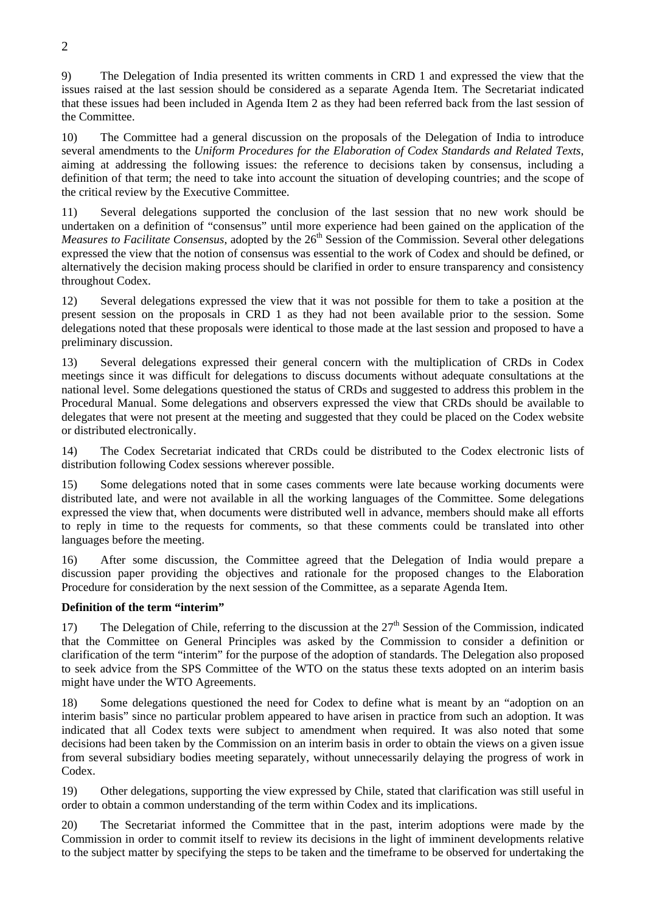9) The Delegation of India presented its written comments in CRD 1 and expressed the view that the issues raised at the last session should be considered as a separate Agenda Item. The Secretariat indicated that these issues had been included in Agenda Item 2 as they had been referred back from the last session of the Committee.

10) The Committee had a general discussion on the proposals of the Delegation of India to introduce several amendments to the *Uniform Procedures for the Elaboration of Codex Standards and Related Texts*, aiming at addressing the following issues: the reference to decisions taken by consensus, including a definition of that term; the need to take into account the situation of developing countries; and the scope of the critical review by the Executive Committee.

11) Several delegations supported the conclusion of the last session that no new work should be undertaken on a definition of "consensus" until more experience had been gained on the application of the *Measures to Facilitate Consensus*, adopted by the 26<sup>th</sup> Session of the Commission. Several other delegations expressed the view that the notion of consensus was essential to the work of Codex and should be defined, or alternatively the decision making process should be clarified in order to ensure transparency and consistency throughout Codex.

12) Several delegations expressed the view that it was not possible for them to take a position at the present session on the proposals in CRD 1 as they had not been available prior to the session. Some delegations noted that these proposals were identical to those made at the last session and proposed to have a preliminary discussion.

13) Several delegations expressed their general concern with the multiplication of CRDs in Codex meetings since it was difficult for delegations to discuss documents without adequate consultations at the national level. Some delegations questioned the status of CRDs and suggested to address this problem in the Procedural Manual. Some delegations and observers expressed the view that CRDs should be available to delegates that were not present at the meeting and suggested that they could be placed on the Codex website or distributed electronically.

14) The Codex Secretariat indicated that CRDs could be distributed to the Codex electronic lists of distribution following Codex sessions wherever possible.

15) Some delegations noted that in some cases comments were late because working documents were distributed late, and were not available in all the working languages of the Committee. Some delegations expressed the view that, when documents were distributed well in advance, members should make all efforts to reply in time to the requests for comments, so that these comments could be translated into other languages before the meeting.

16) After some discussion, the Committee agreed that the Delegation of India would prepare a discussion paper providing the objectives and rationale for the proposed changes to the Elaboration Procedure for consideration by the next session of the Committee, as a separate Agenda Item.

# **Definition of the term "interim"**

17) The Delegation of Chile, referring to the discussion at the  $27<sup>th</sup>$  Session of the Commission, indicated that the Committee on General Principles was asked by the Commission to consider a definition or clarification of the term "interim" for the purpose of the adoption of standards. The Delegation also proposed to seek advice from the SPS Committee of the WTO on the status these texts adopted on an interim basis might have under the WTO Agreements.

18) Some delegations questioned the need for Codex to define what is meant by an "adoption on an interim basis" since no particular problem appeared to have arisen in practice from such an adoption. It was indicated that all Codex texts were subject to amendment when required. It was also noted that some decisions had been taken by the Commission on an interim basis in order to obtain the views on a given issue from several subsidiary bodies meeting separately, without unnecessarily delaying the progress of work in Codex.

19) Other delegations, supporting the view expressed by Chile, stated that clarification was still useful in order to obtain a common understanding of the term within Codex and its implications.

20) The Secretariat informed the Committee that in the past, interim adoptions were made by the Commission in order to commit itself to review its decisions in the light of imminent developments relative to the subject matter by specifying the steps to be taken and the timeframe to be observed for undertaking the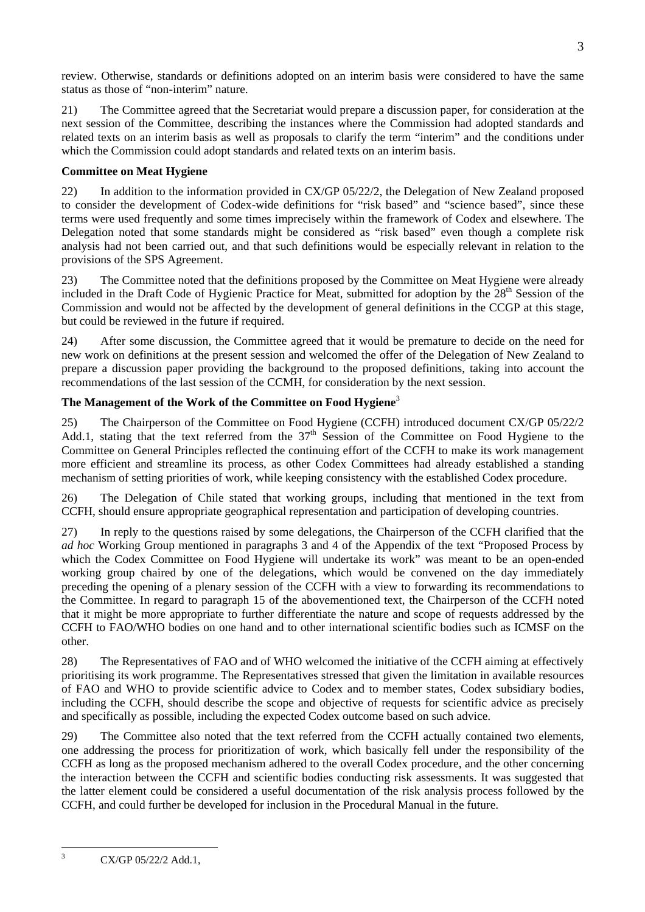review. Otherwise, standards or definitions adopted on an interim basis were considered to have the same status as those of "non-interim" nature.

21) The Committee agreed that the Secretariat would prepare a discussion paper, for consideration at the next session of the Committee, describing the instances where the Commission had adopted standards and related texts on an interim basis as well as proposals to clarify the term "interim" and the conditions under which the Commission could adopt standards and related texts on an interim basis.

# **Committee on Meat Hygiene**

22) In addition to the information provided in CX/GP 05/22/2, the Delegation of New Zealand proposed to consider the development of Codex-wide definitions for "risk based" and "science based", since these terms were used frequently and some times imprecisely within the framework of Codex and elsewhere. The Delegation noted that some standards might be considered as "risk based" even though a complete risk analysis had not been carried out, and that such definitions would be especially relevant in relation to the provisions of the SPS Agreement.

23) The Committee noted that the definitions proposed by the Committee on Meat Hygiene were already included in the Draft Code of Hygienic Practice for Meat, submitted for adoption by the 28<sup>th</sup> Session of the Commission and would not be affected by the development of general definitions in the CCGP at this stage, but could be reviewed in the future if required.

24) After some discussion, the Committee agreed that it would be premature to decide on the need for new work on definitions at the present session and welcomed the offer of the Delegation of New Zealand to prepare a discussion paper providing the background to the proposed definitions, taking into account the recommendations of the last session of the CCMH, for consideration by the next session.

# **The Management of the Work of the Committee on Food Hygiene**[3](#page-6-0)

25) The Chairperson of the Committee on Food Hygiene (CCFH) introduced document CX/GP 05/22/2 Add.1, stating that the text referred from the  $37<sup>th</sup>$  Session of the Committee on Food Hygiene to the Committee on General Principles reflected the continuing effort of the CCFH to make its work management more efficient and streamline its process, as other Codex Committees had already established a standing mechanism of setting priorities of work, while keeping consistency with the established Codex procedure.

26) The Delegation of Chile stated that working groups, including that mentioned in the text from CCFH, should ensure appropriate geographical representation and participation of developing countries.

27) In reply to the questions raised by some delegations, the Chairperson of the CCFH clarified that the *ad hoc* Working Group mentioned in paragraphs 3 and 4 of the Appendix of the text "Proposed Process by which the Codex Committee on Food Hygiene will undertake its work" was meant to be an open-ended working group chaired by one of the delegations, which would be convened on the day immediately preceding the opening of a plenary session of the CCFH with a view to forwarding its recommendations to the Committee. In regard to paragraph 15 of the abovementioned text, the Chairperson of the CCFH noted that it might be more appropriate to further differentiate the nature and scope of requests addressed by the CCFH to FAO/WHO bodies on one hand and to other international scientific bodies such as ICMSF on the other.

28) The Representatives of FAO and of WHO welcomed the initiative of the CCFH aiming at effectively prioritising its work programme. The Representatives stressed that given the limitation in available resources of FAO and WHO to provide scientific advice to Codex and to member states, Codex subsidiary bodies, including the CCFH, should describe the scope and objective of requests for scientific advice as precisely and specifically as possible, including the expected Codex outcome based on such advice.

29) The Committee also noted that the text referred from the CCFH actually contained two elements, one addressing the process for prioritization of work, which basically fell under the responsibility of the CCFH as long as the proposed mechanism adhered to the overall Codex procedure, and the other concerning the interaction between the CCFH and scientific bodies conducting risk assessments. It was suggested that the latter element could be considered a useful documentation of the risk analysis process followed by the CCFH, and could further be developed for inclusion in the Procedural Manual in the future.

<sup>2</sup><br>3

<span id="page-6-0"></span>CX/GP 05/22/2 Add.1,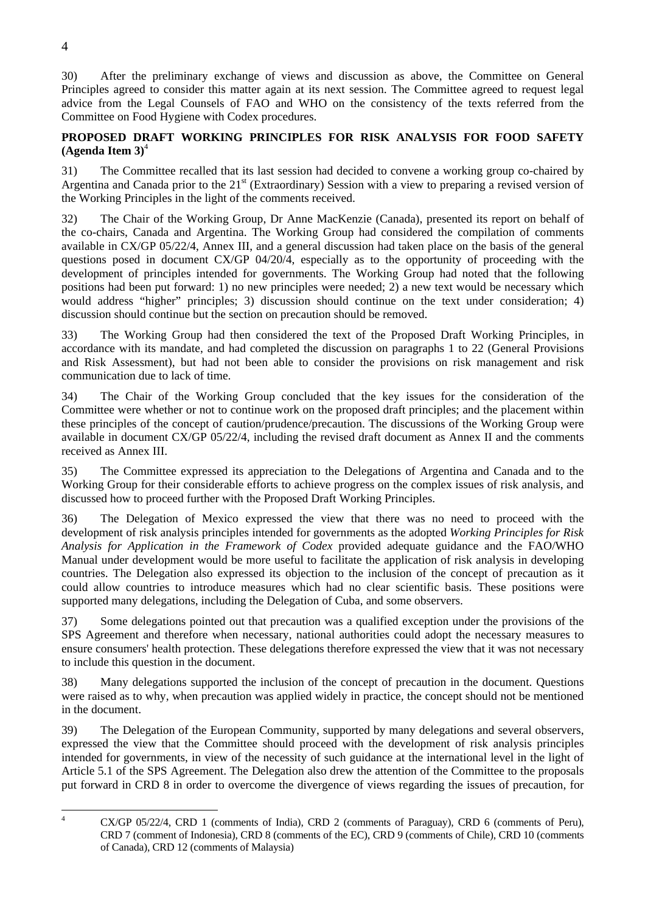30) After the preliminary exchange of views and discussion as above, the Committee on General Principles agreed to consider this matter again at its next session. The Committee agreed to request legal advice from the Legal Counsels of FAO and WHO on the consistency of the texts referred from the Committee on Food Hygiene with Codex procedures.

# **PROPOSED DRAFT WORKING PRINCIPLES FOR RISK ANALYSIS FOR FOOD SAFETY (Agenda Item 3)**[4](#page-7-0)

31) The Committee recalled that its last session had decided to convene a working group co-chaired by Argentina and Canada prior to the  $21<sup>st</sup>$  (Extraordinary) Session with a view to preparing a revised version of the Working Principles in the light of the comments received.

32) The Chair of the Working Group, Dr Anne MacKenzie (Canada), presented its report on behalf of the co-chairs, Canada and Argentina. The Working Group had considered the compilation of comments available in CX/GP 05/22/4, Annex III, and a general discussion had taken place on the basis of the general questions posed in document CX/GP 04/20/4, especially as to the opportunity of proceeding with the development of principles intended for governments. The Working Group had noted that the following positions had been put forward: 1) no new principles were needed; 2) a new text would be necessary which would address "higher" principles; 3) discussion should continue on the text under consideration; 4) discussion should continue but the section on precaution should be removed.

33) The Working Group had then considered the text of the Proposed Draft Working Principles, in accordance with its mandate, and had completed the discussion on paragraphs 1 to 22 (General Provisions and Risk Assessment), but had not been able to consider the provisions on risk management and risk communication due to lack of time.

34) The Chair of the Working Group concluded that the key issues for the consideration of the Committee were whether or not to continue work on the proposed draft principles; and the placement within these principles of the concept of caution/prudence/precaution. The discussions of the Working Group were available in document CX/GP 05/22/4, including the revised draft document as Annex II and the comments received as Annex III.

35) The Committee expressed its appreciation to the Delegations of Argentina and Canada and to the Working Group for their considerable efforts to achieve progress on the complex issues of risk analysis, and discussed how to proceed further with the Proposed Draft Working Principles.

36) The Delegation of Mexico expressed the view that there was no need to proceed with the development of risk analysis principles intended for governments as the adopted *Working Principles for Risk Analysis for Application in the Framework of Codex* provided adequate guidance and the FAO/WHO Manual under development would be more useful to facilitate the application of risk analysis in developing countries. The Delegation also expressed its objection to the inclusion of the concept of precaution as it could allow countries to introduce measures which had no clear scientific basis. These positions were supported many delegations, including the Delegation of Cuba, and some observers.

37) Some delegations pointed out that precaution was a qualified exception under the provisions of the SPS Agreement and therefore when necessary, national authorities could adopt the necessary measures to ensure consumers' health protection. These delegations therefore expressed the view that it was not necessary to include this question in the document.

38) Many delegations supported the inclusion of the concept of precaution in the document. Questions were raised as to why, when precaution was applied widely in practice, the concept should not be mentioned in the document.

39) The Delegation of the European Community, supported by many delegations and several observers, expressed the view that the Committee should proceed with the development of risk analysis principles intended for governments, in view of the necessity of such guidance at the international level in the light of Article 5.1 of the SPS Agreement. The Delegation also drew the attention of the Committee to the proposals put forward in CRD 8 in order to overcome the divergence of views regarding the issues of precaution, for

<span id="page-7-0"></span> $\frac{1}{4}$  CX/GP 05/22/4, CRD 1 (comments of India), CRD 2 (comments of Paraguay), CRD 6 (comments of Peru), CRD 7 (comment of Indonesia), CRD 8 (comments of the EC), CRD 9 (comments of Chile), CRD 10 (comments of Canada), CRD 12 (comments of Malaysia)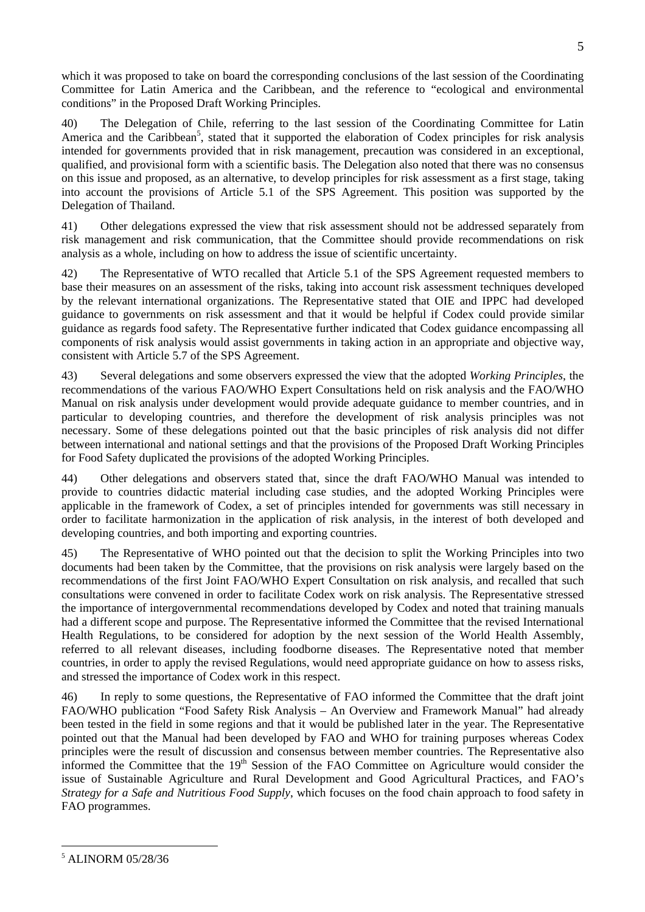which it was proposed to take on board the corresponding conclusions of the last session of the Coordinating Committee for Latin America and the Caribbean, and the reference to "ecological and environmental conditions" in the Proposed Draft Working Principles.

40) The Delegation of Chile, referring to the last session of the Coordinating Committee for Latin America and the Caribbean<sup>5</sup>[,](#page-8-0) stated that it supported the elaboration of Codex principles for risk analysis intended for governments provided that in risk management, precaution was considered in an exceptional, qualified, and provisional form with a scientific basis. The Delegation also noted that there was no consensus on this issue and proposed, as an alternative, to develop principles for risk assessment as a first stage, taking into account the provisions of Article 5.1 of the SPS Agreement. This position was supported by the Delegation of Thailand.

41) Other delegations expressed the view that risk assessment should not be addressed separately from risk management and risk communication, that the Committee should provide recommendations on risk analysis as a whole, including on how to address the issue of scientific uncertainty.

42) The Representative of WTO recalled that Article 5.1 of the SPS Agreement requested members to base their measures on an assessment of the risks, taking into account risk assessment techniques developed by the relevant international organizations. The Representative stated that OIE and IPPC had developed guidance to governments on risk assessment and that it would be helpful if Codex could provide similar guidance as regards food safety. The Representative further indicated that Codex guidance encompassing all components of risk analysis would assist governments in taking action in an appropriate and objective way, consistent with Article 5.7 of the SPS Agreement.

43) Several delegations and some observers expressed the view that the adopted *Working Principles*, the recommendations of the various FAO/WHO Expert Consultations held on risk analysis and the FAO/WHO Manual on risk analysis under development would provide adequate guidance to member countries, and in particular to developing countries, and therefore the development of risk analysis principles was not necessary. Some of these delegations pointed out that the basic principles of risk analysis did not differ between international and national settings and that the provisions of the Proposed Draft Working Principles for Food Safety duplicated the provisions of the adopted Working Principles.

44) Other delegations and observers stated that, since the draft FAO/WHO Manual was intended to provide to countries didactic material including case studies, and the adopted Working Principles were applicable in the framework of Codex, a set of principles intended for governments was still necessary in order to facilitate harmonization in the application of risk analysis, in the interest of both developed and developing countries, and both importing and exporting countries.

45) The Representative of WHO pointed out that the decision to split the Working Principles into two documents had been taken by the Committee, that the provisions on risk analysis were largely based on the recommendations of the first Joint FAO/WHO Expert Consultation on risk analysis, and recalled that such consultations were convened in order to facilitate Codex work on risk analysis. The Representative stressed the importance of intergovernmental recommendations developed by Codex and noted that training manuals had a different scope and purpose. The Representative informed the Committee that the revised International Health Regulations, to be considered for adoption by the next session of the World Health Assembly, referred to all relevant diseases, including foodborne diseases. The Representative noted that member countries, in order to apply the revised Regulations, would need appropriate guidance on how to assess risks, and stressed the importance of Codex work in this respect.

46) In reply to some questions, the Representative of FAO informed the Committee that the draft joint FAO/WHO publication "Food Safety Risk Analysis – An Overview and Framework Manual" had already been tested in the field in some regions and that it would be published later in the year. The Representative pointed out that the Manual had been developed by FAO and WHO for training purposes whereas Codex principles were the result of discussion and consensus between member countries. The Representative also informed the Committee that the  $19<sup>th</sup>$  Session of the FAO Committee on Agriculture would consider the issue of Sustainable Agriculture and Rural Development and Good Agricultural Practices, and FAO's *Strategy for a Safe and Nutritious Food Supply*, which focuses on the food chain approach to food safety in FAO programmes.

 $\overline{a}$ 

<span id="page-8-0"></span><sup>5</sup> ALINORM 05/28/36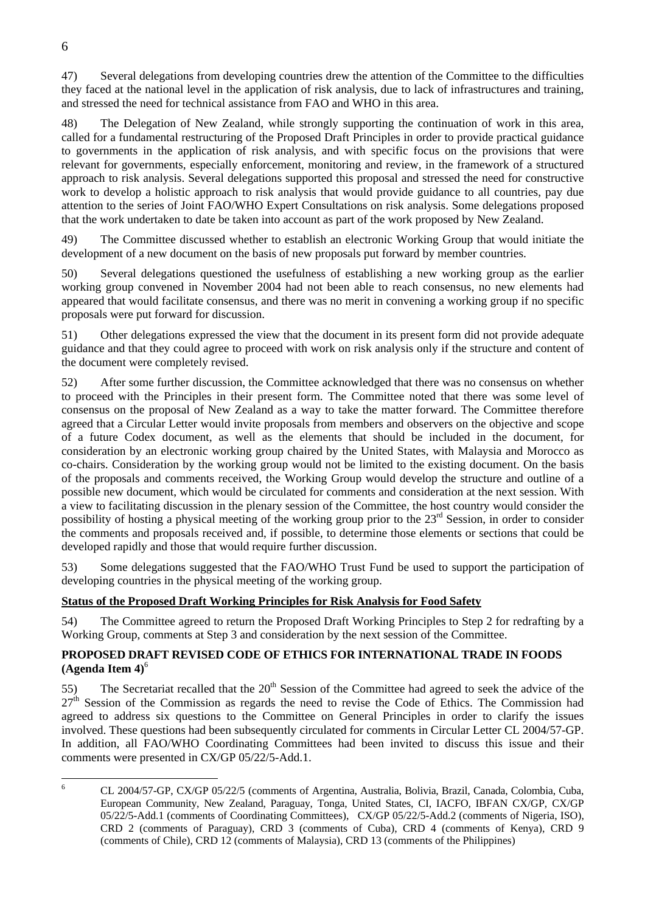47) Several delegations from developing countries drew the attention of the Committee to the difficulties they faced at the national level in the application of risk analysis, due to lack of infrastructures and training, and stressed the need for technical assistance from FAO and WHO in this area.

48) The Delegation of New Zealand, while strongly supporting the continuation of work in this area, called for a fundamental restructuring of the Proposed Draft Principles in order to provide practical guidance to governments in the application of risk analysis, and with specific focus on the provisions that were relevant for governments, especially enforcement, monitoring and review, in the framework of a structured approach to risk analysis. Several delegations supported this proposal and stressed the need for constructive work to develop a holistic approach to risk analysis that would provide guidance to all countries, pay due attention to the series of Joint FAO/WHO Expert Consultations on risk analysis. Some delegations proposed that the work undertaken to date be taken into account as part of the work proposed by New Zealand.

49) The Committee discussed whether to establish an electronic Working Group that would initiate the development of a new document on the basis of new proposals put forward by member countries.

50) Several delegations questioned the usefulness of establishing a new working group as the earlier working group convened in November 2004 had not been able to reach consensus, no new elements had appeared that would facilitate consensus, and there was no merit in convening a working group if no specific proposals were put forward for discussion.

51) Other delegations expressed the view that the document in its present form did not provide adequate guidance and that they could agree to proceed with work on risk analysis only if the structure and content of the document were completely revised.

52) After some further discussion, the Committee acknowledged that there was no consensus on whether to proceed with the Principles in their present form. The Committee noted that there was some level of consensus on the proposal of New Zealand as a way to take the matter forward. The Committee therefore agreed that a Circular Letter would invite proposals from members and observers on the objective and scope of a future Codex document, as well as the elements that should be included in the document, for consideration by an electronic working group chaired by the United States, with Malaysia and Morocco as co-chairs. Consideration by the working group would not be limited to the existing document. On the basis of the proposals and comments received, the Working Group would develop the structure and outline of a possible new document, which would be circulated for comments and consideration at the next session. With a view to facilitating discussion in the plenary session of the Committee, the host country would consider the possibility of hosting a physical meeting of the working group prior to the 23rd Session, in order to consider the comments and proposals received and, if possible, to determine those elements or sections that could be developed rapidly and those that would require further discussion.

53) Some delegations suggested that the FAO/WHO Trust Fund be used to support the participation of developing countries in the physical meeting of the working group.

# **Status of the Proposed Draft Working Principles for Risk Analysis for Food Safety**

54) The Committee agreed to return the Proposed Draft Working Principles to Step 2 for redrafting by a Working Group, comments at Step 3 and consideration by the next session of the Committee.

# **PROPOSED DRAFT REVISED CODE OF ETHICS FOR INTERNATIONAL TRADE IN FOODS (Agenda Item 4)**[6](#page-9-0)

55) The Secretariat recalled that the  $20<sup>th</sup>$  Session of the Committee had agreed to seek the advice of the  $27<sup>th</sup>$  Session of the Commission as regards the need to revise the Code of Ethics. The Commission had agreed to address six questions to the Committee on General Principles in order to clarify the issues involved. These questions had been subsequently circulated for comments in Circular Letter CL 2004/57-GP. In addition, all FAO/WHO Coordinating Committees had been invited to discuss this issue and their comments were presented in CX/GP 05/22/5-Add.1.

<span id="page-9-0"></span> 6 CL 2004/57-GP, CX/GP 05/22/5 (comments of Argentina, Australia, Bolivia, Brazil, Canada, Colombia, Cuba, European Community, New Zealand, Paraguay, Tonga, United States, CI, IACFO, IBFAN CX/GP, CX/GP 05/22/5-Add.1 (comments of Coordinating Committees), CX/GP 05/22/5-Add.2 (comments of Nigeria, ISO), CRD 2 (comments of Paraguay), CRD 3 (comments of Cuba), CRD 4 (comments of Kenya), CRD 9 (comments of Chile), CRD 12 (comments of Malaysia), CRD 13 (comments of the Philippines)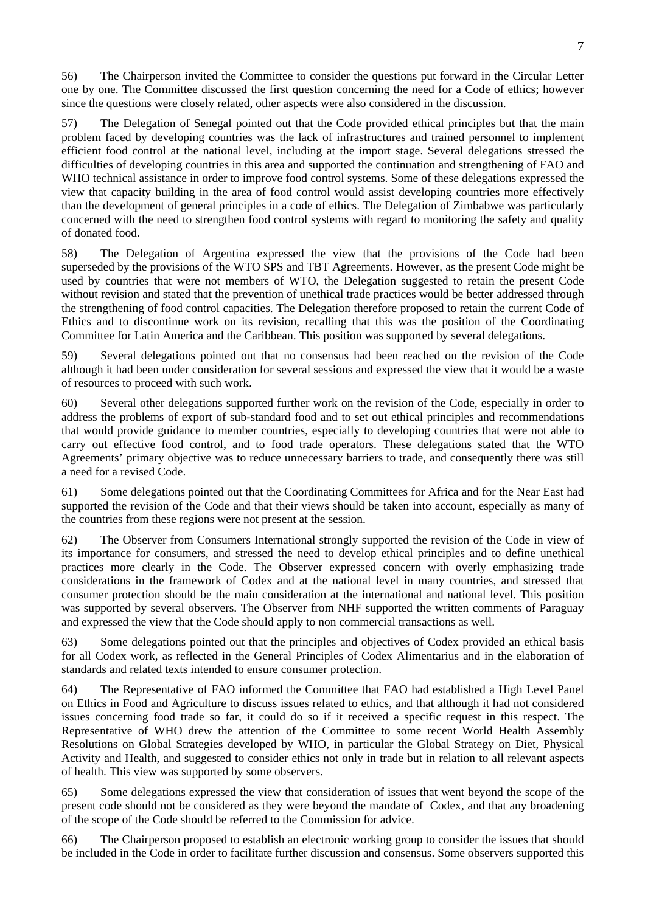56) The Chairperson invited the Committee to consider the questions put forward in the Circular Letter one by one. The Committee discussed the first question concerning the need for a Code of ethics; however since the questions were closely related, other aspects were also considered in the discussion.

57) The Delegation of Senegal pointed out that the Code provided ethical principles but that the main problem faced by developing countries was the lack of infrastructures and trained personnel to implement efficient food control at the national level, including at the import stage. Several delegations stressed the difficulties of developing countries in this area and supported the continuation and strengthening of FAO and WHO technical assistance in order to improve food control systems. Some of these delegations expressed the view that capacity building in the area of food control would assist developing countries more effectively than the development of general principles in a code of ethics. The Delegation of Zimbabwe was particularly concerned with the need to strengthen food control systems with regard to monitoring the safety and quality of donated food.

58) The Delegation of Argentina expressed the view that the provisions of the Code had been superseded by the provisions of the WTO SPS and TBT Agreements. However, as the present Code might be used by countries that were not members of WTO, the Delegation suggested to retain the present Code without revision and stated that the prevention of unethical trade practices would be better addressed through the strengthening of food control capacities. The Delegation therefore proposed to retain the current Code of Ethics and to discontinue work on its revision, recalling that this was the position of the Coordinating Committee for Latin America and the Caribbean. This position was supported by several delegations.

59) Several delegations pointed out that no consensus had been reached on the revision of the Code although it had been under consideration for several sessions and expressed the view that it would be a waste of resources to proceed with such work.

60) Several other delegations supported further work on the revision of the Code, especially in order to address the problems of export of sub-standard food and to set out ethical principles and recommendations that would provide guidance to member countries, especially to developing countries that were not able to carry out effective food control, and to food trade operators. These delegations stated that the WTO Agreements' primary objective was to reduce unnecessary barriers to trade, and consequently there was still a need for a revised Code.

61) Some delegations pointed out that the Coordinating Committees for Africa and for the Near East had supported the revision of the Code and that their views should be taken into account, especially as many of the countries from these regions were not present at the session.

62) The Observer from Consumers International strongly supported the revision of the Code in view of its importance for consumers, and stressed the need to develop ethical principles and to define unethical practices more clearly in the Code. The Observer expressed concern with overly emphasizing trade considerations in the framework of Codex and at the national level in many countries, and stressed that consumer protection should be the main consideration at the international and national level. This position was supported by several observers. The Observer from NHF supported the written comments of Paraguay and expressed the view that the Code should apply to non commercial transactions as well.

63) Some delegations pointed out that the principles and objectives of Codex provided an ethical basis for all Codex work, as reflected in the General Principles of Codex Alimentarius and in the elaboration of standards and related texts intended to ensure consumer protection.

64) The Representative of FAO informed the Committee that FAO had established a High Level Panel on Ethics in Food and Agriculture to discuss issues related to ethics, and that although it had not considered issues concerning food trade so far, it could do so if it received a specific request in this respect. The Representative of WHO drew the attention of the Committee to some recent World Health Assembly Resolutions on Global Strategies developed by WHO, in particular the Global Strategy on Diet, Physical Activity and Health, and suggested to consider ethics not only in trade but in relation to all relevant aspects of health. This view was supported by some observers.

65) Some delegations expressed the view that consideration of issues that went beyond the scope of the present code should not be considered as they were beyond the mandate of Codex, and that any broadening of the scope of the Code should be referred to the Commission for advice.

66) The Chairperson proposed to establish an electronic working group to consider the issues that should be included in the Code in order to facilitate further discussion and consensus. Some observers supported this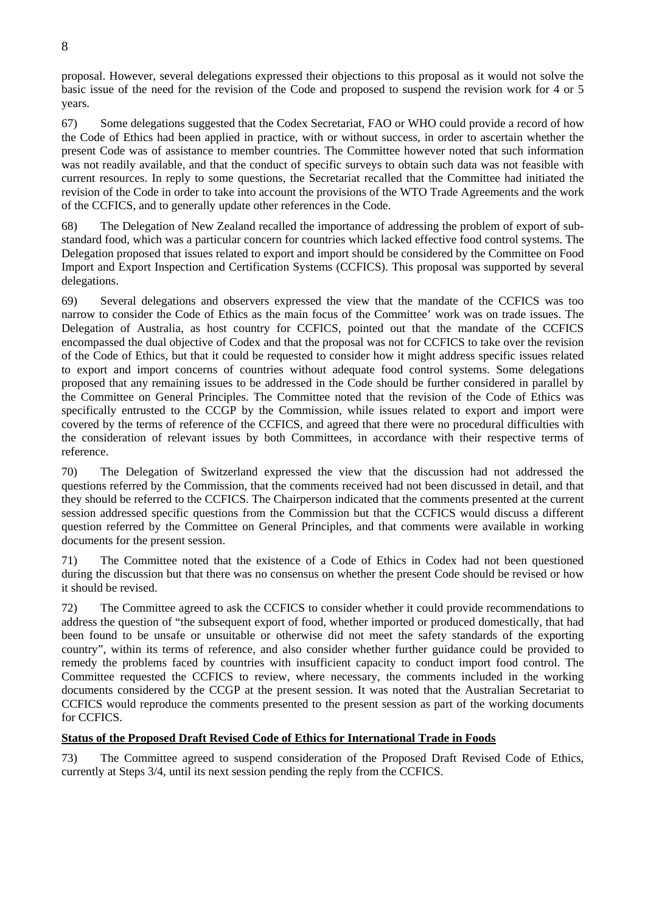proposal. However, several delegations expressed their objections to this proposal as it would not solve the basic issue of the need for the revision of the Code and proposed to suspend the revision work for 4 or 5 years.

67) Some delegations suggested that the Codex Secretariat, FAO or WHO could provide a record of how the Code of Ethics had been applied in practice, with or without success, in order to ascertain whether the present Code was of assistance to member countries. The Committee however noted that such information was not readily available, and that the conduct of specific surveys to obtain such data was not feasible with current resources. In reply to some questions, the Secretariat recalled that the Committee had initiated the revision of the Code in order to take into account the provisions of the WTO Trade Agreements and the work of the CCFICS, and to generally update other references in the Code.

68) The Delegation of New Zealand recalled the importance of addressing the problem of export of substandard food, which was a particular concern for countries which lacked effective food control systems. The Delegation proposed that issues related to export and import should be considered by the Committee on Food Import and Export Inspection and Certification Systems (CCFICS). This proposal was supported by several delegations.

69) Several delegations and observers expressed the view that the mandate of the CCFICS was too narrow to consider the Code of Ethics as the main focus of the Committee' work was on trade issues. The Delegation of Australia, as host country for CCFICS, pointed out that the mandate of the CCFICS encompassed the dual objective of Codex and that the proposal was not for CCFICS to take over the revision of the Code of Ethics, but that it could be requested to consider how it might address specific issues related to export and import concerns of countries without adequate food control systems. Some delegations proposed that any remaining issues to be addressed in the Code should be further considered in parallel by the Committee on General Principles. The Committee noted that the revision of the Code of Ethics was specifically entrusted to the CCGP by the Commission, while issues related to export and import were covered by the terms of reference of the CCFICS, and agreed that there were no procedural difficulties with the consideration of relevant issues by both Committees, in accordance with their respective terms of reference.

70) The Delegation of Switzerland expressed the view that the discussion had not addressed the questions referred by the Commission, that the comments received had not been discussed in detail, and that they should be referred to the CCFICS. The Chairperson indicated that the comments presented at the current session addressed specific questions from the Commission but that the CCFICS would discuss a different question referred by the Committee on General Principles, and that comments were available in working documents for the present session.

71) The Committee noted that the existence of a Code of Ethics in Codex had not been questioned during the discussion but that there was no consensus on whether the present Code should be revised or how it should be revised.

72) The Committee agreed to ask the CCFICS to consider whether it could provide recommendations to address the question of "the subsequent export of food, whether imported or produced domestically, that had been found to be unsafe or unsuitable or otherwise did not meet the safety standards of the exporting country", within its terms of reference, and also consider whether further guidance could be provided to remedy the problems faced by countries with insufficient capacity to conduct import food control. The Committee requested the CCFICS to review, where necessary, the comments included in the working documents considered by the CCGP at the present session. It was noted that the Australian Secretariat to CCFICS would reproduce the comments presented to the present session as part of the working documents for CCFICS.

# **Status of the Proposed Draft Revised Code of Ethics for International Trade in Foods**

73) The Committee agreed to suspend consideration of the Proposed Draft Revised Code of Ethics, currently at Steps 3/4, until its next session pending the reply from the CCFICS.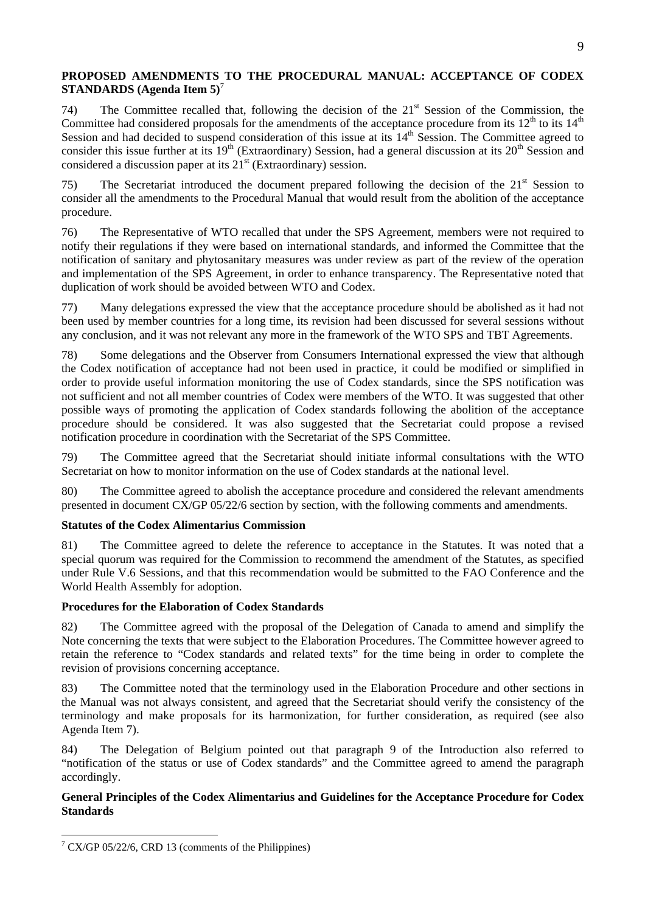# **PROPOSED AMENDMENTS TO THE PROCEDURAL MANUAL: ACCEPTANCE OF CODEX STANDARDS (Agenda Item 5)**[7](#page-12-0)

74) The Committee recalled that, following the decision of the 21st Session of the Commission, the Committee had considered proposals for the amendments of the acceptance procedure from its  $12<sup>th</sup>$  to its  $14<sup>th</sup>$ Session and had decided to suspend consideration of this issue at its  $14<sup>th</sup>$  Session. The Committee agreed to consider this issue further at its  $19<sup>th</sup>$  (Extraordinary) Session, had a general discussion at its  $20<sup>th</sup>$  Session and considered a discussion paper at its  $21<sup>st</sup>$  (Extraordinary) session.

75) The Secretariat introduced the document prepared following the decision of the  $21<sup>st</sup>$  Session to consider all the amendments to the Procedural Manual that would result from the abolition of the acceptance procedure.

76) The Representative of WTO recalled that under the SPS Agreement, members were not required to notify their regulations if they were based on international standards, and informed the Committee that the notification of sanitary and phytosanitary measures was under review as part of the review of the operation and implementation of the SPS Agreement, in order to enhance transparency. The Representative noted that duplication of work should be avoided between WTO and Codex.

77) Many delegations expressed the view that the acceptance procedure should be abolished as it had not been used by member countries for a long time, its revision had been discussed for several sessions without any conclusion, and it was not relevant any more in the framework of the WTO SPS and TBT Agreements.

78) Some delegations and the Observer from Consumers International expressed the view that although the Codex notification of acceptance had not been used in practice, it could be modified or simplified in order to provide useful information monitoring the use of Codex standards, since the SPS notification was not sufficient and not all member countries of Codex were members of the WTO. It was suggested that other possible ways of promoting the application of Codex standards following the abolition of the acceptance procedure should be considered. It was also suggested that the Secretariat could propose a revised notification procedure in coordination with the Secretariat of the SPS Committee.

79) The Committee agreed that the Secretariat should initiate informal consultations with the WTO Secretariat on how to monitor information on the use of Codex standards at the national level.

80) The Committee agreed to abolish the acceptance procedure and considered the relevant amendments presented in document CX/GP 05/22/6 section by section, with the following comments and amendments.

# **Statutes of the Codex Alimentarius Commission**

81) The Committee agreed to delete the reference to acceptance in the Statutes. It was noted that a special quorum was required for the Commission to recommend the amendment of the Statutes, as specified under Rule V.6 Sessions, and that this recommendation would be submitted to the FAO Conference and the World Health Assembly for adoption.

# **Procedures for the Elaboration of Codex Standards**

82) The Committee agreed with the proposal of the Delegation of Canada to amend and simplify the Note concerning the texts that were subject to the Elaboration Procedures. The Committee however agreed to retain the reference to "Codex standards and related texts" for the time being in order to complete the revision of provisions concerning acceptance.

83) The Committee noted that the terminology used in the Elaboration Procedure and other sections in the Manual was not always consistent, and agreed that the Secretariat should verify the consistency of the terminology and make proposals for its harmonization, for further consideration, as required (see also Agenda Item 7).

84) The Delegation of Belgium pointed out that paragraph 9 of the Introduction also referred to "notification of the status or use of Codex standards" and the Committee agreed to amend the paragraph accordingly.

# **General Principles of the Codex Alimentarius and Guidelines for the Acceptance Procedure for Codex Standards**

 $\overline{a}$ 

<span id="page-12-0"></span> $7$  CX/GP 05/22/6, CRD 13 (comments of the Philippines)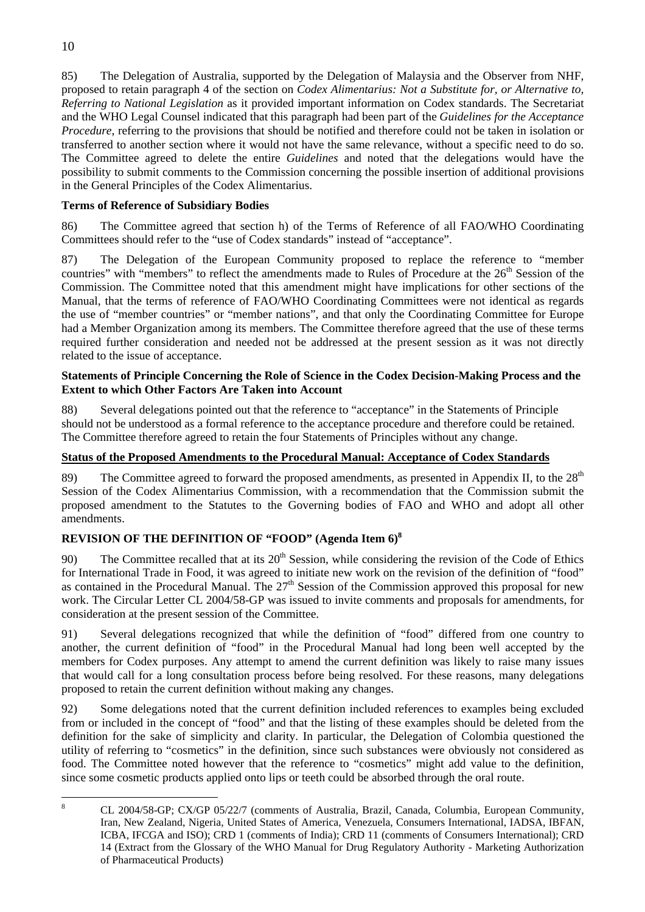85) The Delegation of Australia, supported by the Delegation of Malaysia and the Observer from NHF, proposed to retain paragraph 4 of the section on *Codex Alimentarius: Not a Substitute for, or Alternative to, Referring to National Legislation* as it provided important information on Codex standards. The Secretariat and the WHO Legal Counsel indicated that this paragraph had been part of the *Guidelines for the Acceptance Procedure*, referring to the provisions that should be notified and therefore could not be taken in isolation or transferred to another section where it would not have the same relevance, without a specific need to do so. The Committee agreed to delete the entire *Guidelines* and noted that the delegations would have the possibility to submit comments to the Commission concerning the possible insertion of additional provisions in the General Principles of the Codex Alimentarius.

# **Terms of Reference of Subsidiary Bodies**

86) The Committee agreed that section h) of the Terms of Reference of all FAO/WHO Coordinating Committees should refer to the "use of Codex standards" instead of "acceptance".

87) The Delegation of the European Community proposed to replace the reference to "member countries" with "members" to reflect the amendments made to Rules of Procedure at the 26<sup>th</sup> Session of the Commission. The Committee noted that this amendment might have implications for other sections of the Manual, that the terms of reference of FAO/WHO Coordinating Committees were not identical as regards the use of "member countries" or "member nations", and that only the Coordinating Committee for Europe had a Member Organization among its members. The Committee therefore agreed that the use of these terms required further consideration and needed not be addressed at the present session as it was not directly related to the issue of acceptance.

# **Statements of Principle Concerning the Role of Science in the Codex Decision-Making Process and the Extent to which Other Factors Are Taken into Account**

88) Several delegations pointed out that the reference to "acceptance" in the Statements of Principle should not be understood as a formal reference to the acceptance procedure and therefore could be retained. The Committee therefore agreed to retain the four Statements of Principles without any change.

# **Status of the Proposed Amendments to the Procedural Manual: Acceptance of Codex Standards**

89) The Committee agreed to forward the proposed amendments, as presented in Appendix II, to the  $28<sup>th</sup>$ Session of the Codex Alimentarius Commission, with a recommendation that the Commission submit the proposed amendment to the Statutes to the Governing bodies of FAO and WHO and adopt all other amendments.

# **REVISION OF THE DEFINITION OF "FOOD" (Agenda Item 6)[8](#page-13-0)**

90) The Committee recalled that at its  $20<sup>th</sup>$  Session, while considering the revision of the Code of Ethics for International Trade in Food, it was agreed to initiate new work on the revision of the definition of "food" as contained in the Procedural Manual. The  $27<sup>th</sup>$  Session of the Commission approved this proposal for new work. The Circular Letter CL 2004/58-GP was issued to invite comments and proposals for amendments, for consideration at the present session of the Committee.

91) Several delegations recognized that while the definition of "food" differed from one country to another, the current definition of "food" in the Procedural Manual had long been well accepted by the members for Codex purposes. Any attempt to amend the current definition was likely to raise many issues that would call for a long consultation process before being resolved. For these reasons, many delegations proposed to retain the current definition without making any changes.

92) Some delegations noted that the current definition included references to examples being excluded from or included in the concept of "food" and that the listing of these examples should be deleted from the definition for the sake of simplicity and clarity. In particular, the Delegation of Colombia questioned the utility of referring to "cosmetics" in the definition, since such substances were obviously not considered as food. The Committee noted however that the reference to "cosmetics" might add value to the definition, since some cosmetic products applied onto lips or teeth could be absorbed through the oral route.

<span id="page-13-0"></span> 8

CL 2004/58-GP; CX/GP 05/22/7 (comments of Australia, Brazil, Canada, Columbia, European Community, Iran, New Zealand, Nigeria, United States of America, Venezuela, Consumers International, IADSA, IBFAN, ICBA, IFCGA and ISO); CRD 1 (comments of India); CRD 11 (comments of Consumers International); CRD 14 (Extract from the Glossary of the WHO Manual for Drug Regulatory Authority - Marketing Authorization of Pharmaceutical Products)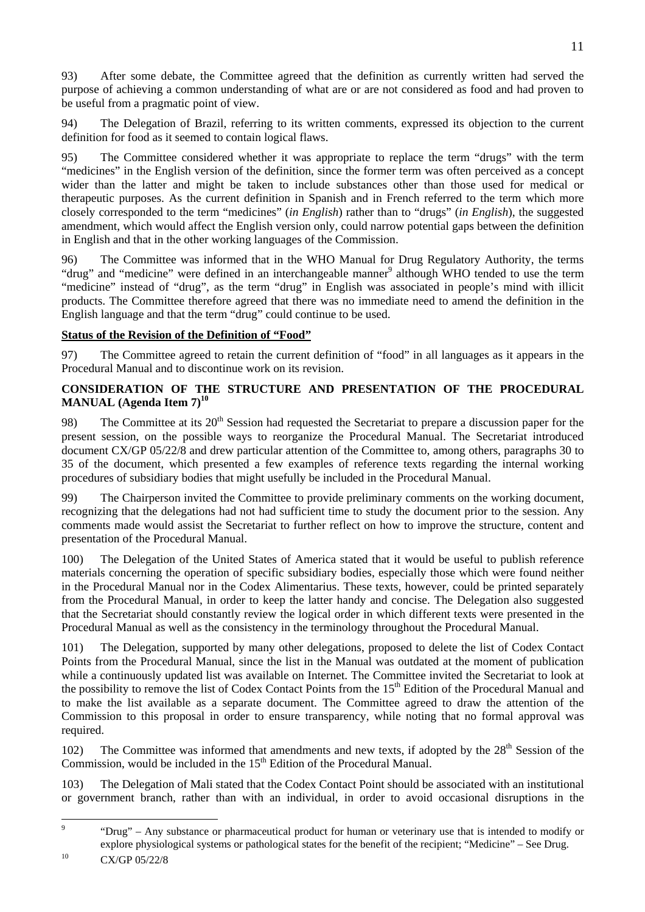93) After some debate, the Committee agreed that the definition as currently written had served the purpose of achieving a common understanding of what are or are not considered as food and had proven to be useful from a pragmatic point of view.

94) The Delegation of Brazil, referring to its written comments, expressed its objection to the current definition for food as it seemed to contain logical flaws.

95) The Committee considered whether it was appropriate to replace the term "drugs" with the term "medicines" in the English version of the definition, since the former term was often perceived as a concept wider than the latter and might be taken to include substances other than those used for medical or therapeutic purposes. As the current definition in Spanish and in French referred to the term which more closely corresponded to the term "medicines" (*in English*) rather than to "drugs" (*in English*), the suggested amendment, which would affect the English version only, could narrow potential gaps between the definition in English and that in the other working languages of the Commission.

96) The Committee was informed that in the WHO Manual for Drug Regulatory Authority, the terms "drug" and "medicine" were defined in an interchangeable manner<sup>[9](#page-14-0)</sup> although WHO tended to use the term "medicine" instead of "drug", as the term "drug" in English was associated in people's mind with illicit products. The Committee therefore agreed that there was no immediate need to amend the definition in the English language and that the term "drug" could continue to be used.

# **Status of the Revision of the Definition of "Food"**

97) The Committee agreed to retain the current definition of "food" in all languages as it appears in the Procedural Manual and to discontinue work on its revision.

# **CONSIDERATION OF THE STRUCTURE AND PRESENTATION OF THE PROCEDURAL MANUAL (Agenda Item 7)[10](#page-14-1)**

98) The Committee at its  $20<sup>th</sup>$  Session had requested the Secretariat to prepare a discussion paper for the present session, on the possible ways to reorganize the Procedural Manual. The Secretariat introduced document CX/GP 05/22/8 and drew particular attention of the Committee to, among others, paragraphs 30 to 35 of the document, which presented a few examples of reference texts regarding the internal working procedures of subsidiary bodies that might usefully be included in the Procedural Manual.

99) The Chairperson invited the Committee to provide preliminary comments on the working document, recognizing that the delegations had not had sufficient time to study the document prior to the session. Any comments made would assist the Secretariat to further reflect on how to improve the structure, content and presentation of the Procedural Manual.

100) The Delegation of the United States of America stated that it would be useful to publish reference materials concerning the operation of specific subsidiary bodies, especially those which were found neither in the Procedural Manual nor in the Codex Alimentarius. These texts, however, could be printed separately from the Procedural Manual, in order to keep the latter handy and concise. The Delegation also suggested that the Secretariat should constantly review the logical order in which different texts were presented in the Procedural Manual as well as the consistency in the terminology throughout the Procedural Manual.

101) The Delegation, supported by many other delegations, proposed to delete the list of Codex Contact Points from the Procedural Manual, since the list in the Manual was outdated at the moment of publication while a continuously updated list was available on Internet. The Committee invited the Secretariat to look at the possibility to remove the list of Codex Contact Points from the 15<sup>th</sup> Edition of the Procedural Manual and to make the list available as a separate document. The Committee agreed to draw the attention of the Commission to this proposal in order to ensure transparency, while noting that no formal approval was required.

102) The Committee was informed that amendments and new texts, if adopted by the  $28<sup>th</sup>$  Session of the Commission, would be included in the  $15<sup>th</sup>$  Edition of the Procedural Manual.

103) The Delegation of Mali stated that the Codex Contact Point should be associated with an institutional or government branch, rather than with an individual, in order to avoid occasional disruptions in the

<span id="page-14-0"></span><sup>-&</sup>lt;br>9 "Drug" – Any substance or pharmaceutical product for human or veterinary use that is intended to modify or explore physiological systems or pathological states for the benefit of the recipient; "Medicine" – See Drug.

<span id="page-14-1"></span><sup>10</sup> CX/GP 05/22/8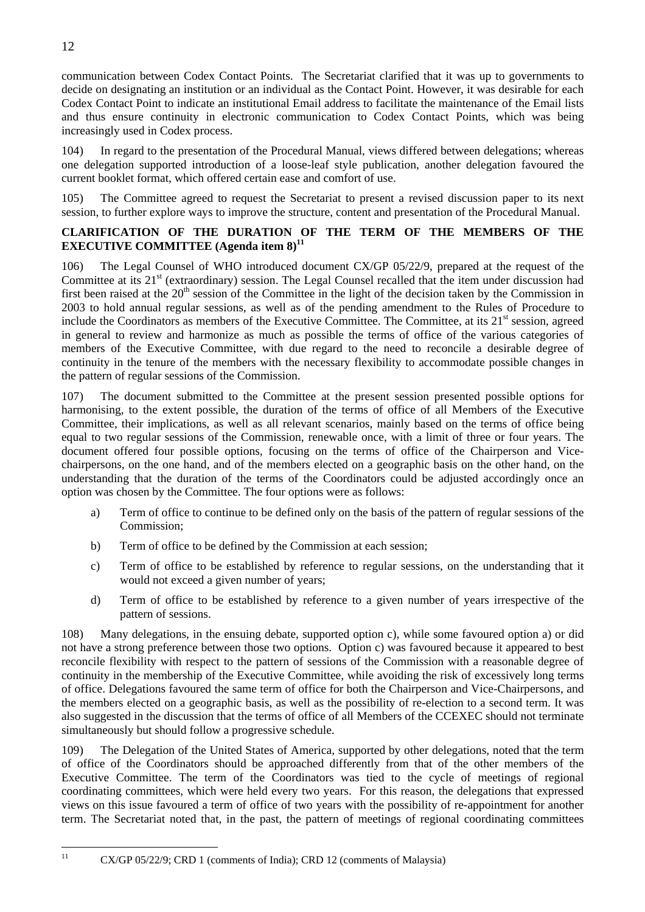communication between Codex Contact Points. The Secretariat clarified that it was up to governments to decide on designating an institution or an individual as the Contact Point. However, it was desirable for each Codex Contact Point to indicate an institutional Email address to facilitate the maintenance of the Email lists and thus ensure continuity in electronic communication to Codex Contact Points, which was being increasingly used in Codex process.

104) In regard to the presentation of the Procedural Manual, views differed between delegations; whereas one delegation supported introduction of a loose-leaf style publication, another delegation favoured the current booklet format, which offered certain ease and comfort of use.

105) The Committee agreed to request the Secretariat to present a revised discussion paper to its next session, to further explore ways to improve the structure, content and presentation of the Procedural Manual.

# **CLARIFICATION OF THE DURATION OF THE TERM OF THE MEMBERS OF THE EXECUTIVE COMMITTEE (Agenda item 8)[11](#page-15-0)**

106) The Legal Counsel of WHO introduced document CX/GP 05/22/9, prepared at the request of the Committee at its 21<sup>st</sup> (extraordinary) session. The Legal Counsel recalled that the item under discussion had first been raised at the  $20<sup>th</sup>$  session of the Committee in the light of the decision taken by the Commission in 2003 to hold annual regular sessions, as well as of the pending amendment to the Rules of Procedure to include the Coordinators as members of the Executive Committee. The Committee, at its 21<sup>st</sup> session, agreed in general to review and harmonize as much as possible the terms of office of the various categories of members of the Executive Committee, with due regard to the need to reconcile a desirable degree of continuity in the tenure of the members with the necessary flexibility to accommodate possible changes in the pattern of regular sessions of the Commission.

107) The document submitted to the Committee at the present session presented possible options for harmonising, to the extent possible, the duration of the terms of office of all Members of the Executive Committee, their implications, as well as all relevant scenarios, mainly based on the terms of office being equal to two regular sessions of the Commission, renewable once, with a limit of three or four years. The document offered four possible options, focusing on the terms of office of the Chairperson and Vicechairpersons, on the one hand, and of the members elected on a geographic basis on the other hand, on the understanding that the duration of the terms of the Coordinators could be adjusted accordingly once an option was chosen by the Committee. The four options were as follows:

- a) Term of office to continue to be defined only on the basis of the pattern of regular sessions of the Commission;
- b) Term of office to be defined by the Commission at each session;
- c) Term of office to be established by reference to regular sessions, on the understanding that it would not exceed a given number of years;
- d) Term of office to be established by reference to a given number of years irrespective of the pattern of sessions.

108) Many delegations, in the ensuing debate, supported option c), while some favoured option a) or did not have a strong preference between those two options. Option c) was favoured because it appeared to best reconcile flexibility with respect to the pattern of sessions of the Commission with a reasonable degree of continuity in the membership of the Executive Committee, while avoiding the risk of excessively long terms of office. Delegations favoured the same term of office for both the Chairperson and Vice-Chairpersons, and the members elected on a geographic basis, as well as the possibility of re-election to a second term. It was also suggested in the discussion that the terms of office of all Members of the CCEXEC should not terminate simultaneously but should follow a progressive schedule.

109) The Delegation of the United States of America, supported by other delegations, noted that the term of office of the Coordinators should be approached differently from that of the other members of the Executive Committee. The term of the Coordinators was tied to the cycle of meetings of regional coordinating committees, which were held every two years. For this reason, the delegations that expressed views on this issue favoured a term of office of two years with the possibility of re-appointment for another term. The Secretariat noted that, in the past, the pattern of meetings of regional coordinating committees

<span id="page-15-0"></span>CX/GP 05/22/9; CRD 1 (comments of India); CRD 12 (comments of Malaysia)

 $11$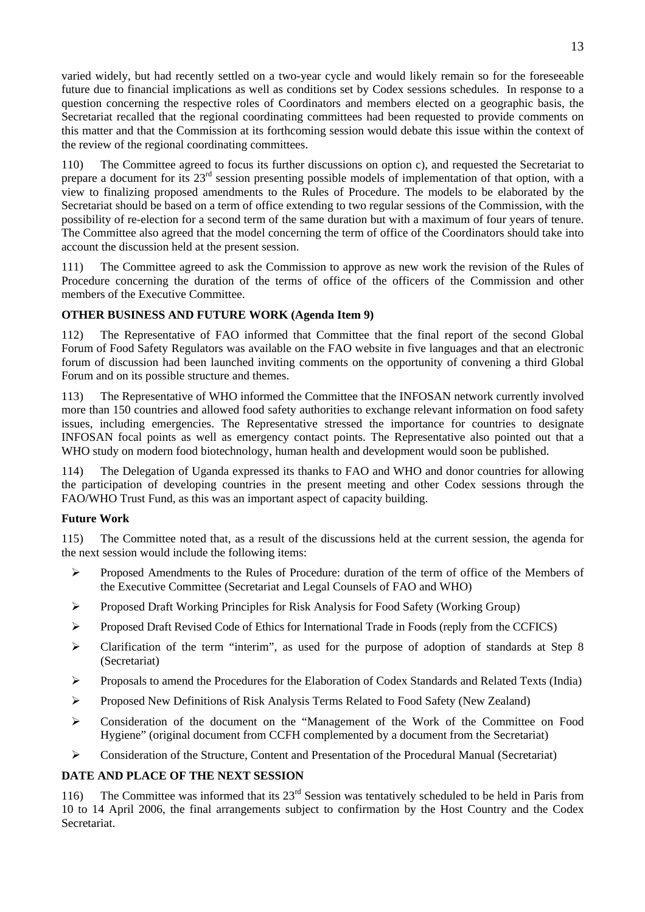varied widely, but had recently settled on a two-year cycle and would likely remain so for the foreseeable future due to financial implications as well as conditions set by Codex sessions schedules. In response to a question concerning the respective roles of Coordinators and members elected on a geographic basis, the Secretariat recalled that the regional coordinating committees had been requested to provide comments on this matter and that the Commission at its forthcoming session would debate this issue within the context of the review of the regional coordinating committees.

110) The Committee agreed to focus its further discussions on option c), and requested the Secretariat to prepare a document for its 23rd session presenting possible models of implementation of that option, with a view to finalizing proposed amendments to the Rules of Procedure. The models to be elaborated by the Secretariat should be based on a term of office extending to two regular sessions of the Commission, with the possibility of re-election for a second term of the same duration but with a maximum of four years of tenure. The Committee also agreed that the model concerning the term of office of the Coordinators should take into account the discussion held at the present session.

111) The Committee agreed to ask the Commission to approve as new work the revision of the Rules of Procedure concerning the duration of the terms of office of the officers of the Commission and other members of the Executive Committee.

# **OTHER BUSINESS AND FUTURE WORK (Agenda Item 9)**

112) The Representative of FAO informed that Committee that the final report of the second Global Forum of Food Safety Regulators was available on the FAO website in five languages and that an electronic forum of discussion had been launched inviting comments on the opportunity of convening a third Global Forum and on its possible structure and themes.

113) The Representative of WHO informed the Committee that the INFOSAN network currently involved more than 150 countries and allowed food safety authorities to exchange relevant information on food safety issues, including emergencies. The Representative stressed the importance for countries to designate INFOSAN focal points as well as emergency contact points. The Representative also pointed out that a WHO study on modern food biotechnology, human health and development would soon be published.

114) The Delegation of Uganda expressed its thanks to FAO and WHO and donor countries for allowing the participation of developing countries in the present meeting and other Codex sessions through the FAO/WHO Trust Fund, as this was an important aspect of capacity building.

# **Future Work**

115) The Committee noted that, as a result of the discussions held at the current session, the agenda for the next session would include the following items:

- ¾ Proposed Amendments to the Rules of Procedure: duration of the term of office of the Members of the Executive Committee (Secretariat and Legal Counsels of FAO and WHO)
- ¾ Proposed Draft Working Principles for Risk Analysis for Food Safety (Working Group)
- ¾ Proposed Draft Revised Code of Ethics for International Trade in Foods (reply from the CCFICS)
- $\triangleright$  Clarification of the term "interim", as used for the purpose of adoption of standards at Step 8 (Secretariat)
- $\triangleright$  Proposals to amend the Procedures for the Elaboration of Codex Standards and Related Texts (India)
- ¾ Proposed New Definitions of Risk Analysis Terms Related to Food Safety (New Zealand)
- ¾ Consideration of the document on the "Management of the Work of the Committee on Food Hygiene" (original document from CCFH complemented by a document from the Secretariat)
- ¾ Consideration of the Structure, Content and Presentation of the Procedural Manual (Secretariat)

# **DATE AND PLACE OF THE NEXT SESSION**

116) The Committee was informed that its 23<sup>rd</sup> Session was tentatively scheduled to be held in Paris from 10 to 14 April 2006, the final arrangements subject to confirmation by the Host Country and the Codex Secretariat.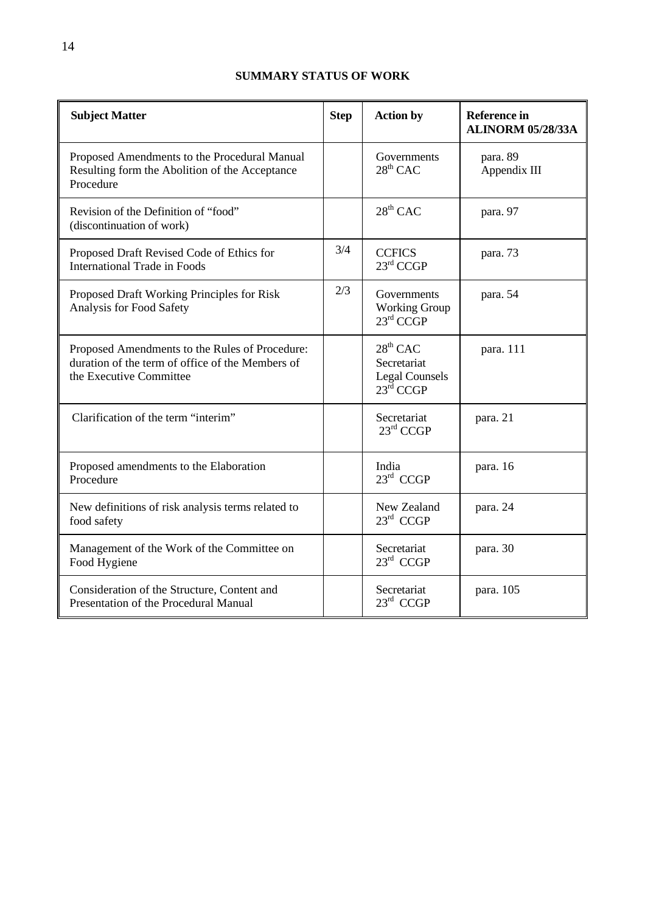# **SUMMARY STATUS OF WORK**

| <b>Subject Matter</b>                                                                                                         | <b>Step</b> | <b>Action by</b>                                                                          | <b>Reference</b> in<br><b>ALINORM 05/28/33A</b> |
|-------------------------------------------------------------------------------------------------------------------------------|-------------|-------------------------------------------------------------------------------------------|-------------------------------------------------|
| Proposed Amendments to the Procedural Manual<br>Resulting form the Abolition of the Acceptance<br>Procedure                   |             | Governments<br>$28^{th}$ CAC                                                              | para. 89<br>Appendix III                        |
| Revision of the Definition of "food"<br>(discontinuation of work)                                                             |             | $28^{th}$ CAC                                                                             | para. 97                                        |
| Proposed Draft Revised Code of Ethics for<br><b>International Trade in Foods</b>                                              | 3/4         | <b>CCFICS</b><br>$23^{\text{rd}}$ CCGP                                                    | para. 73                                        |
| Proposed Draft Working Principles for Risk<br>Analysis for Food Safety                                                        | 2/3         | Governments<br><b>Working Group</b><br>$23rd$ CCGP                                        | para. 54                                        |
| Proposed Amendments to the Rules of Procedure:<br>duration of the term of office of the Members of<br>the Executive Committee |             | $28^{th}$ CAC<br>Secretariat<br><b>Legal Counsels</b><br>$23^{\overline{\text{rd}}}$ CCGP | para. 111                                       |
| Clarification of the term "interim"                                                                                           |             | Secretariat<br>23rd CCGP                                                                  | para. 21                                        |
| Proposed amendments to the Elaboration<br>Procedure                                                                           |             | India<br>$23rd$ CCGP                                                                      | para. 16                                        |
| New definitions of risk analysis terms related to<br>food safety                                                              |             | New Zealand<br>$23rd$ CCGP                                                                | para. 24                                        |
| Management of the Work of the Committee on<br>Food Hygiene                                                                    |             | Secretariat<br>$23rd$ CCGP                                                                | para. 30                                        |
| Consideration of the Structure, Content and<br>Presentation of the Procedural Manual                                          |             | Secretariat<br>$23rd$ CCGP                                                                | para. 105                                       |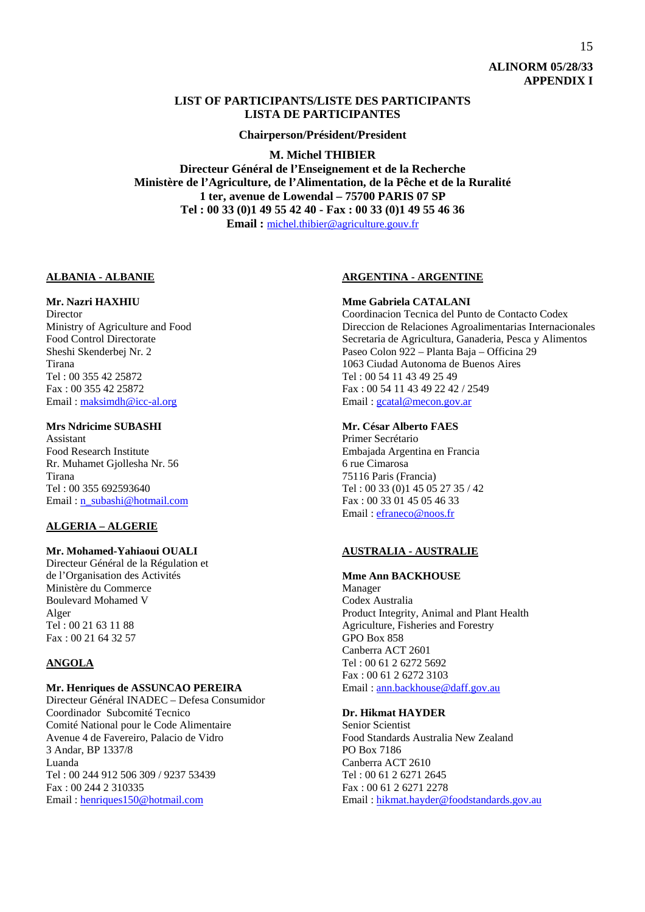15

# **LIST OF PARTICIPANTS/LISTE DES PARTICIPANTS LISTA DE PARTICIPANTES**

**Chairperson/Président/President** 

**M. Michel THIBIER Directeur Général de l'Enseignement et de la Recherche Ministère de l'Agriculture, de l'Alimentation, de la Pêche et de la Ruralité 1 ter, avenue de Lowendal – 75700 PARIS 07 SP Tel : 00 33 (0)1 49 55 42 40 - Fax : 00 33 (0)1 49 55 46 36 Email :** michel.thibier@agriculture.gouv.fr

## **ALBANIA - ALBANIE**

# **Mr. Nazri HAXHIU**

Director Ministry of Agriculture and Food Food Control Directorate Sheshi Skenderbej Nr. 2 Tirana Tel : 00 355 42 25872 Fax : 00 355 42 25872 Email : maksimdh@icc-al.org

# **Mrs Ndricime SUBASHI**

Assistant Food Research Institute Rr. Muhamet Gjollesha Nr. 56 Tirana Tel : 00 355 692593640 Email : n\_subashi@hotmail.com

# **ALGERIA – ALGERIE**

# **Mr. Mohamed-Yahiaoui OUALI**

Directeur Général de la Régulation et de l'Organisation des Activités Ministère du Commerce Boulevard Mohamed V Alger Tel : 00 21 63 11 88 Fax : 00 21 64 32 57

# **ANGOLA**

#### **Mr. Henriques de ASSUNCAO PEREIRA**

Directeur Général INADEC – Defesa Consumidor Coordinador Subcomité Tecnico Comité National pour le Code Alimentaire Avenue 4 de Favereiro, Palacio de Vidro 3 Andar, BP 1337/8 Luanda Tel : 00 244 912 506 309 / 9237 53439 Fax : 00 244 2 310335 Email : henriques150@hotmail.com

## **ARGENTINA - ARGENTINE**

#### **Mme Gabriela CATALANI**

Coordinacion Tecnica del Punto de Contacto Codex Direccion de Relaciones Agroalimentarias Internacionales Secretaria de Agricultura, Ganaderia, Pesca y Alimentos Paseo Colon 922 – Planta Baja – Officina 29 1063 Ciudad Autonoma de Buenos Aires Tel : 00 54 11 43 49 25 49 Fax : 00 54 11 43 49 22 42 / 2549 Email : gcatal@mecon.gov.ar

## **Mr. César Alberto FAES**

Primer Secrétario Embajada Argentina en Francia 6 rue Cimarosa 75116 Paris (Francia) Tel : 00 33 (0)1 45 05 27 35 / 42 Fax : 00 33 01 45 05 46 33 Email : efraneco@noos.fr

## **AUSTRALIA - AUSTRALIE**

#### **Mme Ann BACKHOUSE**

Manager Codex Australia Product Integrity, Animal and Plant Health Agriculture, Fisheries and Forestry GPO Box 858 Canberra ACT 2601 Tel : 00 61 2 6272 5692 Fax : 00 61 2 6272 3103 Email : ann.backhouse@daff.gov.au

#### **Dr. Hikmat HAYDER**

Senior Scientist Food Standards Australia New Zealand PO Box 7186 Canberra ACT 2610 Tel : 00 61 2 6271 2645 Fax : 00 61 2 6271 2278 Email : hikmat.hayder@foodstandards.gov.au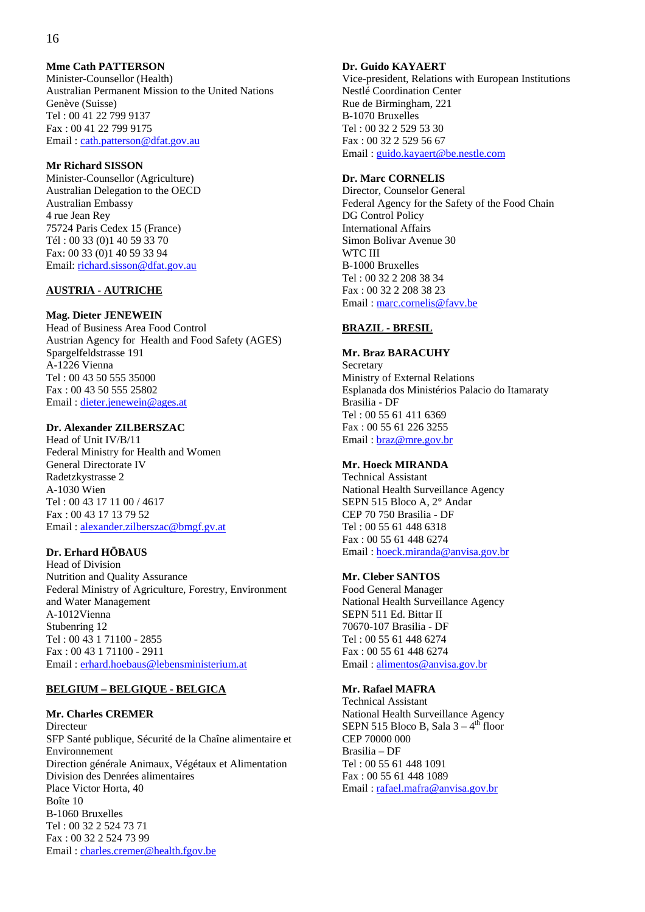## **Mme Cath PATTERSON**

Minister-Counsellor (Health) Australian Permanent Mission to the United Nations Genève (Suisse) Tel : 00 41 22 799 9137 Fax : 00 41 22 799 9175 Email : cath.patterson@dfat.gov.au

#### **Mr Richard SISSON**

Minister-Counsellor (Agriculture) Australian Delegation to the OECD Australian Embassy 4 rue Jean Rey 75724 Paris Cedex 15 (France) Tél : 00 33 (0)1 40 59 33 70 Fax: 00 33 (0)1 40 59 33 94 Email: richard.sisson@dfat.gov.au

## **AUSTRIA - AUTRICHE**

## **Mag. Dieter JENEWEIN**

Head of Business Area Food Control Austrian Agency for Health and Food Safety (AGES) Spargelfeldstrasse 191 A-1226 Vienna Tel : 00 43 50 555 35000 Fax : 00 43 50 555 25802 Email : dieter.jenewein@ages.at

#### **Dr. Alexander ZILBERSZAC**

Head of Unit IV/B/11 Federal Ministry for Health and Women General Directorate IV Radetzkystrasse 2 A-1030 Wien Tel : 00 43 17 11 00 / 4617 Fax : 00 43 17 13 79 52 Email : alexander.zilberszac@bmgf.gv.at

# **Dr. Erhard HÖBAUS**

Head of Division Nutrition and Quality Assurance Federal Ministry of Agriculture, Forestry, Environment and Water Management A-1012Vienna Stubenring 12 Tel : 00 43 1 71100 - 2855 Fax : 00 43 1 71100 - 2911 Email : erhard.hoebaus@lebensministerium.at

## **BELGIUM – BELGIQUE - BELGICA**

#### **Mr. Charles CREMER**

Directeur SFP Santé publique, Sécurité de la Chaîne alimentaire et Environnement Direction générale Animaux, Végétaux et Alimentation Division des Denrées alimentaires Place Victor Horta, 40 Boîte 10 B-1060 Bruxelles Tel : 00 32 2 524 73 71 Fax : 00 32 2 524 73 99 Email : charles.cremer@health.fgov.be

## **Dr. Guido KAYAERT**

Vice-president, Relations with European Institutions Nestlé Coordination Center Rue de Birmingham, 221 B-1070 Bruxelles Tel : 00 32 2 529 53 30 Fax : 00 32 2 529 56 67 Email : guido.kayaert@be.nestle.com

#### **Dr. Marc CORNELIS**

Director, Counselor General Federal Agency for the Safety of the Food Chain DG Control Policy International Affairs Simon Bolivar Avenue 30 WTC III B-1000 Bruxelles Tel : 00 32 2 208 38 34 Fax : 00 32 2 208 38 23 Email : marc.cornelis@favv.be

## **BRAZIL - BRESIL**

## **Mr. Braz BARACUHY**

Secretary Ministry of External Relations Esplanada dos Ministérios Palacio do Itamaraty Brasilia - DF Tel : 00 55 61 411 6369 Fax : 00 55 61 226 3255 Email : braz@mre.gov.br

## **Mr. Hoeck MIRANDA**

Technical Assistant National Health Surveillance Agency SEPN 515 Bloco A, 2° Andar CEP 70 750 Brasilia - DF Tel : 00 55 61 448 6318 Fax : 00 55 61 448 6274 Email : hoeck.miranda@anvisa.gov.br

## **Mr. Cleber SANTOS**

Food General Manager National Health Surveillance Agency SEPN 511 Ed. Bittar II 70670-107 Brasilia - DF Tel : 00 55 61 448 6274 Fax : 00 55 61 448 6274 Email : alimentos@anvisa.gov.br

## **Mr. Rafael MAFRA**

Technical Assistant National Health Surveillance Agency SEPN 515 Bloco B, Sala  $3-4^{\text{th}}$  floor CEP 70000 000 Brasilia – DF Tel : 00 55 61 448 1091 Fax : 00 55 61 448 1089 Email : rafael.mafra@anvisa.gov.br

## 16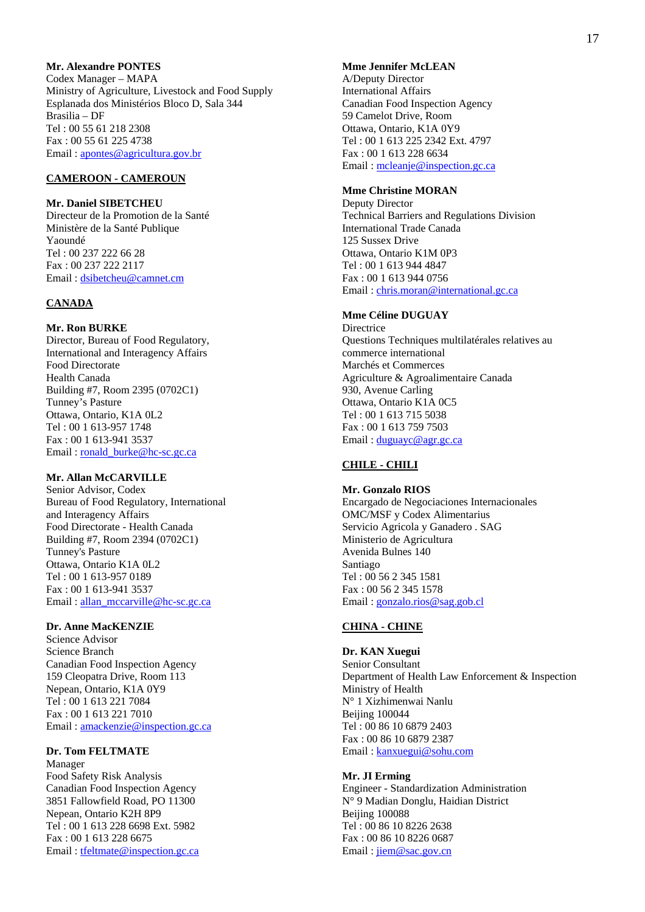## **Mr. Alexandre PONTES**

Codex Manager – MAPA Ministry of Agriculture, Livestock and Food Supply Esplanada dos Ministérios Bloco D, Sala 344 Brasilia – DF Tel : 00 55 61 218 2308 Fax : 00 55 61 225 4738 Email : apontes@agricultura.gov.br

## **CAMEROON - CAMEROUN**

#### **Mr. Daniel SIBETCHEU**

Directeur de la Promotion de la Santé Ministère de la Santé Publique Yaoundé Tel : 00 237 222 66 28 Fax : 00 237 222 2117 Email : dsibetcheu@camnet.cm

#### **CANADA**

# **Mr. Ron BURKE**

Director, Bureau of Food Regulatory, International and Interagency Affairs Food Directorate Health Canada Building #7, Room 2395 (0702C1) Tunney's Pasture Ottawa, Ontario, K1A 0L2 Tel : 00 1 613-957 1748 Fax : 00 1 613-941 3537 Email: ronald\_burke@hc-sc.gc.ca

#### **Mr. Allan McCARVILLE**

Senior Advisor, Codex Bureau of Food Regulatory, International and Interagency Affairs Food Directorate - Health Canada Building #7, Room 2394 (0702C1) Tunney's Pasture Ottawa, Ontario K1A 0L2 Tel : 00 1 613-957 0189 Fax : 00 1 613-941 3537 Email : allan\_mccarville@hc-sc.gc.ca

#### **Dr. Anne MacKENZIE**

Science Advisor Science Branch Canadian Food Inspection Agency 159 Cleopatra Drive, Room 113 Nepean, Ontario, K1A 0Y9 Tel : 00 1 613 221 7084 Fax : 00 1 613 221 7010 Email : amackenzie@inspection.gc.ca

## **Dr. Tom FELTMATE**

Manager Food Safety Risk Analysis Canadian Food Inspection Agency 3851 Fallowfield Road, PO 11300 Nepean, Ontario K2H 8P9 Tel : 00 1 613 228 6698 Ext. 5982 Fax : 00 1 613 228 6675 Email : tfeltmate@inspection.gc.ca

#### **Mme Jennifer McLEAN**

A/Deputy Director International Affairs Canadian Food Inspection Agency 59 Camelot Drive, Room Ottawa, Ontario, K1A 0Y9 Tel : 00 1 613 225 2342 Ext. 4797 Fax : 00 1 613 228 6634 Email : mcleanje@inspection.gc.ca

#### **Mme Christine MORAN**

Deputy Director Technical Barriers and Regulations Division International Trade Canada 125 Sussex Drive Ottawa, Ontario K1M 0P3 Tel : 00 1 613 944 4847 Fax : 00 1 613 944 0756 Email : chris.moran@international.gc.ca

#### **Mme Céline DUGUAY**

**Directrice** Questions Techniques multilatérales relatives au commerce international Marchés et Commerces Agriculture & Agroalimentaire Canada 930, Avenue Carling Ottawa, Ontario K1A 0C5 Tel : 00 1 613 715 5038 Fax : 00 1 613 759 7503 Email : duguayc@agr.gc.ca

## **CHILE - CHILI**

# **Mr. Gonzalo RIOS**

Encargado de Negociaciones Internacionales OMC/MSF y Codex Alimentarius Servicio Agricola y Ganadero . SAG Ministerio de Agricultura Avenida Bulnes 140 Santiago Tel : 00 56 2 345 1581 Fax : 00 56 2 345 1578 Email : gonzalo.rios@sag.gob.cl

## **CHINA - CHINE**

**Dr. KAN Xuegui**  Senior Consultant Department of Health Law Enforcement & Inspection Ministry of Health N° 1 Xizhimenwai Nanlu Beijing 100044 Tel : 00 86 10 6879 2403 Fax : 00 86 10 6879 2387 Email : kanxuegui@sohu.com

**Mr. JI Erming**  Engineer - Standardization Administration N° 9 Madian Donglu, Haidian District Beijing 100088 Tel : 00 86 10 8226 2638 Fax : 00 86 10 8226 0687 Email : jiem@sac.gov.cn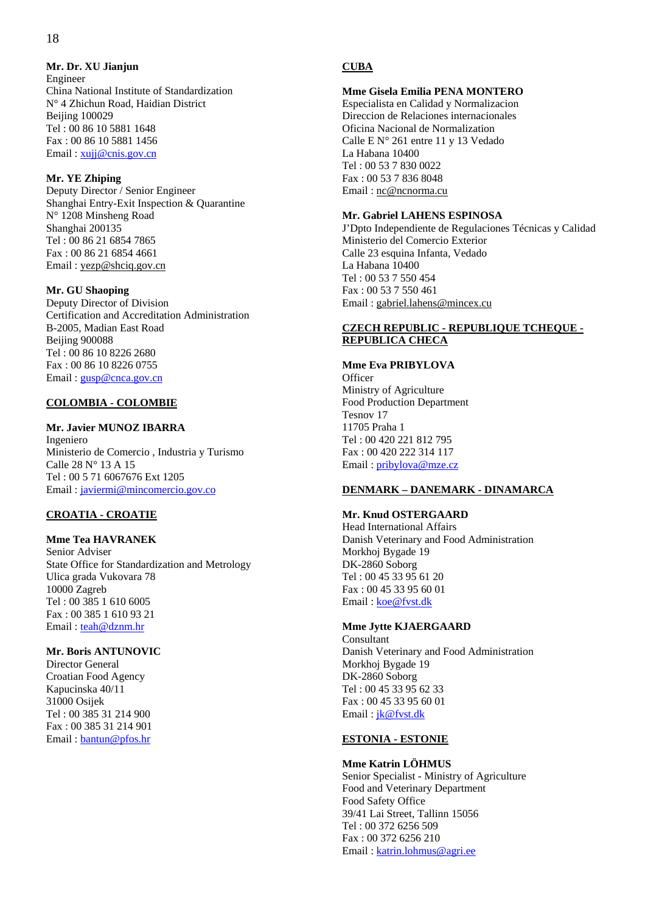# 18

**Mr. Dr. XU Jianjun**  Engineer China National Institute of Standardization N° 4 Zhichun Road, Haidian District Beijing 100029 Tel : 00 86 10 5881 1648 Fax : 00 86 10 5881 1456 Email: xujj@cnis.gov.cn

#### **Mr. YE Zhiping**

Deputy Director / Senior Engineer Shanghai Entry-Exit Inspection & Quarantine N° 1208 Minsheng Road Shanghai 200135 Tel : 00 86 21 6854 7865 Fax : 00 86 21 6854 4661 Email : yezp@shciq.gov.cn

#### **Mr. GU Shaoping**

Deputy Director of Division Certification and Accreditation Administration B-2005, Madian East Road Beijing 900088 Tel : 00 86 10 8226 2680 Fax : 00 86 10 8226 0755 Email : gusp@cnca.gov.cn

# **COLOMBIA - COLOMBIE**

#### **Mr. Javier MUNOZ IBARRA**

Ingeniero Ministerio de Comercio , Industria y Turismo Calle 28 N° 13 A 15 Tel : 00 5 71 6067676 Ext 1205 Email : javiermi@mincomercio.gov.co

# **CROATIA - CROATIE**

## **Mme Tea HAVRANEK**

Senior Adviser State Office for Standardization and Metrology Ulica grada Vukovara 78 10000 Zagreb Tel : 00 385 1 610 6005 Fax : 00 385 1 610 93 21 Email : teah@dznm.hr

#### **Mr. Boris ANTUNOVIC**

Director General Croatian Food Agency Kapucinska 40/11 31000 Osijek Tel : 00 385 31 214 900 Fax : 00 385 31 214 901 Email : bantun@pfos.hr

# **CUBA**

#### **Mme Gisela Emilia PENA MONTERO**

Especialista en Calidad y Normalizacion Direccion de Relaciones internacionales Oficina Nacional de Normalization Calle E N° 261 entre 11 y 13 Vedado La Habana 10400 Tel : 00 53 7 830 0022 Fax : 00 53 7 836 8048 Email : nc@ncnorma.cu

#### **Mr. Gabriel LAHENS ESPINOSA**

J'Dpto Independiente de Regulaciones Técnicas y Calidad Ministerio del Comercio Exterior Calle 23 esquina Infanta, Vedado La Habana 10400 Tel : 00 53 7 550 454 Fax : 00 53 7 550 461 Email : gabriel.lahens@mincex.cu

# **CZECH REPUBLIC - REPUBLIQUE TCHEQUE - REPUBLICA CHECA**

## **Mme Eva PRIBYLOVA**

Officer Ministry of Agriculture Food Production Department Tesnov 17 11705 Praha 1 Tel : 00 420 221 812 795 Fax : 00 420 222 314 117 Email : pribylova@mze.cz

# **DENMARK – DANEMARK - DINAMARCA**

# **Mr. Knud OSTERGAARD**

Head International Affairs Danish Veterinary and Food Administration Morkhoj Bygade 19 DK-2860 Soborg Tel : 00 45 33 95 61 20 Fax : 00 45 33 95 60 01 Email : koe@fvst.dk

# **Mme Jytte KJAERGAARD**

Consultant Danish Veterinary and Food Administration Morkhoj Bygade 19 DK-2860 Soborg Tel : 00 45 33 95 62 33 Fax : 00 45 33 95 60 01 Email: *jk@fvst.dk* 

#### **ESTONIA - ESTONIE**

## **Mme Katrin LÖHMUS**

Senior Specialist - Ministry of Agriculture Food and Veterinary Department Food Safety Office 39/41 Lai Street, Tallinn 15056 Tel : 00 372 6256 509 Fax : 00 372 6256 210 Email : katrin.lohmus@agri.ee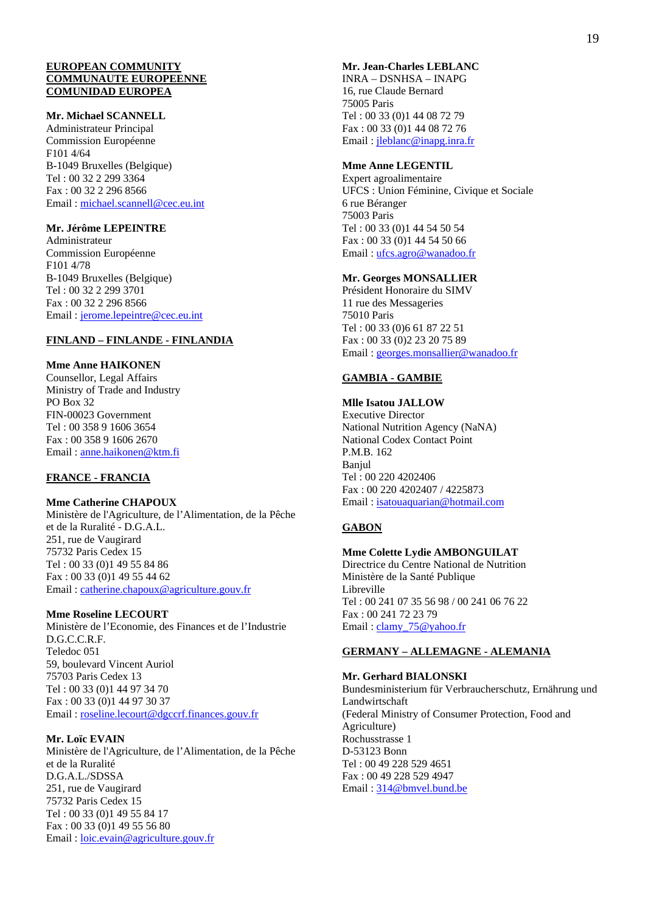#### **EUROPEAN COMMUNITY COMMUNAUTE EUROPEENNE COMUNIDAD EUROPEA**

# **Mr. Michael SCANNELL**

Administrateur Principal Commission Européenne F101 4/64 B-1049 Bruxelles (Belgique) Tel : 00 32 2 299 3364 Fax : 00 32 2 296 8566 Email : michael.scannell@cec.eu.int

# **Mr. Jérôme LEPEINTRE**

Administrateur Commission Européenne F101 4/78 B-1049 Bruxelles (Belgique) Tel : 00 32 2 299 3701 Fax : 00 32 2 296 8566 Email : jerome.lepeintre@cec.eu.int

# **FINLAND – FINLANDE - FINLANDIA**

# **Mme Anne HAIKONEN**

Counsellor, Legal Affairs Ministry of Trade and Industry PO Box 32 FIN-00023 Government Tel : 00 358 9 1606 3654 Fax : 00 358 9 1606 2670 Email : anne.haikonen@ktm.fi

# **FRANCE - FRANCIA**

# **Mme Catherine CHAPOUX**

Ministère de l'Agriculture, de l'Alimentation, de la Pêche et de la Ruralité - D.G.A.L. 251, rue de Vaugirard 75732 Paris Cedex 15 Tel : 00 33 (0)1 49 55 84 86 Fax : 00 33 (0)1 49 55 44 62 Email : catherine.chapoux@agriculture.gouv.fr

## **Mme Roseline LECOURT**

Ministère de l'Economie, des Finances et de l'Industrie D.G.C.C.R.F. Teledoc 051 59, boulevard Vincent Auriol 75703 Paris Cedex 13 Tel : 00 33 (0)1 44 97 34 70 Fax : 00 33 (0)1 44 97 30 37 Email : roseline.lecourt@dgccrf.finances.gouv.fr

## **Mr. Loïc EVAIN**

Ministère de l'Agriculture, de l'Alimentation, de la Pêche et de la Ruralité D.G.A.L./SDSSA 251, rue de Vaugirard 75732 Paris Cedex 15 Tel : 00 33 (0)1 49 55 84 17 Fax : 00 33 (0)1 49 55 56 80 Email : loic.evain@agriculture.gouv.fr

# **Mr. Jean-Charles LEBLANC**

INRA – DSNHSA – INAPG 16, rue Claude Bernard 75005 Paris Tel : 00 33 (0)1 44 08 72 79 Fax : 00 33 (0)1 44 08 72 76 Email : jleblanc@inapg.inra.fr

# **Mme Anne LEGENTIL**

Expert agroalimentaire UFCS : Union Féminine, Civique et Sociale 6 rue Béranger 75003 Paris Tel : 00 33 (0)1 44 54 50 54 Fax : 00 33 (0)1 44 54 50 66 Email : ufcs.agro@wanadoo.fr

#### **Mr. Georges MONSALLIER**

Président Honoraire du SIMV 11 rue des Messageries 75010 Paris Tel : 00 33 (0)6 61 87 22 51 Fax : 00 33 (0)2 23 20 75 89 Email : georges.monsallier@wanadoo.fr

# **GAMBIA - GAMBIE**

## **Mlle Isatou JALLOW**

Executive Director National Nutrition Agency (NaNA) National Codex Contact Point P.M.B. 162 Banjul Tel : 00 220 4202406 Fax : 00 220 4202407 / 4225873 Email : isatouaquarian@hotmail.com

# **GABON**

# **Mme Colette Lydie AMBONGUILAT**

Directrice du Centre National de Nutrition Ministère de la Santé Publique Libreville Tel : 00 241 07 35 56 98 / 00 241 06 76 22 Fax : 00 241 72 23 79 Email : clamy\_75@yahoo.fr

## **GERMANY – ALLEMAGNE - ALEMANIA**

## **Mr. Gerhard BIALONSKI**

Bundesministerium für Verbraucherschutz, Ernährung und Landwirtschaft (Federal Ministry of Consumer Protection, Food and Agriculture) Rochusstrasse 1 D-53123 Bonn Tel : 00 49 228 529 4651 Fax : 00 49 228 529 4947 Email : 314@bmvel.bund.be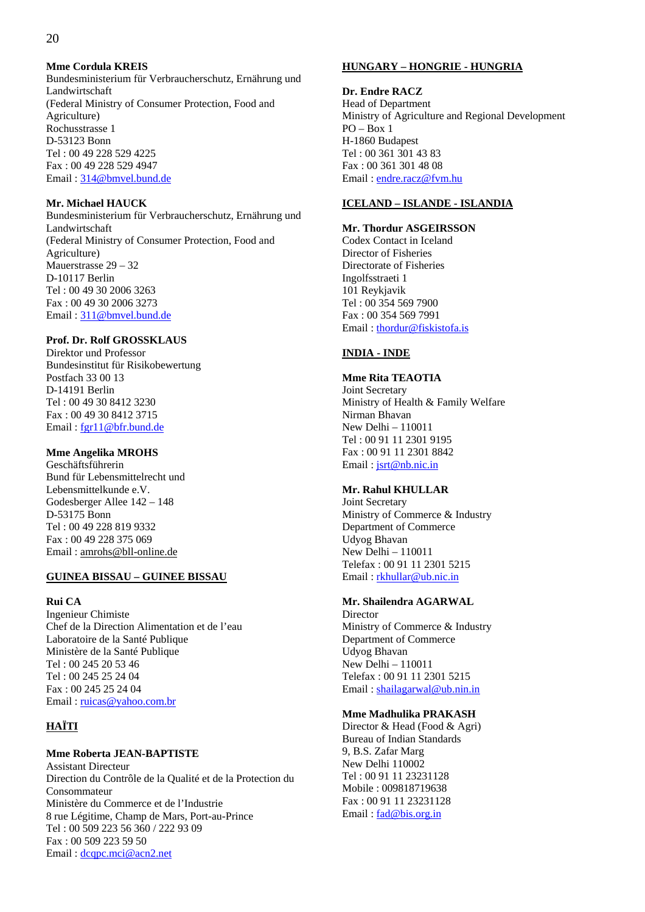# **Mme Cordula KREIS**

Bundesministerium für Verbraucherschutz, Ernährung und Landwirtschaft (Federal Ministry of Consumer Protection, Food and Agriculture) Rochusstrasse 1 D-53123 Bonn Tel : 00 49 228 529 4225 Fax : 00 49 228 529 4947 Email : 314@bmvel.bund.de

# **Mr. Michael HAUCK**

Bundesministerium für Verbraucherschutz, Ernährung und Landwirtschaft (Federal Ministry of Consumer Protection, Food and Agriculture) Mauerstrasse 29 – 32 D-10117 Berlin Tel : 00 49 30 2006 3263 Fax : 00 49 30 2006 3273 Email : 311@bmvel.bund.de

# **Prof. Dr. Rolf GROSSKLAUS**

Direktor und Professor Bundesinstitut für Risikobewertung Postfach 33 00 13 D-14191 Berlin Tel : 00 49 30 8412 3230 Fax : 00 49 30 8412 3715 Email : fgr11@bfr.bund.de

# **Mme Angelika MROHS**

Geschäftsführerin Bund für Lebensmittelrecht und Lebensmittelkunde e.V. Godesberger Allee 142 – 148 D-53175 Bonn Tel : 00 49 228 819 9332 Fax : 00 49 228 375 069 Email : amrohs@bll-online.de

# **GUINEA BISSAU – GUINEE BISSAU**

## **Rui CA**

Ingenieur Chimiste Chef de la Direction Alimentation et de l'eau Laboratoire de la Santé Publique Ministère de la Santé Publique Tel : 00 245 20 53 46 Tel : 00 245 25 24 04 Fax : 00 245 25 24 04 Email : ruicas@yahoo.com.br

# **HAÏTI**

# **Mme Roberta JEAN-BAPTISTE**

Assistant Directeur Direction du Contrôle de la Qualité et de la Protection du Consommateur Ministère du Commerce et de l'Industrie 8 rue Légitime, Champ de Mars, Port-au-Prince Tel : 00 509 223 56 360 / 222 93 09 Fax : 00 509 223 59 50 Email : dcqpc.mci@acn2.net

# **HUNGARY – HONGRIE - HUNGRIA**

# **Dr. Endre RACZ**

Head of Department Ministry of Agriculture and Regional Development  $PO - Box 1$ H-1860 Budapest Tel : 00 361 301 43 83 Fax : 00 361 301 48 08 Email : endre.racz@fvm.hu

# **ICELAND – ISLANDE - ISLANDIA**

# **Mr. Thordur ASGEIRSSON**

Codex Contact in Iceland Director of Fisheries Directorate of Fisheries Ingolfsstraeti 1 101 Reykjavik Tel : 00 354 569 7900 Fax : 00 354 569 7991 Email : thordur@fiskistofa.is

# **INDIA - INDE**

## **Mme Rita TEAOTIA**

Joint Secretary Ministry of Health & Family Welfare Nirman Bhavan New Delhi – 110011 Tel : 00 91 11 2301 9195 Fax : 00 91 11 2301 8842 Email : jsrt@nb.nic.in

## **Mr. Rahul KHULLAR**

Joint Secretary Ministry of Commerce & Industry Department of Commerce Udyog Bhavan New Delhi – 110011 Telefax : 00 91 11 2301 5215 Email : rkhullar@ub.nic.in

## **Mr. Shailendra AGARWAL**

Director Ministry of Commerce & Industry Department of Commerce Udyog Bhavan New Delhi – 110011 Telefax : 00 91 11 2301 5215 Email : shailagarwal@ub.nin.in

## **Mme Madhulika PRAKASH**

Director & Head (Food & Agri) Bureau of Indian Standards 9, B.S. Zafar Marg New Delhi 110002 Tel : 00 91 11 23231128 Mobile : 009818719638 Fax : 00 91 11 23231128 Email : fad@bis.org.in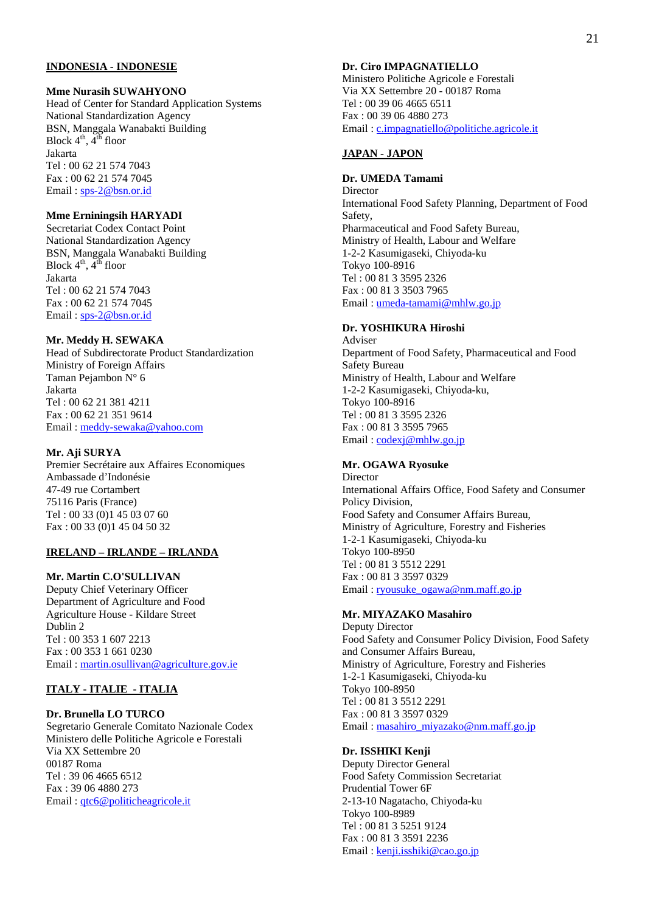#### **INDONESIA - INDONESIE**

#### **Mme Nurasih SUWAHYONO**

Head of Center for Standard Application Systems National Standardization Agency BSN, Manggala Wanabakti Building Block  $4<sup>th</sup>$ ,  $4<sup>th</sup>$  floor Jakarta Tel : 00 62 21 574 7043 Fax : 00 62 21 574 7045 Email : sps-2@bsn.or.id

#### **Mme Erniningsih HARYADI**

Secretariat Codex Contact Point National Standardization Agency BSN, Manggala Wanabakti Building Block  $4<sup>th</sup>$ ,  $4<sup>th</sup>$  floor Jakarta Tel : 00 62 21 574 7043 Fax : 00 62 21 574 7045 Email : sps-2@bsn.or.id

# **Mr. Meddy H. SEWAKA**

Head of Subdirectorate Product Standardization Ministry of Foreign Affairs Taman Pejambon N° 6 Jakarta Tel : 00 62 21 381 4211 Fax : 00 62 21 351 9614 Email : meddy-sewaka@yahoo.com

#### **Mr. Aji SURYA**

Premier Secrétaire aux Affaires Economiques Ambassade d'Indonésie 47-49 rue Cortambert 75116 Paris (France) Tel : 00 33 (0)1 45 03 07 60 Fax : 00 33 (0)1 45 04 50 32

#### **IRELAND – IRLANDE – IRLANDA**

#### **Mr. Martin C.O'SULLIVAN**

Deputy Chief Veterinary Officer Department of Agriculture and Food Agriculture House - Kildare Street Dublin 2 Tel : 00 353 1 607 2213 Fax : 00 353 1 661 0230 Email : martin.osullivan@agriculture.gov.ie

#### **ITALY - ITALIE - ITALIA**

#### **Dr. Brunella LO TURCO**

Segretario Generale Comitato Nazionale Codex Ministero delle Politiche Agricole e Forestali Via XX Settembre 20 00187 Roma Tel : 39 06 4665 6512 Fax : 39 06 4880 273 Email : qtc6@politicheagricole.it

## **Dr. Ciro IMPAGNATIELLO**  Ministero Politiche Agricole e Forestali Via XX Settembre 20 - 00187 Roma Tel : 00 39 06 4665 6511 Fax : 00 39 06 4880 273 Email : c.impagnatiello@politiche.agricole.it

## **JAPAN - JAPON**

#### **Dr. UMEDA Tamami**

**Director** International Food Safety Planning, Department of Food Safety, Pharmaceutical and Food Safety Bureau, Ministry of Health, Labour and Welfare 1-2-2 Kasumigaseki, Chiyoda-ku Tokyo 100-8916 Tel : 00 81 3 3595 2326 Fax : 00 81 3 3503 7965 Email : umeda-tamami@mhlw.go.jp

#### **Dr. YOSHIKURA Hiroshi**

Adviser Department of Food Safety, Pharmaceutical and Food Safety Bureau Ministry of Health, Labour and Welfare 1-2-2 Kasumigaseki, Chiyoda-ku, Tokyo 100-8916 Tel : 00 81 3 3595 2326 Fax : 00 81 3 3595 7965 Email: codexj@mhlw.go.jp

#### **Mr. OGAWA Ryosuke**

Director International Affairs Office, Food Safety and Consumer Policy Division, Food Safety and Consumer Affairs Bureau, Ministry of Agriculture, Forestry and Fisheries 1-2-1 Kasumigaseki, Chiyoda-ku Tokyo 100-8950 Tel : 00 81 3 5512 2291 Fax : 00 81 3 3597 0329 Email : ryousuke\_ogawa@nm.maff.go.jp

#### **Mr. MIYAZAKO Masahiro**

Deputy Director Food Safety and Consumer Policy Division, Food Safety and Consumer Affairs Bureau, Ministry of Agriculture, Forestry and Fisheries 1-2-1 Kasumigaseki, Chiyoda-ku Tokyo 100-8950 Tel : 00 81 3 5512 2291 Fax : 00 81 3 3597 0329 Email : masahiro\_miyazako@nm.maff.go.jp

#### **Dr. ISSHIKI Kenji**

Deputy Director General Food Safety Commission Secretariat Prudential Tower 6F 2-13-10 Nagatacho, Chiyoda-ku Tokyo 100-8989 Tel : 00 81 3 5251 9124 Fax : 00 81 3 3591 2236 Email : kenji.isshiki@cao.go.jp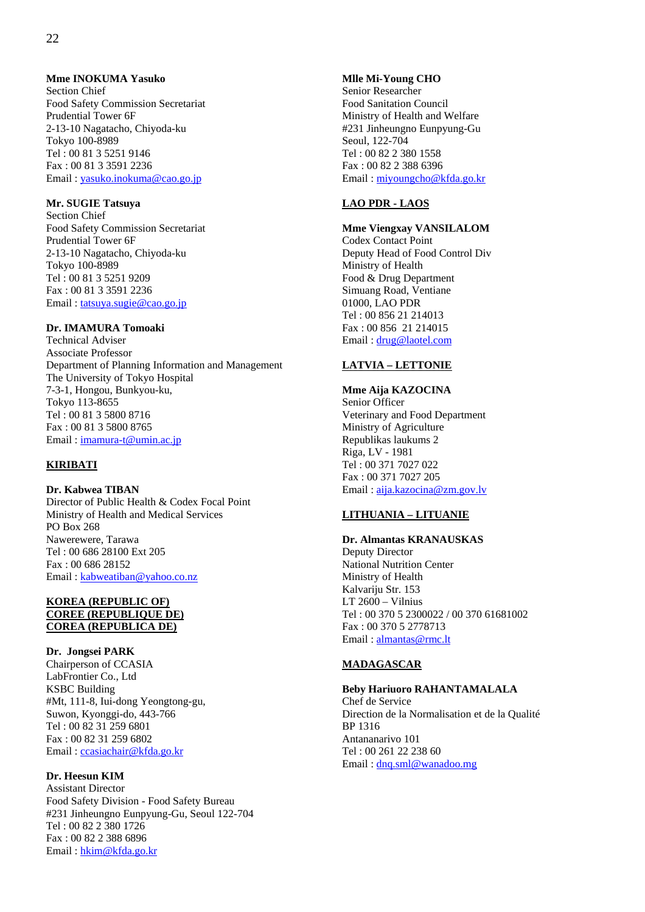#### **Mme INOKUMA Yasuko**

Section Chief Food Safety Commission Secretariat Prudential Tower 6F 2-13-10 Nagatacho, Chiyoda-ku Tokyo 100-8989 Tel : 00 81 3 5251 9146 Fax : 00 81 3 3591 2236 Email : yasuko.inokuma@cao.go.jp

#### **Mr. SUGIE Tatsuya**

Section Chief Food Safety Commission Secretariat Prudential Tower 6F 2-13-10 Nagatacho, Chiyoda-ku Tokyo 100-8989 Tel : 00 81 3 5251 9209 Fax : 00 81 3 3591 2236 Email : tatsuya.sugie@cao.go.jp

# **Dr. IMAMURA Tomoaki**

Technical Adviser Associate Professor Department of Planning Information and Management The University of Tokyo Hospital 7-3-1, Hongou, Bunkyou-ku, Tokyo 113-8655 Tel : 00 81 3 5800 8716 Fax : 00 81 3 5800 8765 Email : imamura-t@umin.ac.jp

# **KIRIBATI**

**Dr. Kabwea TIBAN**  Director of Public Health & Codex Focal Point Ministry of Health and Medical Services PO Box 268 Nawerewere, Tarawa Tel : 00 686 28100 Ext 205 Fax : 00 686 28152 Email : kabweatiban@yahoo.co.nz

## **KOREA (REPUBLIC OF) COREE (REPUBLIQUE DE) COREA (REPUBLICA DE)**

**Dr. Jongsei PARK** 

Chairperson of CCASIA LabFrontier Co., Ltd KSBC Building #Mt, 111-8, Iui-dong Yeongtong-gu, Suwon, Kyonggi-do, 443-766 Tel : 00 82 31 259 6801 Fax : 00 82 31 259 6802 Email : ccasiachair@kfda.go.kr

# **Dr. Heesun KIM**

Assistant Director Food Safety Division - Food Safety Bureau #231 Jinheungno Eunpyung-Gu, Seoul 122-704 Tel : 00 82 2 380 1726 Fax : 00 82 2 388 6896 Email : hkim@kfda.go.kr

#### **Mlle Mi-Young CHO**

Senior Researcher Food Sanitation Council Ministry of Health and Welfare #231 Jinheungno Eunpyung-Gu Seoul, 122-704 Tel : 00 82 2 380 1558 Fax : 00 82 2 388 6396 Email : miyoungcho@kfda.go.kr

## **LAO PDR - LAOS**

**Mme Viengxay VANSILALOM**  Codex Contact Point Deputy Head of Food Control Div Ministry of Health Food & Drug Department Simuang Road, Ventiane 01000, LAO PDR Tel : 00 856 21 214013 Fax : 00 856 21 214015 Email : drug@laotel.com

## **LATVIA – LETTONIE**

#### **Mme Aija KAZOCINA**  Senior Officer Veterinary and Food Department Ministry of Agriculture Republikas laukums 2 Riga, LV - 1981 Tel : 00 371 7027 022 Fax : 00 371 7027 205 Email : aija.kazocina@zm.gov.lv

## **LITHUANIA – LITUANIE**

#### **Dr. Almantas KRANAUSKAS**

Deputy Director National Nutrition Center Ministry of Health Kalvariju Str. 153 LT 2600 – Vilnius Tel : 00 370 5 2300022 / 00 370 61681002 Fax : 00 370 5 2778713 Email : almantas@rmc.lt

## **MADAGASCAR**

## **Beby Hariuoro RAHANTAMALALA**  Chef de Service Direction de la Normalisation et de la Qualité BP 1316 Antananarivo 101 Tel : 00 261 22 238 60 Email : dnq.sml@wanadoo.mg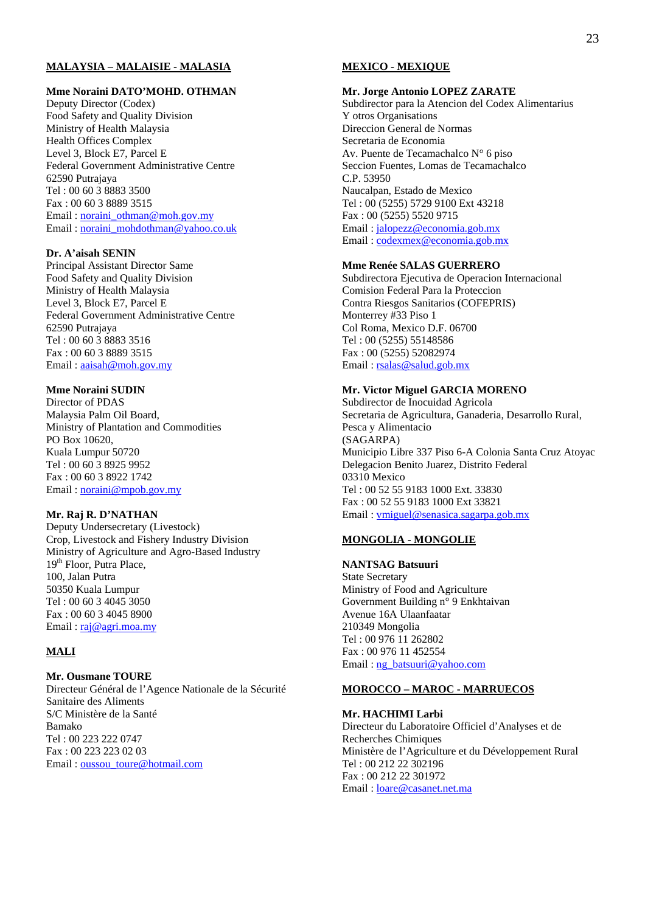#### **MALAYSIA – MALAISIE - MALASIA**

#### **Mme Noraini DATO'MOHD. OTHMAN**

Deputy Director (Codex) Food Safety and Quality Division Ministry of Health Malaysia Health Offices Complex Level 3, Block E7, Parcel E Federal Government Administrative Centre 62590 Putrajaya Tel : 00 60 3 8883 3500 Fax : 00 60 3 8889 3515 Email: noraini\_othman@moh.gov.my Email: noraini\_mohdothman@yahoo.co.uk

#### **Dr. A'aisah SENIN**

Principal Assistant Director Same Food Safety and Quality Division Ministry of Health Malaysia Level 3, Block E7, Parcel E Federal Government Administrative Centre 62590 Putrajaya Tel : 00 60 3 8883 3516 Fax : 00 60 3 8889 3515 Email : aaisah@moh.gov.my

#### **Mme Noraini SUDIN**

Director of PDAS Malaysia Palm Oil Board, Ministry of Plantation and Commodities PO Box 10620, Kuala Lumpur 50720 Tel : 00 60 3 8925 9952 Fax : 00 60 3 8922 1742 Email : noraini@mpob.gov.my

# **Mr. Raj R. D'NATHAN**

Deputy Undersecretary (Livestock) Crop, Livestock and Fishery Industry Division Ministry of Agriculture and Agro-Based Industry 19<sup>th</sup> Floor, Putra Place, 100, Jalan Putra 50350 Kuala Lumpur Tel : 00 60 3 4045 3050 Fax : 00 60 3 4045 8900 Email : raj@agri.moa.my

## **MALI**

**Mr. Ousmane TOURE**  Directeur Général de l'Agence Nationale de la Sécurité Sanitaire des Aliments S/C Ministère de la Santé Bamako Tel : 00 223 222 0747 Fax : 00 223 223 02 03 Email: oussou\_toure@hotmail.com

#### **MEXICO - MEXIQUE**

#### **Mr. Jorge Antonio LOPEZ ZARATE**

Subdirector para la Atencion del Codex Alimentarius Y otros Organisations Direccion General de Normas Secretaria de Economia Av. Puente de Tecamachalco N° 6 piso Seccion Fuentes, Lomas de Tecamachalco C.P. 53950 Naucalpan, Estado de Mexico Tel : 00 (5255) 5729 9100 Ext 43218 Fax : 00 (5255) 5520 9715 Email : jalopezz@economia.gob.mx Email : codexmex@economia.gob.mx

#### **Mme Renée SALAS GUERRERO**

Subdirectora Ejecutiva de Operacion Internacional Comision Federal Para la Proteccion Contra Riesgos Sanitarios (COFEPRIS) Monterrey #33 Piso 1 Col Roma, Mexico D.F. 06700 Tel : 00 (5255) 55148586 Fax : 00 (5255) 52082974 Email : rsalas@salud.gob.mx

# **Mr. Victor Miguel GARCIA MORENO**

Subdirector de Inocuidad Agricola Secretaria de Agricultura, Ganaderia, Desarrollo Rural, Pesca y Alimentacio (SAGARPA) Municipio Libre 337 Piso 6-A Colonia Santa Cruz Atoyac Delegacion Benito Juarez, Distrito Federal 03310 Mexico Tel : 00 52 55 9183 1000 Ext. 33830 Fax : 00 52 55 9183 1000 Ext 33821 Email : vmiguel@senasica.sagarpa.gob.mx

## **MONGOLIA - MONGOLIE**

**NANTSAG Batsuuri**  State Secretary Ministry of Food and Agriculture Government Building n° 9 Enkhtaivan Avenue 16A Ulaanfaatar 210349 Mongolia Tel : 00 976 11 262802 Fax : 00 976 11 452554 Email : ng\_batsuuri@yahoo.com

#### **MOROCCO – MAROC - MARRUECOS**

#### **Mr. HACHIMI Larbi**

Directeur du Laboratoire Officiel d'Analyses et de Recherches Chimiques Ministère de l'Agriculture et du Développement Rural Tel : 00 212 22 302196 Fax : 00 212 22 301972 Email : loare@casanet.net.ma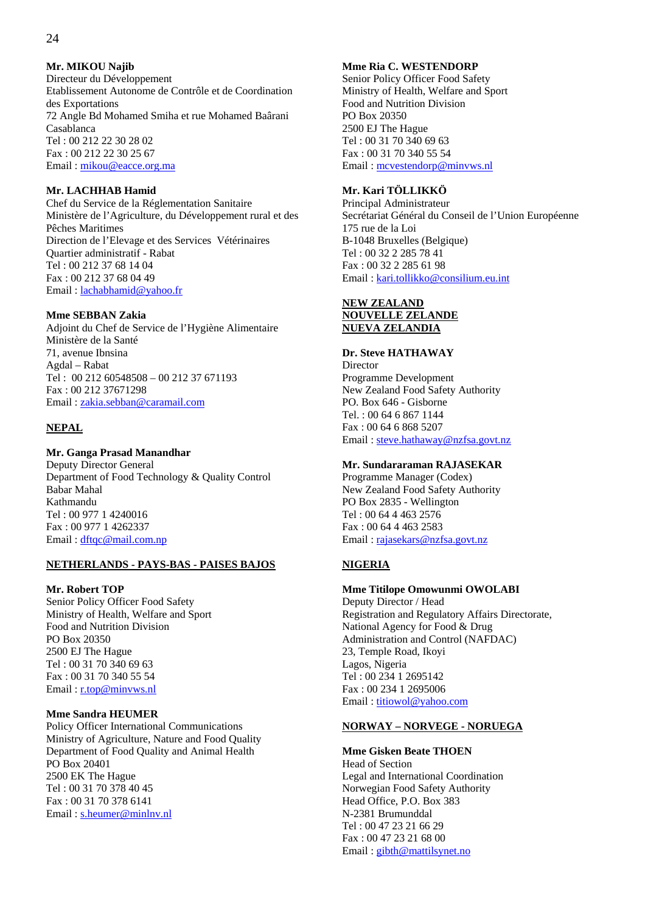## **Mr. MIKOU Najib**

Directeur du Développement Etablissement Autonome de Contrôle et de Coordination des Exportations 72 Angle Bd Mohamed Smiha et rue Mohamed Baârani Casablanca Tel : 00 212 22 30 28 02 Fax : 00 212 22 30 25 67 Email : mikou@eacce.org.ma

## **Mr. LACHHAB Hamid**

Chef du Service de la Réglementation Sanitaire Ministère de l'Agriculture, du Développement rural et des Pêches Maritimes Direction de l'Elevage et des Services Vétérinaires Quartier administratif - Rabat Tel : 00 212 37 68 14 04 Fax : 00 212 37 68 04 49 Email : lachabhamid@yahoo.fr

#### **Mme SEBBAN Zakia**

Adjoint du Chef de Service de l'Hygiène Alimentaire Ministère de la Santé 71, avenue Ibnsina Agdal – Rabat Tel : 00 212 60548508 – 00 212 37 671193 Fax : 00 212 37671298 Email : zakia.sebban@caramail.com

## **NEPAL**

#### **Mr. Ganga Prasad Manandhar**

Deputy Director General Department of Food Technology & Quality Control Babar Mahal Kathmandu Tel : 00 977 1 4240016 Fax : 00 977 1 4262337 Email: dftqc@mail.com.np

# **NETHERLANDS - PAYS-BAS - PAISES BAJOS**

#### **Mr. Robert TOP**

Senior Policy Officer Food Safety Ministry of Health, Welfare and Sport Food and Nutrition Division PO Box 20350 2500 EJ The Hague Tel : 00 31 70 340 69 63 Fax : 00 31 70 340 55 54 Email: r.top@minvws.nl

#### **Mme Sandra HEUMER**

Policy Officer International Communications Ministry of Agriculture, Nature and Food Quality Department of Food Quality and Animal Health PO Box 20401 2500 EK The Hague Tel : 00 31 70 378 40 45 Fax : 00 31 70 378 6141 Email : s.heumer@minlnv.nl

# **Mme Ria C. WESTENDORP**

Senior Policy Officer Food Safety Ministry of Health, Welfare and Sport Food and Nutrition Division PO Box 20350 2500 EJ The Hague Tel : 00 31 70 340 69 63 Fax : 00 31 70 340 55 54 Email : mcvestendorp@minvws.nl

# **Mr. Kari TÖLLIKKÖ**

Principal Administrateur Secrétariat Général du Conseil de l'Union Européenne 175 rue de la Loi B-1048 Bruxelles (Belgique) Tel : 00 32 2 285 78 41 Fax : 00 32 2 285 61 98 Email : kari.tollikko@consilium.eu.int

#### **NEW ZEALAND NOUVELLE ZELANDE NUEVA ZELANDIA**

#### **Dr. Steve HATHAWAY**

Director Programme Development New Zealand Food Safety Authority PO. Box 646 - Gisborne Tel. : 00 64 6 867 1144 Fax : 00 64 6 868 5207 Email : steve.hathaway@nzfsa.govt.nz

#### **Mr. Sundararaman RAJASEKAR**

Programme Manager (Codex) New Zealand Food Safety Authority PO Box 2835 - Wellington Tel : 00 64 4 463 2576 Fax : 00 64 4 463 2583 Email: rajasekars@nzfsa.govt.nz

# **NIGERIA**

#### **Mme Titilope Omowunmi OWOLABI**

Deputy Director / Head Registration and Regulatory Affairs Directorate, National Agency for Food & Drug Administration and Control (NAFDAC) 23, Temple Road, Ikoyi Lagos, Nigeria Tel : 00 234 1 2695142 Fax : 00 234 1 2695006 Email : titiowol@yahoo.com

#### **NORWAY – NORVEGE - NORUEGA**

#### **Mme Gisken Beate THOEN**

Head of Section Legal and International Coordination Norwegian Food Safety Authority Head Office, P.O. Box 383 N-2381 Brumunddal Tel : 00 47 23 21 66 29 Fax : 00 47 23 21 68 00 Email : gibth@mattilsynet.no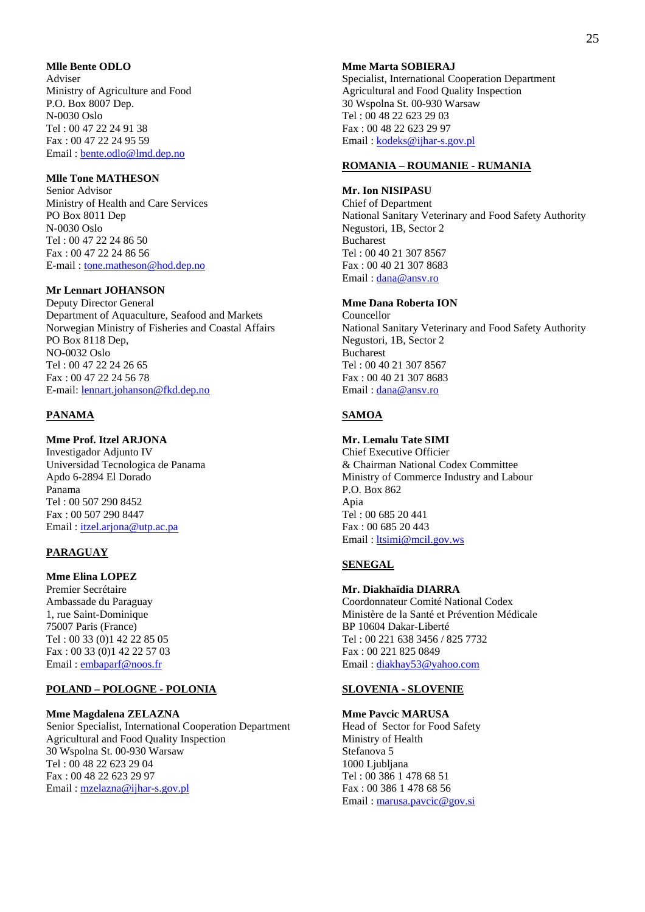## **Mlle Bente ODLO**

Adviser Ministry of Agriculture and Food P.O. Box 8007 Dep. N-0030 Oslo Tel : 00 47 22 24 91 38 Fax : 00 47 22 24 95 59 Email : bente.odlo@lmd.dep.no

## **Mlle Tone MATHESON**

Senior Advisor Ministry of Health and Care Services PO Box 8011 Dep N-0030 Oslo Tel : 00 47 22 24 86 50 Fax : 00 47 22 24 86 56 E-mail : tone.matheson@hod.dep.no

# **Mr Lennart JOHANSON**

Deputy Director General Department of Aquaculture, Seafood and Markets Norwegian Ministry of Fisheries and Coastal Affairs PO Box 8118 Dep, NO-0032 Oslo Tel : 00 47 22 24 26 65 Fax : 00 47 22 24 56 78 E-mail: lennart.johanson@fkd.dep.no

# **PANAMA**

# **Mme Prof. Itzel ARJONA**

Investigador Adjunto IV Universidad Tecnologica de Panama Apdo 6-2894 El Dorado Panama Tel : 00 507 290 8452 Fax : 00 507 290 8447 Email : itzel.arjona@utp.ac.pa

# **PARAGUAY**

## **Mme Elina LOPEZ**

Premier Secrétaire Ambassade du Paraguay 1, rue Saint-Dominique 75007 Paris (France) Tel : 00 33 (0)1 42 22 85 05 Fax : 00 33 (0)1 42 22 57 03 Email : embaparf@noos.fr

## **POLAND – POLOGNE - POLONIA**

#### **Mme Magdalena ZELAZNA**

Senior Specialist, International Cooperation Department Agricultural and Food Quality Inspection 30 Wspolna St. 00-930 Warsaw Tel : 00 48 22 623 29 04 Fax : 00 48 22 623 29 97 Email : mzelazna@ijhar-s.gov.pl

## **Mme Marta SOBIERAJ**

Specialist, International Cooperation Department Agricultural and Food Quality Inspection 30 Wspolna St. 00-930 Warsaw Tel : 00 48 22 623 29 03 Fax : 00 48 22 623 29 97 Email : kodeks@ijhar-s.gov.pl

# **ROMANIA – ROUMANIE - RUMANIA**

# **Mr. Ion NISIPASU**

Chief of Department National Sanitary Veterinary and Food Safety Authority Negustori, 1B, Sector 2 Bucharest Tel : 00 40 21 307 8567 Fax : 00 40 21 307 8683 Email : dana@ansv.ro

#### **Mme Dana Roberta ION**

Councellor National Sanitary Veterinary and Food Safety Authority Negustori, 1B, Sector 2 Bucharest Tel : 00 40 21 307 8567 Fax : 00 40 21 307 8683 Email : dana@ansv.ro

# **SAMOA**

# **Mr. Lemalu Tate SIMI**

Chief Executive Officier & Chairman National Codex Committee Ministry of Commerce Industry and Labour P.O. Box 862 Apia Tel : 00 685 20 441 Fax : 00 685 20 443 Email : ltsimi@mcil.gov.ws

# **SENEGAL**

# **Mr. Diakhaïdia DIARRA**

Coordonnateur Comité National Codex Ministère de la Santé et Prévention Médicale BP 10604 Dakar-Liberté Tel : 00 221 638 3456 / 825 7732 Fax : 00 221 825 0849 Email : diakhay53@yahoo.com

#### **SLOVENIA - SLOVENIE**

#### **Mme Pavcic MARUSA**

Head of Sector for Food Safety Ministry of Health Stefanova 5 1000 Liubliana Tel : 00 386 1 478 68 51 Fax : 00 386 1 478 68 56 Email : marusa.pavcic@gov.si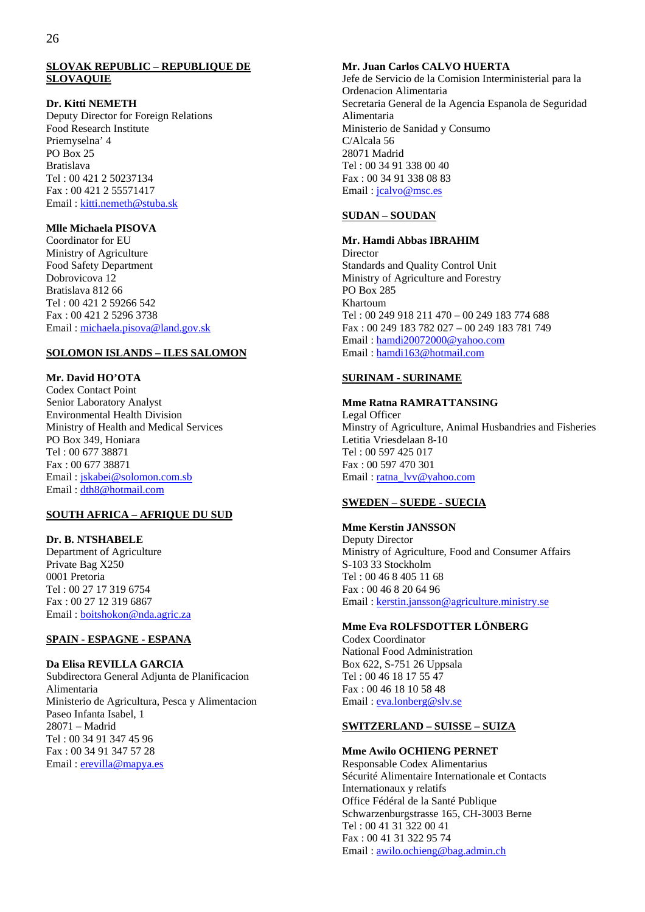## **SLOVAK REPUBLIC – REPUBLIQUE DE SLOVAQUIE**

## **Dr. Kitti NEMETH**

Deputy Director for Foreign Relations Food Research Institute Priemyselna' 4 PO Box 25 Bratislava Tel : 00 421 2 50237134 Fax : 00 421 2 55571417 Email: kitti.nemeth@stuba.sk

# **Mlle Michaela PISOVA**

Coordinator for EU Ministry of Agriculture Food Safety Department Dobrovicova 12 Bratislava 812 66 Tel : 00 421 2 59266 542 Fax : 00 421 2 5296 3738 Email : michaela.pisova@land.gov.sk

# **SOLOMON ISLANDS – ILES SALOMON**

# **Mr. David HO'OTA**

Codex Contact Point Senior Laboratory Analyst Environmental Health Division Ministry of Health and Medical Services PO Box 349, Honiara Tel : 00 677 38871 Fax : 00 677 38871 Email : jskabei@solomon.com.sb Email : dth8@hotmail.com

# **SOUTH AFRICA – AFRIQUE DU SUD**

## **Dr. B. NTSHABELE**

Department of Agriculture Private Bag X250 0001 Pretoria Tel : 00 27 17 319 6754 Fax : 00 27 12 319 6867 Email : boitshokon@nda.agric.za

# **SPAIN - ESPAGNE - ESPANA**

## **Da Elisa REVILLA GARCIA**

Subdirectora General Adjunta de Planificacion Alimentaria Ministerio de Agricultura, Pesca y Alimentacion Paseo Infanta Isabel, 1 28071 – Madrid Tel : 00 34 91 347 45 96 Fax : 00 34 91 347 57 28 Email : erevilla@mapya.es

## **Mr. Juan Carlos CALVO HUERTA**

Jefe de Servicio de la Comision Interministerial para la Ordenacion Alimentaria Secretaria General de la Agencia Espanola de Seguridad Alimentaria Ministerio de Sanidad y Consumo C/Alcala 56 28071 Madrid Tel : 00 34 91 338 00 40 Fax : 00 34 91 338 08 83 Email : jcalvo@msc.es

# **SUDAN – SOUDAN**

#### **Mr. Hamdi Abbas IBRAHIM**

**Director** Standards and Quality Control Unit Ministry of Agriculture and Forestry PO Box 285 Khartoum Tel : 00 249 918 211 470 – 00 249 183 774 688 Fax : 00 249 183 782 027 – 00 249 183 781 749 Email : hamdi20072000@yahoo.com Email : hamdi163@hotmail.com

# **SURINAM - SURINAME**

# **Mme Ratna RAMRATTANSING**

Legal Officer Minstry of Agriculture, Animal Husbandries and Fisheries Letitia Vriesdelaan 8-10 Tel : 00 597 425 017 Fax : 00 597 470 301 Email : ratna\_lvv@yahoo.com

## **SWEDEN – SUEDE - SUECIA**

**Mme Kerstin JANSSON**  Deputy Director Ministry of Agriculture, Food and Consumer Affairs S-103 33 Stockholm Tel : 00 46 8 405 11 68 Fax : 00 46 8 20 64 96 Email : kerstin.jansson@agriculture.ministry.se

## **Mme Eva ROLFSDOTTER LÖNBERG**

Codex Coordinator National Food Administration Box 622, S-751 26 Uppsala Tel : 00 46 18 17 55 47 Fax : 00 46 18 10 58 48 Email : eva.lonberg@slv.se

## **SWITZERLAND – SUISSE – SUIZA**

## **Mme Awilo OCHIENG PERNET**

Responsable Codex Alimentarius Sécurité Alimentaire Internationale et Contacts Internationaux y relatifs Office Fédéral de la Santé Publique Schwarzenburgstrasse 165, CH-3003 Berne Tel : 00 41 31 322 00 41 Fax : 00 41 31 322 95 74 Email : awilo.ochieng@bag.admin.ch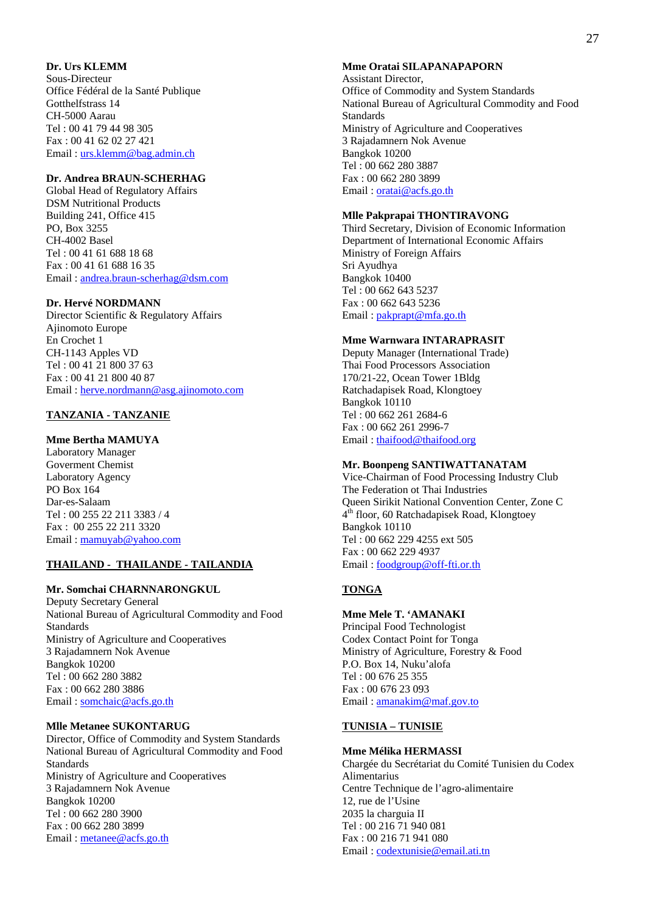## **Dr. Urs KLEMM**

Sous-Directeur Office Fédéral de la Santé Publique Gotthelfstrass 14 CH-5000 Aarau Tel : 00 41 79 44 98 305 Fax : 00 41 62 02 27 421 Email : urs.klemm@bag.admin.ch

#### **Dr. Andrea BRAUN-SCHERHAG**

Global Head of Regulatory Affairs DSM Nutritional Products Building 241, Office 415 PO, Box 3255 CH-4002 Basel Tel : 00 41 61 688 18 68 Fax : 00 41 61 688 16 35 Email : andrea.braun-scherhag@dsm.com

#### **Dr. Hervé NORDMANN**

Director Scientific & Regulatory Affairs Ajinomoto Europe En Crochet 1 CH-1143 Apples VD Tel : 00 41 21 800 37 63 Fax : 00 41 21 800 40 87 Email : herve.nordmann@asg.ajinomoto.com

## **TANZANIA - TANZANIE**

## **Mme Bertha MAMUYA**

Laboratory Manager Goverment Chemist Laboratory Agency PO Box 164 Dar-es-Salaam Tel : 00 255 22 211 3383 / 4 Fax : 00 255 22 211 3320 Email : mamuyab@yahoo.com

# **THAILAND - THAILANDE - TAILANDIA**

#### **Mr. Somchai CHARNNARONGKUL**

Deputy Secretary General National Bureau of Agricultural Commodity and Food Standards Ministry of Agriculture and Cooperatives 3 Rajadamnern Nok Avenue Bangkok 10200 Tel : 00 662 280 3882 Fax : 00 662 280 3886 Email : somchaic@acfs.go.th

#### **Mlle Metanee SUKONTARUG**

Director, Office of Commodity and System Standards National Bureau of Agricultural Commodity and Food **Standards** Ministry of Agriculture and Cooperatives 3 Rajadamnern Nok Avenue Bangkok 10200 Tel : 00 662 280 3900 Fax : 00 662 280 3899 Email : metanee@acfs.go.th

# **Mme Oratai SILAPANAPAPORN**

Assistant Director, Office of Commodity and System Standards National Bureau of Agricultural Commodity and Food **Standards** Ministry of Agriculture and Cooperatives 3 Rajadamnern Nok Avenue Bangkok 10200 Tel : 00 662 280 3887 Fax : 00 662 280 3899 Email : oratai@acfs.go.th

#### **Mlle Pakprapai THONTIRAVONG**

Third Secretary, Division of Economic Information Department of International Economic Affairs Ministry of Foreign Affairs Sri Ayudhya Bangkok 10400 Tel : 00 662 643 5237 Fax : 00 662 643 5236 Email : pakprapt@mfa.go.th

#### **Mme Warnwara INTARAPRASIT**

Deputy Manager (International Trade) Thai Food Processors Association 170/21-22, Ocean Tower 1Bldg Ratchadapisek Road, Klongtoey Bangkok 10110 Tel : 00 662 261 2684-6 Fax : 00 662 261 2996-7 Email : thaifood@thaifood.org

#### **Mr. Boonpeng SANTIWATTANATAM**

Vice-Chairman of Food Processing Industry Club The Federation ot Thai Industries Queen Sirikit National Convention Center, Zone C 4<sup>th</sup> floor, 60 Ratchadapisek Road, Klongtoey Bangkok 10110 Tel : 00 662 229 4255 ext 505 Fax : 00 662 229 4937 Email : foodgroup@off-fti.or.th

## **TONGA**

## **Mme Mele T. 'AMANAKI**

Principal Food Technologist Codex Contact Point for Tonga Ministry of Agriculture, Forestry & Food P.O. Box 14, Nuku'alofa Tel : 00 676 25 355 Fax : 00 676 23 093 Email : amanakim@maf.gov.to

#### **TUNISIA – TUNISIE**

#### **Mme Mélika HERMASSI**

Chargée du Secrétariat du Comité Tunisien du Codex Alimentarius Centre Technique de l'agro-alimentaire 12, rue de l'Usine 2035 la charguia II Tel : 00 216 71 940 081 Fax : 00 216 71 941 080 Email : codextunisie@email.ati.tn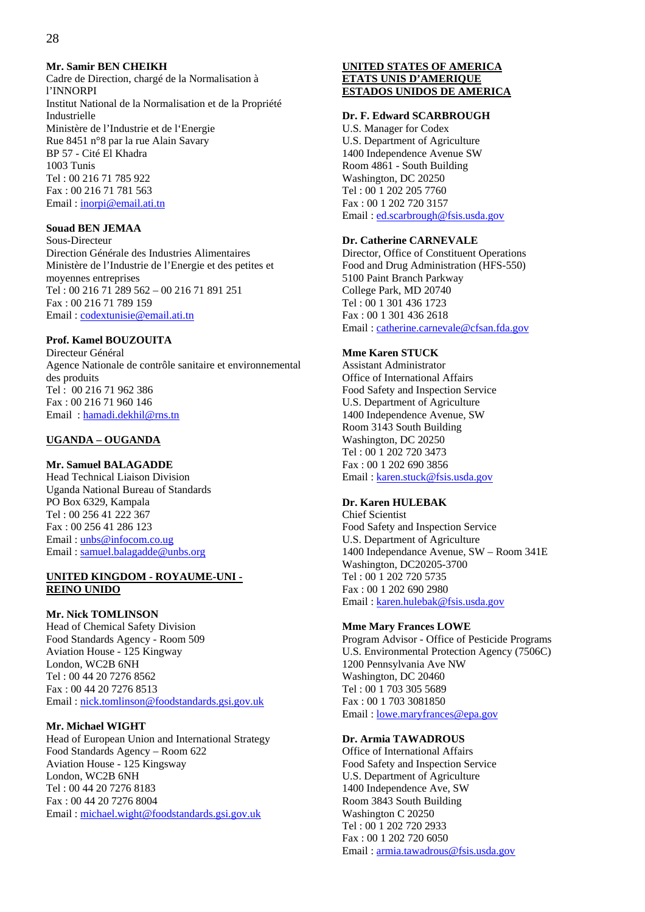# **Mr. Samir BEN CHEIKH**

Cadre de Direction, chargé de la Normalisation à l'INNORPI Institut National de la Normalisation et de la Propriété Industrielle Ministère de l'Industrie et de l'Energie Rue 8451 n°8 par la rue Alain Savary BP 57 - Cité El Khadra 1003 Tunis Tel : 00 216 71 785 922 Fax : 00 216 71 781 563 Email : inorpi@email.ati.tn

# **Souad BEN JEMAA**

Sous-Directeur Direction Générale des Industries Alimentaires Ministère de l'Industrie de l'Energie et des petites et moyennes entreprises Tel : 00 216 71 289 562 – 00 216 71 891 251 Fax : 00 216 71 789 159 Email : codextunisie@email.ati.tn

# **Prof. Kamel BOUZOUITA**

Directeur Général Agence Nationale de contrôle sanitaire et environnemental des produits Tel : 00 216 71 962 386 Fax : 00 216 71 960 146 Email : hamadi.dekhil@rns.tn

## **UGANDA – OUGANDA**

#### **Mr. Samuel BALAGADDE**

Head Technical Liaison Division Uganda National Bureau of Standards PO Box 6329, Kampala Tel : 00 256 41 222 367 Fax : 00 256 41 286 123 Email : unbs@infocom.co.ug Email : samuel.balagadde@unbs.org

#### **UNITED KINGDOM - ROYAUME-UNI - REINO UNIDO**

#### **Mr. Nick TOMLINSON**

Head of Chemical Safety Division Food Standards Agency - Room 509 Aviation House - 125 Kingway London, WC2B 6NH Tel : 00 44 20 7276 8562 Fax : 00 44 20 7276 8513 Email : nick.tomlinson@foodstandards.gsi.gov.uk

#### **Mr. Michael WIGHT**

Head of European Union and International Strategy Food Standards Agency – Room 622 Aviation House - 125 Kingsway London, WC2B 6NH Tel : 00 44 20 7276 8183 Fax : 00 44 20 7276 8004 Email : michael.wight@foodstandards.gsi.gov.uk

## **UNITED STATES OF AMERICA ETATS UNIS D'AMERIQUE ESTADOS UNIDOS DE AMERICA**

#### **Dr. F. Edward SCARBROUGH**

U.S. Manager for Codex U.S. Department of Agriculture 1400 Independence Avenue SW Room 4861 - South Building Washington, DC 20250 Tel : 00 1 202 205 7760 Fax : 00 1 202 720 3157 Email : ed.scarbrough@fsis.usda.gov

#### **Dr. Catherine CARNEVALE**

Director, Office of Constituent Operations Food and Drug Administration (HFS-550) 5100 Paint Branch Parkway College Park, MD 20740 Tel : 00 1 301 436 1723 Fax : 00 1 301 436 2618 Email : catherine.carnevale@cfsan.fda.gov

## **Mme Karen STUCK**

Assistant Administrator Office of International Affairs Food Safety and Inspection Service U.S. Department of Agriculture 1400 Independence Avenue, SW Room 3143 South Building Washington, DC 20250 Tel : 00 1 202 720 3473 Fax : 00 1 202 690 3856 Email : karen.stuck@fsis.usda.gov

#### **Dr. Karen HULEBAK**

Chief Scientist Food Safety and Inspection Service U.S. Department of Agriculture 1400 Independance Avenue, SW – Room 341E Washington, DC20205-3700 Tel : 00 1 202 720 5735 Fax : 00 1 202 690 2980 Email : karen.hulebak@fsis.usda.gov

#### **Mme Mary Frances LOWE**

Program Advisor - Office of Pesticide Programs U.S. Environmental Protection Agency (7506C) 1200 Pennsylvania Ave NW Washington, DC 20460 Tel : 00 1 703 305 5689 Fax : 00 1 703 3081850 Email : lowe.maryfrances@epa.gov

#### **Dr. Armia TAWADROUS**

Office of International Affairs Food Safety and Inspection Service U.S. Department of Agriculture 1400 Independence Ave, SW Room 3843 South Building Washington C 20250 Tel : 00 1 202 720 2933 Fax : 00 1 202 720 6050 Email : armia.tawadrous@fsis.usda.gov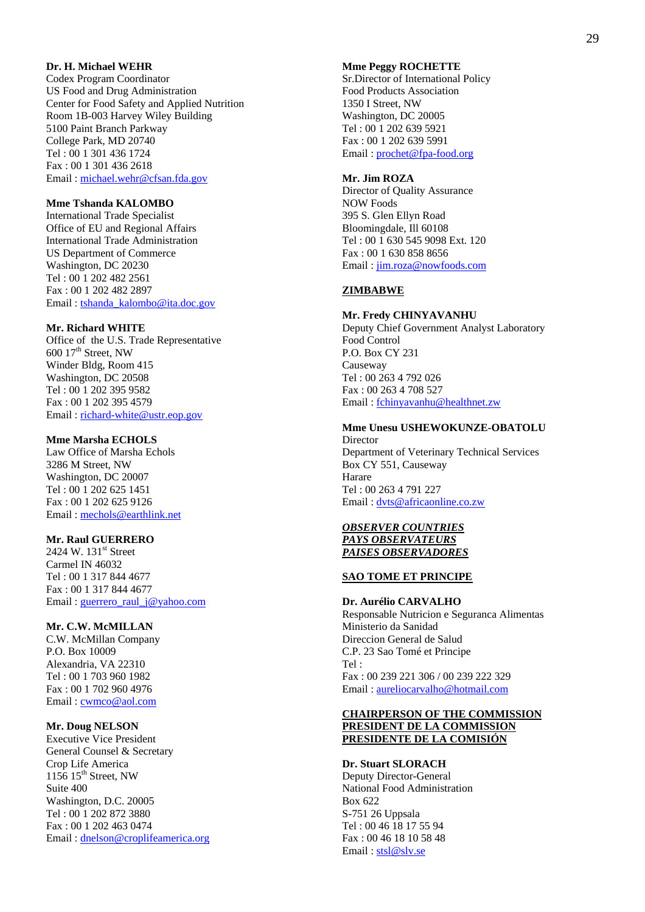#### **Dr. H. Michael WEHR**

Codex Program Coordinator US Food and Drug Administration Center for Food Safety and Applied Nutrition Room 1B-003 Harvey Wiley Building 5100 Paint Branch Parkway College Park, MD 20740 Tel : 00 1 301 436 1724 Fax : 00 1 301 436 2618 Email : michael.wehr@cfsan.fda.gov

#### **Mme Tshanda KALOMBO**

International Trade Specialist Office of EU and Regional Affairs International Trade Administration US Department of Commerce Washington, DC 20230 Tel : 00 1 202 482 2561 Fax : 00 1 202 482 2897 Email : tshanda\_kalombo@ita.doc.gov

#### **Mr. Richard WHITE**

Office of the U.S. Trade Representative 600 17th Street, NW Winder Bldg, Room 415 Washington, DC 20508 Tel : 00 1 202 395 9582 Fax : 00 1 202 395 4579 Email : richard-white@ustr.eop.gov

#### **Mme Marsha ECHOLS**

Law Office of Marsha Echols 3286 M Street, NW Washington, DC 20007 Tel : 00 1 202 625 1451 Fax : 00 1 202 625 9126 Email : mechols@earthlink.net

## **Mr. Raul GUERRERO**

2424 W. 131<sup>st</sup> Street Carmel IN 46032 Tel : 00 1 317 844 4677 Fax : 00 1 317 844 4677 Email : guerrero\_raul\_j@yahoo.com

## **Mr. C.W. McMILLAN**

C.W. McMillan Company P.O. Box 10009 Alexandria, VA 22310 Tel : 00 1 703 960 1982 Fax : 00 1 702 960 4976 Email : cwmco@aol.com

#### **Mr. Doug NELSON**

Executive Vice President General Counsel & Secretary Crop Life America  $1156$   $15<sup>th</sup>$  Street, NW Suite 400 Washington, D.C. 20005 Tel : 00 1 202 872 3880 Fax : 00 1 202 463 0474 Email : dnelson@croplifeamerica.org

#### **Mme Peggy ROCHETTE**

Sr.Director of International Policy Food Products Association 1350 I Street, NW Washington, DC 20005 Tel : 00 1 202 639 5921 Fax : 00 1 202 639 5991 Email : prochet@fpa-food.org

#### **Mr. Jim ROZA**

Director of Quality Assurance NOW Foods 395 S. Glen Ellyn Road Bloomingdale, Ill 60108 Tel : 00 1 630 545 9098 Ext. 120 Fax : 00 1 630 858 8656 Email : jim.roza@nowfoods.com

#### **ZIMBABWE**

#### **Mr. Fredy CHINYAVANHU**

Deputy Chief Government Analyst Laboratory Food Control P.O. Box CY 231 Causeway Tel : 00 263 4 792 026 Fax : 00 263 4 708 527 Email : fchinyavanhu@healthnet.zw

#### **Mme Unesu USHEWOKUNZE-OBATOLU**

Director Department of Veterinary Technical Services Box CY 551, Causeway Harare Tel : 00 263 4 791 227 Email : dvts@africaonline.co.zw

#### *OBSERVER COUNTRIES PAYS OBSERVATEURS PAISES OBSERVADORES*

#### **SAO TOME ET PRINCIPE**

#### **Dr. Aurélio CARVALHO**

Responsable Nutricion e Seguranca Alimentas Ministerio da Sanidad Direccion General de Salud C.P. 23 Sao Tomé et Principe Tel : Fax : 00 239 221 306 / 00 239 222 329 Email : aureliocarvalho@hotmail.com

#### **CHAIRPERSON OF THE COMMISSION PRESIDENT DE LA COMMISSION PRESIDENTE DE LA COMISIÓN**

## **Dr. Stuart SLORACH**

Deputy Director-General National Food Administration Box 622 S-751 26 Uppsala Tel : 00 46 18 17 55 94 Fax : 00 46 18 10 58 48 Email : stsl@slv.se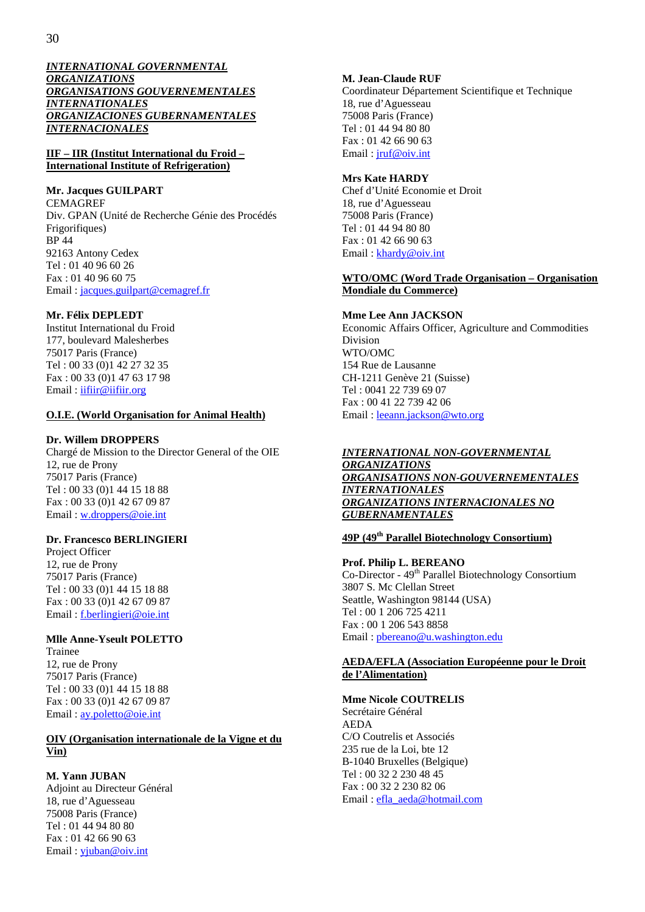*INTERNATIONAL GOVERNMENTAL ORGANIZATIONS ORGANISATIONS GOUVERNEMENTALES INTERNATIONALES ORGANIZACIONES GUBERNAMENTALES INTERNACIONALES*

**IIF – IIR (Institut International du Froid – International Institute of Refrigeration)**

## **Mr. Jacques GUILPART**

CEMAGREF Div. GPAN (Unité de Recherche Génie des Procédés Frigorifiques) BP 44 92163 Antony Cedex Tel : 01 40 96 60 26 Fax : 01 40 96 60 75 Email : jacques.guilpart@cemagref.fr

#### **Mr. Félix DEPLEDT**

Institut International du Froid 177, boulevard Malesherbes 75017 Paris (France) Tel : 00 33 (0)1 42 27 32 35 Fax : 00 33 (0)1 47 63 17 98 Email: iifiir@iifiir.org

#### **O.I.E. (World Organisation for Animal Health)**

#### **Dr. Willem DROPPERS**

Chargé de Mission to the Director General of the OIE 12, rue de Prony 75017 Paris (France) Tel : 00 33 (0)1 44 15 18 88 Fax : 00 33 (0)1 42 67 09 87 Email : w.droppers@oie.int

#### **Dr. Francesco BERLINGIERI**

Project Officer 12, rue de Prony 75017 Paris (France) Tel : 00 33 (0)1 44 15 18 88 Fax : 00 33 (0)1 42 67 09 87 Email : f.berlingieri@oie.int

#### **Mlle Anne-Yseult POLETTO**

Trainee 12, rue de Prony 75017 Paris (France) Tel : 00 33 (0)1 44 15 18 88 Fax : 00 33 (0)1 42 67 09 87 Email : ay.poletto@oie.int

## **OIV (Organisation internationale de la Vigne et du Vin)**

**M. Yann JUBAN**  Adjoint au Directeur Général 18, rue d'Aguesseau 75008 Paris (France) Tel : 01 44 94 80 80 Fax : 01 42 66 90 63 Email : yjuban@oiv.int

#### **M. Jean-Claude RUF**

Coordinateur Département Scientifique et Technique 18, rue d'Aguesseau 75008 Paris (France) Tel : 01 44 94 80 80 Fax : 01 42 66 90 63 Email: *jruf@oiv.int* 

#### **Mrs Kate HARDY**

Chef d'Unité Economie et Droit 18, rue d'Aguesseau 75008 Paris (France) Tel : 01 44 94 80 80 Fax : 01 42 66 90 63 Email : khardy@oiv.int

#### **WTO/OMC (Word Trade Organisation – Organisation Mondiale du Commerce)**

#### **Mme Lee Ann JACKSON**

Economic Affairs Officer, Agriculture and Commodities Division WTO/OMC 154 Rue de Lausanne CH-1211 Genève 21 (Suisse) Tel : 0041 22 739 69 07 Fax : 00 41 22 739 42 06 Email: <u>leeann.jackson@wto.org</u>

## *INTERNATIONAL NON-GOVERNMENTAL ORGANIZATIONS ORGANISATIONS NON-GOUVERNEMENTALES INTERNATIONALES ORGANIZATIONS INTERNACIONALES NO GUBERNAMENTALES*

## **49P (49th Parallel Biotechnology Consortium)**

#### **Prof. Philip L. BEREANO**

Co-Director - 49<sup>th</sup> Parallel Biotechnology Consortium 3807 S. Mc Clellan Street Seattle, Washington 98144 (USA) Tel : 00 1 206 725 4211 Fax : 00 1 206 543 8858 Email : pbereano@u.washington.edu

#### **AEDA/EFLA (Association Européenne pour le Droit de l'Alimentation)**

#### **Mme Nicole COUTRELIS**

Secrétaire Général AEDA C/O Coutrelis et Associés 235 rue de la Loi, bte 12 B-1040 Bruxelles (Belgique) Tel : 00 32 2 230 48 45 Fax : 00 32 2 230 82 06 Email : efla\_aeda@hotmail.com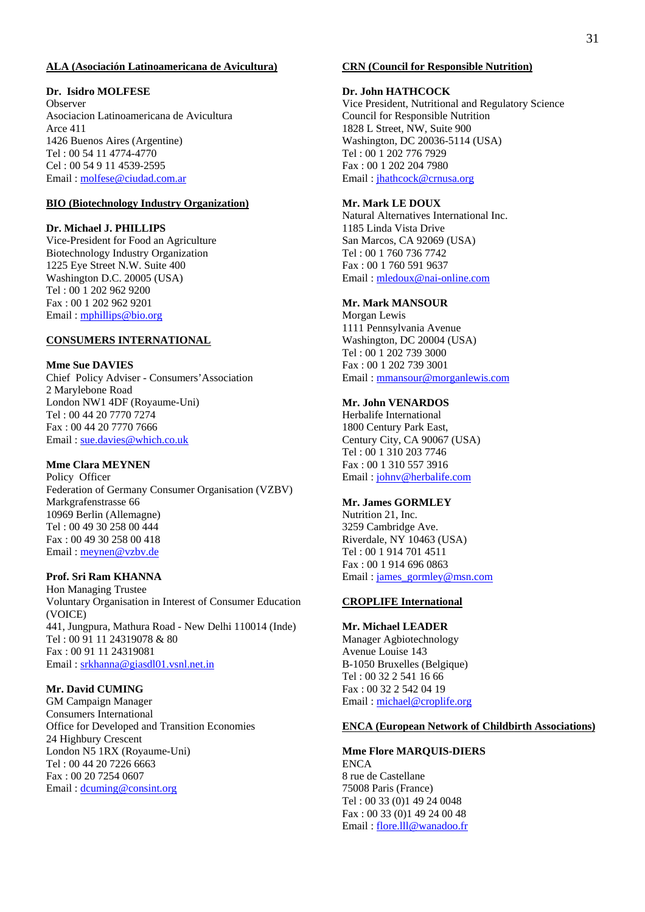#### **ALA (Asociación Latinoamericana de Avicultura)**

#### **Dr. Isidro MOLFESE**

**Observer** Asociacion Latinoamericana de Avicultura Arce 411 1426 Buenos Aires (Argentine) Tel : 00 54 11 4774-4770 Cel : 00 54 9 11 4539-2595 Email : molfese@ciudad.com.ar

#### **BIO (Biotechnology Industry Organization)**

#### **Dr. Michael J. PHILLIPS**

Vice-President for Food an Agriculture Biotechnology Industry Organization 1225 Eye Street N.W. Suite 400 Washington D.C. 20005 (USA) Tel : 00 1 202 962 9200 Fax : 00 1 202 962 9201 Email : mphillips@bio.org

## **CONSUMERS INTERNATIONAL**

**Mme Sue DAVIES**  Chief Policy Adviser - Consumers'Association 2 Marylebone Road London NW1 4DF (Royaume-Uni) Tel : 00 44 20 7770 7274 Fax : 00 44 20 7770 7666 Email : sue.davies@which.co.uk

## **Mme Clara MEYNEN**

Policy Officer Federation of Germany Consumer Organisation (VZBV) Markgrafenstrasse 66 10969 Berlin (Allemagne) Tel : 00 49 30 258 00 444 Fax : 00 49 30 258 00 418 Email : meynen@vzbv.de

## **Prof. Sri Ram KHANNA**

Hon Managing Trustee Voluntary Organisation in Interest of Consumer Education (VOICE) 441, Jungpura, Mathura Road - New Delhi 110014 (Inde) Tel : 00 91 11 24319078 & 80 Fax : 00 91 11 24319081 Email : srkhanna@giasdl01.vsnl.net.in

## **Mr. David CUMING**

GM Campaign Manager Consumers International Office for Developed and Transition Economies 24 Highbury Crescent London N5 1RX (Royaume-Uni) Tel : 00 44 20 7226 6663 Fax : 00 20 7254 0607 Email : dcuming@consint.org

## **CRN (Council for Responsible Nutrition)**

#### **Dr. John HATHCOCK**

Vice President, Nutritional and Regulatory Science Council for Responsible Nutrition 1828 L Street, NW, Suite 900 Washington, DC 20036-5114 (USA) Tel : 00 1 202 776 7929 Fax : 00 1 202 204 7980 Email : jhathcock@crnusa.org

#### **Mr. Mark LE DOUX**

Natural Alternatives International Inc. 1185 Linda Vista Drive San Marcos, CA 92069 (USA) Tel : 00 1 760 736 7742 Fax : 00 1 760 591 9637 Email : mledoux@nai-online.com

#### **Mr. Mark MANSOUR**

Morgan Lewis 1111 Pennsylvania Avenue Washington, DC 20004 (USA) Tel : 00 1 202 739 3000 Fax : 00 1 202 739 3001 Email : mmansour@morganlewis.com

#### **Mr. John VENARDOS**

Herbalife International 1800 Century Park East, Century City, CA 90067 (USA) Tel : 00 1 310 203 7746 Fax : 00 1 310 557 3916 Email : johnv@herbalife.com

## **Mr. James GORMLEY**

Nutrition 21, Inc. 3259 Cambridge Ave. Riverdale, NY 10463 (USA) Tel : 00 1 914 701 4511 Fax : 00 1 914 696 0863 Email : james\_gormley@msn.com

#### **CROPLIFE International**

#### **Mr. Michael LEADER**

Manager Agbiotechnology Avenue Louise 143 B-1050 Bruxelles (Belgique) Tel : 00 32 2 541 16 66 Fax : 00 32 2 542 04 19 Email : michael@croplife.org

#### **ENCA (European Network of Childbirth Associations)**

#### **Mme Flore MARQUIS-DIERS**

**ENCA** 8 rue de Castellane 75008 Paris (France) Tel : 00 33 (0)1 49 24 0048 Fax : 00 33 (0)1 49 24 00 48 Email : flore.lll@wanadoo.fr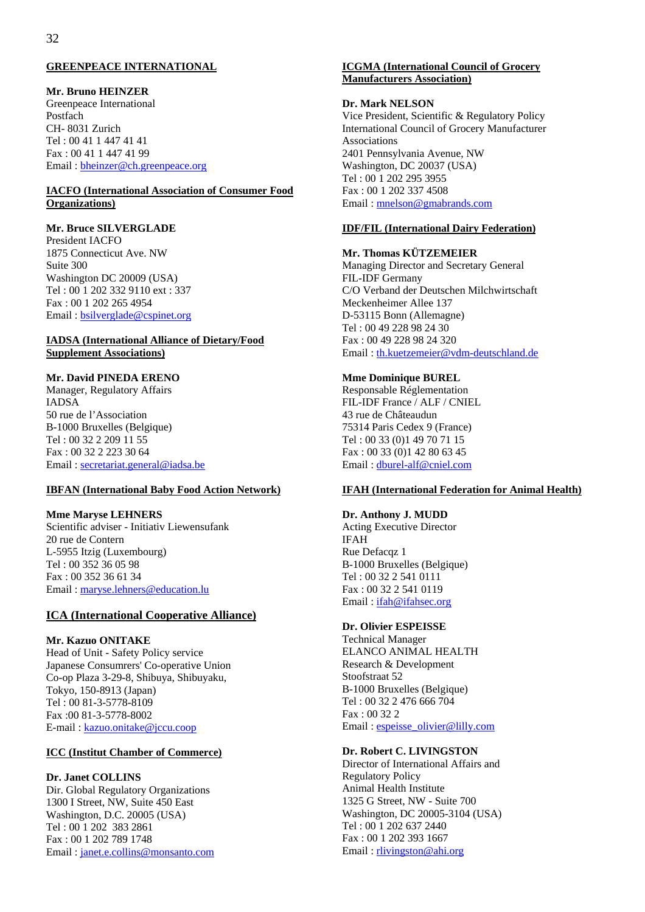# **GREENPEACE INTERNATIONAL**

## **Mr. Bruno HEINZER**

Greenpeace International Postfach CH- 8031 Zurich Tel : 00 41 1 447 41 41 Fax : 00 41 1 447 41 99 Email : bheinzer@ch.greenpeace.org

#### **IACFO (International Association of Consumer Food Organizations)**

# **Mr. Bruce SILVERGLADE**

President IACFO 1875 Connecticut Ave. NW Suite 300 Washington DC 20009 (USA) Tel : 00 1 202 332 9110 ext : 337 Fax : 00 1 202 265 4954 Email : bsilverglade@cspinet.org

# **IADSA (International Alliance of Dietary/Food Supplement Associations)**

# **Mr. David PINEDA ERENO**

Manager, Regulatory Affairs IADSA 50 rue de l'Association B-1000 Bruxelles (Belgique) Tel : 00 32 2 209 11 55 Fax : 00 32 2 223 30 64 Email : secretariat.general@iadsa.be

# **IBFAN (International Baby Food Action Network)**

#### **Mme Maryse LEHNERS**

Scientific adviser - Initiativ Liewensufank 20 rue de Contern L-5955 Itzig (Luxembourg) Tel : 00 352 36 05 98 Fax : 00 352 36 61 34 Email : maryse.lehners@education.lu

## **ICA (International Cooperative Alliance)**

#### **Mr. Kazuo ONITAKE**

Head of Unit - Safety Policy service Japanese Consumrers' Co-operative Union Co-op Plaza 3-29-8, Shibuya, Shibuyaku, Tokyo, 150-8913 (Japan) Tel : 00 81-3-5778-8109 Fax :00 81-3-5778-8002 E-mail : kazuo.onitake@jccu.coop

# **ICC (Institut Chamber of Commerce)**

#### **Dr. Janet COLLINS**

Dir. Global Regulatory Organizations 1300 I Street, NW, Suite 450 East Washington, D.C. 20005 (USA) Tel : 00 1 202 383 2861 Fax : 00 1 202 789 1748 Email : janet.e.collins@monsanto.com

#### **ICGMA (International Council of Grocery Manufacturers Association)**

## **Dr. Mark NELSON**

Vice President, Scientific & Regulatory Policy International Council of Grocery Manufacturer Associations 2401 Pennsylvania Avenue, NW Washington, DC 20037 (USA) Tel : 00 1 202 295 3955 Fax : 00 1 202 337 4508 Email : mnelson@gmabrands.com

#### **IDF/FIL (International Dairy Federation)**

## **Mr. Thomas KÜTZEMEIER**

Managing Director and Secretary General FIL-IDF Germany C/O Verband der Deutschen Milchwirtschaft Meckenheimer Allee 137 D-53115 Bonn (Allemagne) Tel : 00 49 228 98 24 30 Fax : 00 49 228 98 24 320 Email : th.kuetzemeier@vdm-deutschland.de

#### **Mme Dominique BUREL**

Responsable Réglementation FIL-IDF France / ALF / CNIEL 43 rue de Châteaudun 75314 Paris Cedex 9 (France) Tel : 00 33 (0)1 49 70 71 15 Fax : 00 33 (0)1 42 80 63 45 Email : dburel-alf@cniel.com

# **IFAH (International Federation for Animal Health)**

#### **Dr. Anthony J. MUDD**

Acting Executive Director IFAH Rue Defacqz 1 B-1000 Bruxelles (Belgique) Tel : 00 32 2 541 0111 Fax : 00 32 2 541 0119 Email: ifah@ifahsec.org

#### **Dr. Olivier ESPEISSE**

Technical Manager ELANCO ANIMAL HEALTH Research & Development Stoofstraat 52 B-1000 Bruxelles (Belgique) Tel : 00 32 2 476 666 704 Fax : 00 32 2 Email : espeisse\_olivier@lilly.com

## **Dr. Robert C. LIVINGSTON**

Director of International Affairs and Regulatory Policy Animal Health Institute 1325 G Street, NW - Suite 700 Washington, DC 20005-3104 (USA) Tel : 00 1 202 637 2440 Fax : 00 1 202 393 1667 Email : rlivingston@ahi.org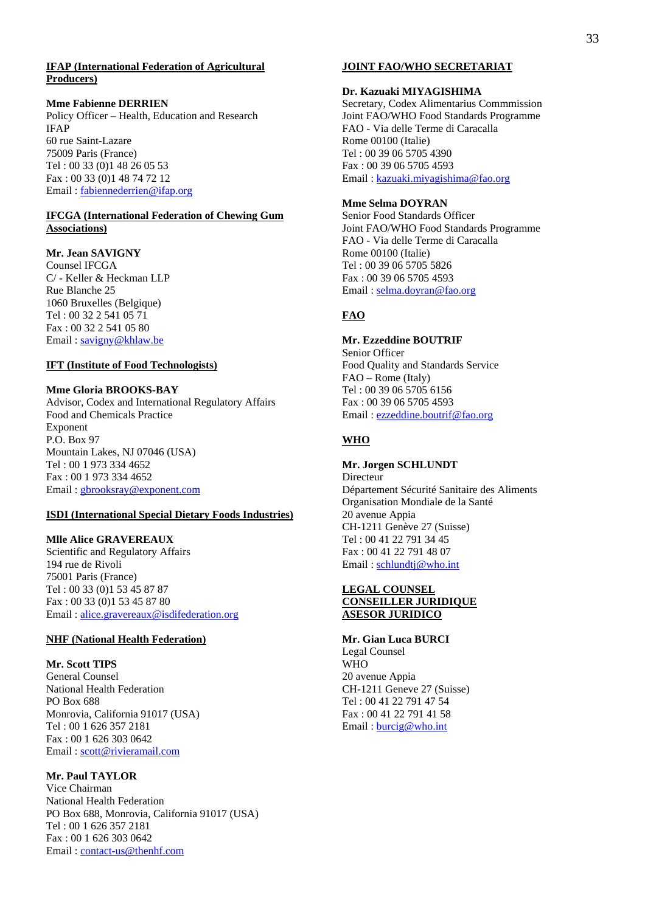#### **IFAP (International Federation of Agricultural Producers)**

#### **Mme Fabienne DERRIEN**

Policy Officer – Health, Education and Research IFAP 60 rue Saint-Lazare 75009 Paris (France) Tel : 00 33 (0)1 48 26 05 53 Fax : 00 33 (0)1 48 74 72 12 Email : fabiennederrien@ifap.org

#### **IFCGA (International Federation of Chewing Gum Associations)**

#### **Mr. Jean SAVIGNY**

Counsel IFCGA C/ - Keller & Heckman LLP Rue Blanche 25 1060 Bruxelles (Belgique) Tel : 00 32 2 541 05 71 Fax : 00 32 2 541 05 80 Email : savigny@khlaw.be

#### **IFT (Institute of Food Technologists)**

#### **Mme Gloria BROOKS-BAY**

Advisor, Codex and International Regulatory Affairs Food and Chemicals Practice Exponent P.O. Box 97 Mountain Lakes, NJ 07046 (USA) Tel : 00 1 973 334 4652 Fax : 00 1 973 334 4652 Email : gbrooksray@exponent.com

#### **ISDI (International Special Dietary Foods Industries)**

## **Mlle Alice GRAVEREAUX**

Scientific and Regulatory Affairs 194 rue de Rivoli 75001 Paris (France) Tel : 00 33 (0)1 53 45 87 87 Fax : 00 33 (0)1 53 45 87 80 Email : alice.gravereaux@isdifederation.org

## **NHF (National Health Federation)**

# **Mr. Scott TIPS**

General Counsel National Health Federation PO Box 688 Monrovia, California 91017 (USA) Tel : 00 1 626 357 2181 Fax : 00 1 626 303 0642 Email : scott@rivieramail.com

# **Mr. Paul TAYLOR**

Vice Chairman National Health Federation PO Box 688, Monrovia, California 91017 (USA) Tel : 00 1 626 357 2181 Fax : 00 1 626 303 0642 Email : contact-us@thenhf.com

## **JOINT FAO/WHO SECRETARIAT**

#### **Dr. Kazuaki MIYAGISHIMA**

Secretary, Codex Alimentarius Commmission Joint FAO/WHO Food Standards Programme FAO - Via delle Terme di Caracalla Rome 00100 (Italie) Tel : 00 39 06 5705 4390 Fax : 00 39 06 5705 4593 Email : kazuaki.miyagishima@fao.org

#### **Mme Selma DOYRAN**

Senior Food Standards Officer Joint FAO/WHO Food Standards Programme FAO - Via delle Terme di Caracalla Rome 00100 (Italie) Tel : 00 39 06 5705 5826 Fax : 00 39 06 5705 4593 Email : selma.doyran@fao.org

# **FAO**

**Mr. Ezzeddine BOUTRIF**  Senior Officer Food Quality and Standards Service FAO – Rome (Italy) Tel : 00 39 06 5705 6156 Fax : 00 39 06 5705 4593 Email : ezzeddine.boutrif@fao.org

# **WHO**

#### **Mr. Jorgen SCHLUNDT**  Directeur Département Sécurité Sanitaire des Aliments Organisation Mondiale de la Santé 20 avenue Appia CH-1211 Genève 27 (Suisse) Tel : 00 41 22 791 34 45 Fax : 00 41 22 791 48 07 Email : schlundtj@who.int

#### **LEGAL COUNSEL CONSEILLER JURIDIQUE ASESOR JURIDICO**

**Mr. Gian Luca BURCI**  Legal Counsel WHO 20 avenue Appia CH-1211 Geneve 27 (Suisse) Tel : 00 41 22 791 47 54 Fax : 00 41 22 791 41 58 Email: burcig@who.int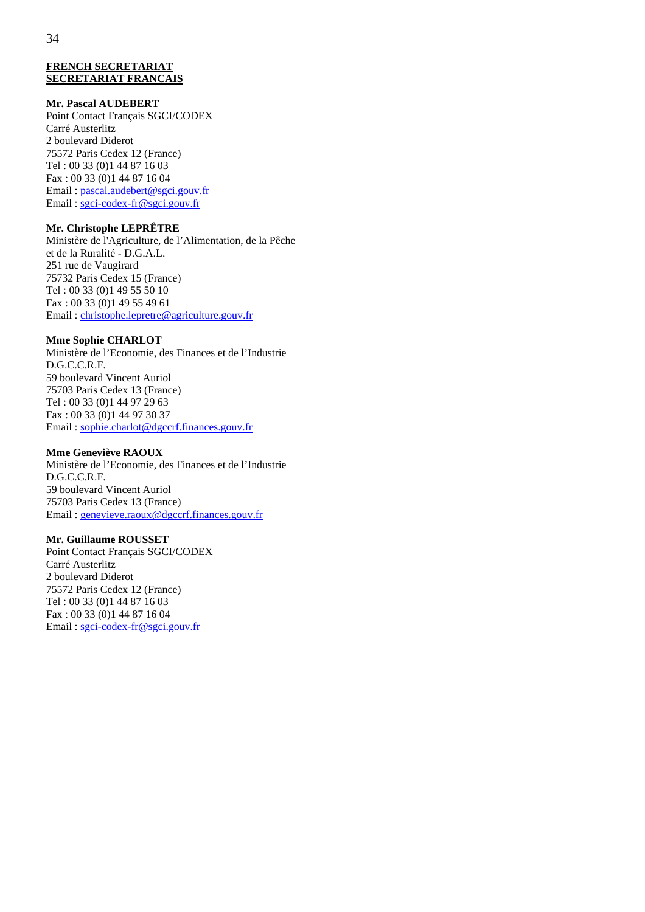# **FRENCH SECRETARIAT SECRETARIAT FRANCAIS**

#### **Mr. Pascal AUDEBERT**

Point Contact Français SGCI/CODEX Carré Austerlitz 2 boulevard Diderot 75572 Paris Cedex 12 (France) Tel : 00 33 (0)1 44 87 16 03 Fax : 00 33 (0)1 44 87 16 04 Email : pascal.audebert@sgci.gouv.fr Email : sgci-codex-fr@sgci.gouv.fr

## **Mr. Christophe LEPRÊTRE**

Ministère de l'Agriculture, de l'Alimentation, de la Pêche et de la Ruralité - D.G.A.L. 251 rue de Vaugirard 75732 Paris Cedex 15 (France) Tel : 00 33 (0)1 49 55 50 10 Fax : 00 33 (0)1 49 55 49 61 Email : christophe.lepretre@agriculture.gouv.fr

## **Mme Sophie CHARLOT**

Ministère de l'Economie, des Finances et de l'Industrie D.G.C.C.R.F. 59 boulevard Vincent Auriol 75703 Paris Cedex 13 (France) Tel : 00 33 (0)1 44 97 29 63 Fax : 00 33 (0)1 44 97 30 37 Email : sophie.charlot@dgccrf.finances.gouv.fr

#### **Mme Geneviève RAOUX**

Ministère de l'Economie, des Finances et de l'Industrie D.G.C.C.R.F. 59 boulevard Vincent Auriol 75703 Paris Cedex 13 (France) Email : genevieve.raoux@dgccrf.finances.gouv.fr

# **Mr. Guillaume ROUSSET**

Point Contact Français SGCI/CODEX Carré Austerlitz 2 boulevard Diderot 75572 Paris Cedex 12 (France) Tel : 00 33 (0)1 44 87 16 03 Fax : 00 33 (0)1 44 87 16 04 Email : sgci-codex-fr@sgci.gouv.fr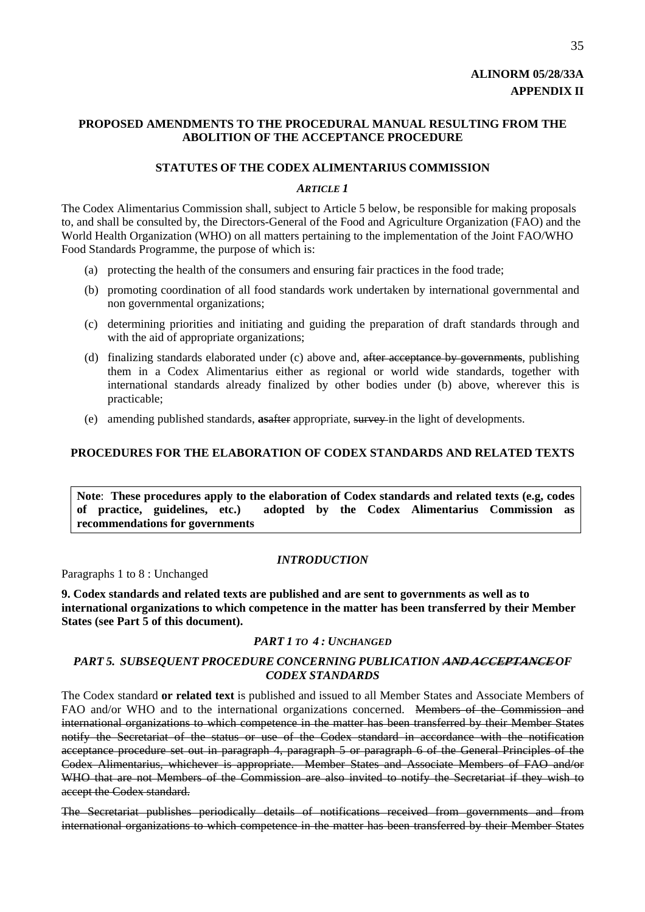# **ALINORM 05/28/33A APPENDIX II**

# **PROPOSED AMENDMENTS TO THE PROCEDURAL MANUAL RESULTING FROM THE ABOLITION OF THE ACCEPTANCE PROCEDURE**

# **STATUTES OF THE CODEX ALIMENTARIUS COMMISSION**

## *ARTICLE 1*

The Codex Alimentarius Commission shall, subject to Article 5 below, be responsible for making proposals to, and shall be consulted by, the Directors-General of the Food and Agriculture Organization (FAO) and the World Health Organization (WHO) on all matters pertaining to the implementation of the Joint FAO/WHO Food Standards Programme, the purpose of which is:

- (a) protecting the health of the consumers and ensuring fair practices in the food trade;
- (b) promoting coordination of all food standards work undertaken by international governmental and non governmental organizations;
- (c) determining priorities and initiating and guiding the preparation of draft standards through and with the aid of appropriate organizations;
- (d) finalizing standards elaborated under (c) above and, after acceptance by governments, publishing them in a Codex Alimentarius either as regional or world wide standards, together with international standards already finalized by other bodies under (b) above, wherever this is practicable;
- (e) amending published standards, **as**after appropriate, survey in the light of developments.

# **PROCEDURES FOR THE ELABORATION OF CODEX STANDARDS AND RELATED TEXTS**

**Note**: **These procedures apply to the elaboration of Codex standards and related texts (e.g, codes of practice, guidelines, etc.) adopted by the Codex Alimentarius Commission as recommendations for governments**

# *INTRODUCTION*

Paragraphs 1 to 8 : Unchanged

**9. Codex standards and related texts are published and are sent to governments as well as to international organizations to which competence in the matter has been transferred by their Member States (see Part 5 of this document).** 

# *PART 1 TO 4 : UNCHANGED*

# *PART 5. SUBSEQUENT PROCEDURE CONCERNING PUBLICATION* **AND ACCEPTANCE** *OF CODEX STANDARDS*

The Codex standard **or related text** is published and issued to all Member States and Associate Members of FAO and/or WHO and to the international organizations concerned. Members of the Commission and international organizations to which competence in the matter has been transferred by their Member States notify the Secretariat of the status or use of the Codex standard in accordance with the notification acceptance procedure set out in paragraph 4, paragraph 5 or paragraph 6 of the General Principles of the Codex Alimentarius, whichever is appropriate. Member States and Associate Members of FAO and/or WHO that are not Members of the Commission are also invited to notify the Secretariat if they wish to accept the Codex standard.

The Secretariat publishes periodically details of notifications received from governments and from international organizations to which competence in the matter has been transferred by their Member States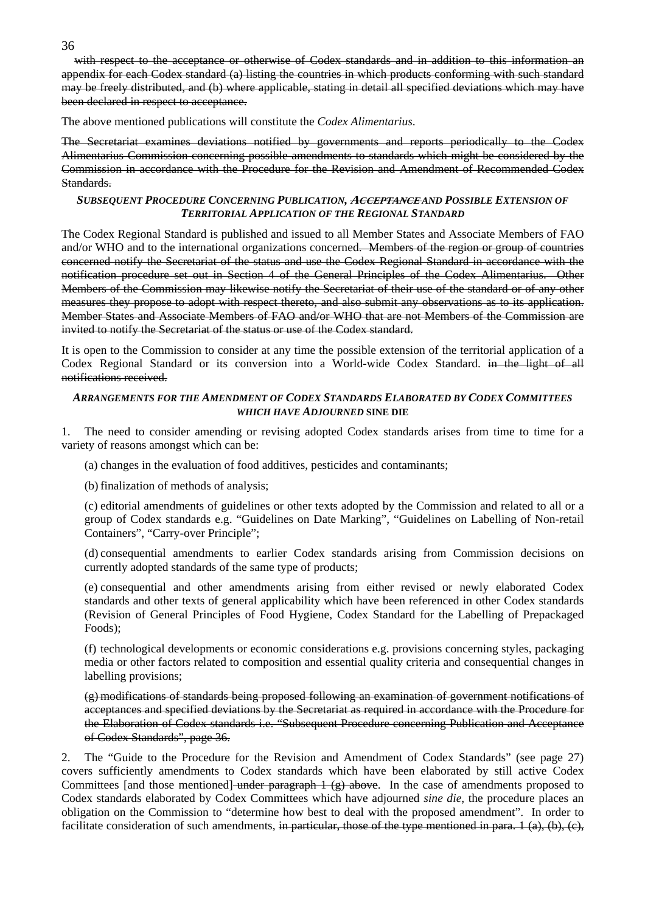with respect to the acceptance or otherwise of Codex standards and in addition to this information an appendix for each Codex standard (a) listing the countries in which products conforming with such standard may be freely distributed, and (b) where applicable, stating in detail all specified deviations which may have been declared in respect to acceptance.

The above mentioned publications will constitute the *Codex Alimentarius*.

The Secretariat examines deviations notified by governments and reports periodically to the Codex Alimentarius Commission concerning possible amendments to standards which might be considered by the Commission in accordance with the Procedure for the Revision and Amendment of Recommended Codex Standards.

# *SUBSEQUENT PROCEDURE CONCERNING PUBLICATION,* **<sup>A</sup>CCEPTANCE** *AND POSSIBLE EXTENSION OF TERRITORIAL APPLICATION OF THE REGIONAL STANDARD*

The Codex Regional Standard is published and issued to all Member States and Associate Members of FAO and/or WHO and to the international organizations concerned. Members of the region or group of countries concerned notify the Secretariat of the status and use the Codex Regional Standard in accordance with the notification procedure set out in Section 4 of the General Principles of the Codex Alimentarius. Other Members of the Commission may likewise notify the Secretariat of their use of the standard or of any other measures they propose to adopt with respect thereto, and also submit any observations as to its application. Member States and Associate Members of FAO and/or WHO that are not Members of the Commission are invited to notify the Secretariat of the status or use of the Codex standard.

It is open to the Commission to consider at any time the possible extension of the territorial application of a Codex Regional Standard or its conversion into a World-wide Codex Standard. in the light of all notifications received.

# *ARRANGEMENTS FOR THE AMENDMENT OF CODEX STANDARDS ELABORATED BY CODEX COMMITTEES WHICH HAVE ADJOURNED* **SINE DIE**

1. The need to consider amending or revising adopted Codex standards arises from time to time for a variety of reasons amongst which can be:

(a) changes in the evaluation of food additives, pesticides and contaminants;

(b) finalization of methods of analysis;

(c) editorial amendments of guidelines or other texts adopted by the Commission and related to all or a group of Codex standards e.g. "Guidelines on Date Marking", "Guidelines on Labelling of Non-retail Containers", "Carry-over Principle";

(d) consequential amendments to earlier Codex standards arising from Commission decisions on currently adopted standards of the same type of products;

(e) consequential and other amendments arising from either revised or newly elaborated Codex standards and other texts of general applicability which have been referenced in other Codex standards (Revision of General Principles of Food Hygiene, Codex Standard for the Labelling of Prepackaged Foods);

(f) technological developments or economic considerations e.g. provisions concerning styles, packaging media or other factors related to composition and essential quality criteria and consequential changes in labelling provisions;

(g) modifications of standards being proposed following an examination of government notifications of acceptances and specified deviations by the Secretariat as required in accordance with the Procedure for the Elaboration of Codex standards i.e. "Subsequent Procedure concerning Publication and Acceptance of Codex Standards", page 36.

2. The "Guide to the Procedure for the Revision and Amendment of Codex Standards" (see page 27) covers sufficiently amendments to Codex standards which have been elaborated by still active Codex Committees [and those mentioned] under paragraph 1 (g) above. In the case of amendments proposed to Codex standards elaborated by Codex Committees which have adjourned *sine die*, the procedure places an obligation on the Commission to "determine how best to deal with the proposed amendment". In order to facilitate consideration of such amendments, in particular, those of the type mentioned in para. 1 (a), (b), (c),

36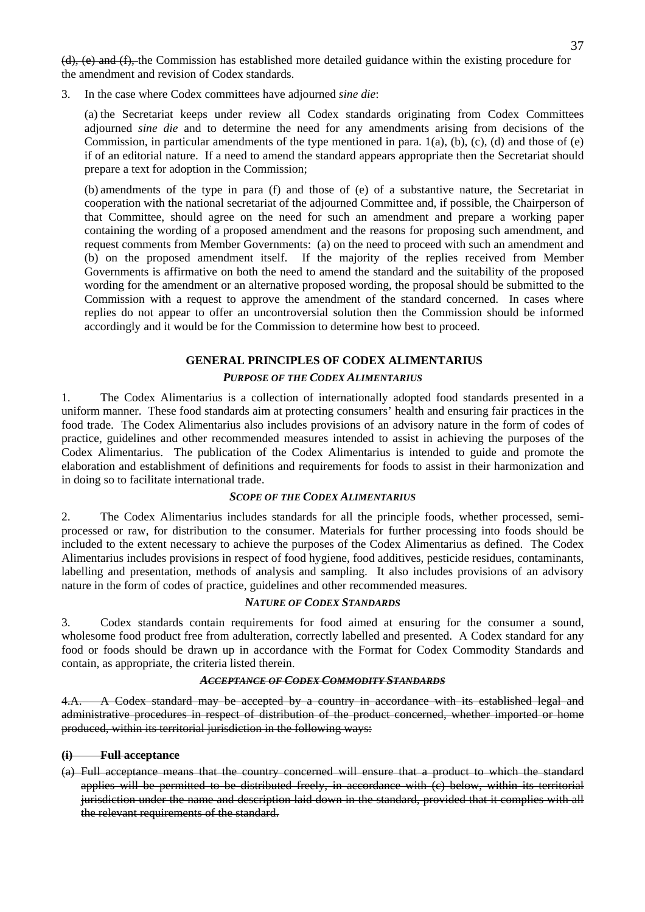(d), (e) and (f), the Commission has established more detailed guidance within the existing procedure for the amendment and revision of Codex standards.

3. In the case where Codex committees have adjourned *sine die*:

(a) the Secretariat keeps under review all Codex standards originating from Codex Committees adjourned *sine die* and to determine the need for any amendments arising from decisions of the Commission, in particular amendments of the type mentioned in para.  $1(a)$ ,  $(b)$ ,  $(c)$ ,  $(d)$  and those of  $(e)$ if of an editorial nature. If a need to amend the standard appears appropriate then the Secretariat should prepare a text for adoption in the Commission;

(b) amendments of the type in para (f) and those of (e) of a substantive nature, the Secretariat in cooperation with the national secretariat of the adjourned Committee and, if possible, the Chairperson of that Committee, should agree on the need for such an amendment and prepare a working paper containing the wording of a proposed amendment and the reasons for proposing such amendment, and request comments from Member Governments: (a) on the need to proceed with such an amendment and (b) on the proposed amendment itself. If the majority of the replies received from Member Governments is affirmative on both the need to amend the standard and the suitability of the proposed wording for the amendment or an alternative proposed wording, the proposal should be submitted to the Commission with a request to approve the amendment of the standard concerned. In cases where replies do not appear to offer an uncontroversial solution then the Commission should be informed accordingly and it would be for the Commission to determine how best to proceed.

# **GENERAL PRINCIPLES OF CODEX ALIMENTARIUS**

# *PURPOSE OF THE CODEX ALIMENTARIUS*

1. The Codex Alimentarius is a collection of internationally adopted food standards presented in a uniform manner. These food standards aim at protecting consumers' health and ensuring fair practices in the food trade. The Codex Alimentarius also includes provisions of an advisory nature in the form of codes of practice, guidelines and other recommended measures intended to assist in achieving the purposes of the Codex Alimentarius. The publication of the Codex Alimentarius is intended to guide and promote the elaboration and establishment of definitions and requirements for foods to assist in their harmonization and in doing so to facilitate international trade.

# *SCOPE OF THE CODEX ALIMENTARIUS*

2. The Codex Alimentarius includes standards for all the principle foods, whether processed, semiprocessed or raw, for distribution to the consumer. Materials for further processing into foods should be included to the extent necessary to achieve the purposes of the Codex Alimentarius as defined. The Codex Alimentarius includes provisions in respect of food hygiene, food additives, pesticide residues, contaminants, labelling and presentation, methods of analysis and sampling. It also includes provisions of an advisory nature in the form of codes of practice, guidelines and other recommended measures.

# *NATURE OF CODEX STANDARDS*

3. Codex standards contain requirements for food aimed at ensuring for the consumer a sound, wholesome food product free from adulteration, correctly labelled and presented. A Codex standard for any food or foods should be drawn up in accordance with the Format for Codex Commodity Standards and contain, as appropriate, the criteria listed therein.

# *ACCEPTANCE OF CODEX COMMODITY STANDARDS*

4.A. A Codex standard may be accepted by a country in accordance with its established legal and administrative procedures in respect of distribution of the product concerned, whether imported or home produced, within its territorial jurisdiction in the following ways:

# **(i) Full acceptance**

(a) Full acceptance means that the country concerned will ensure that a product to which the standard applies will be permitted to be distributed freely, in accordance with (c) below, within its territorial jurisdiction under the name and description laid down in the standard, provided that it complies with all the relevant requirements of the standard.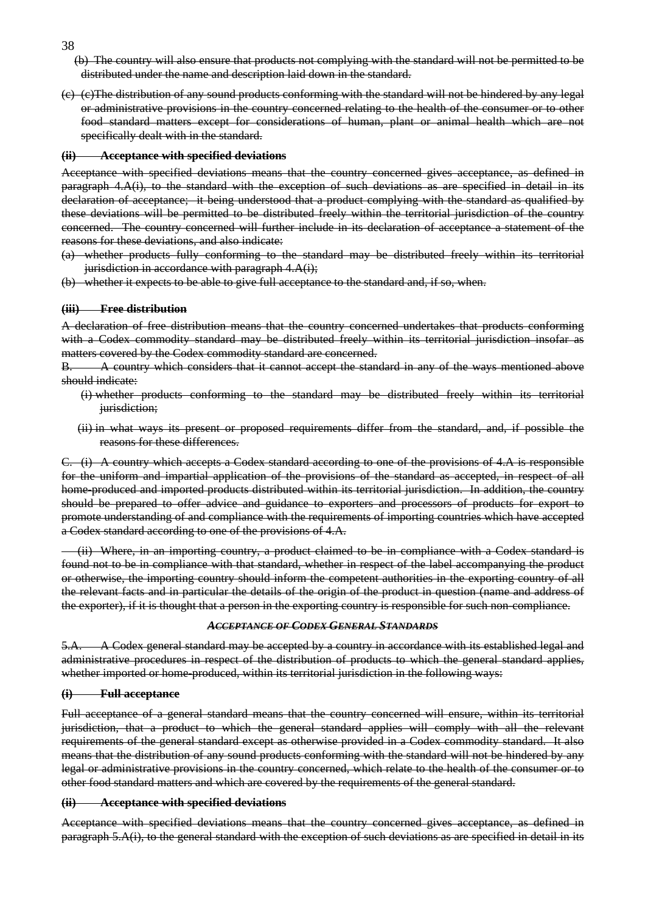38

- (b) The country will also ensure that products not complying with the standard will not be permitted to be distributed under the name and description laid down in the standard.
- (c) (c)The distribution of any sound products conforming with the standard will not be hindered by any legal or administrative provisions in the country concerned relating to the health of the consumer or to other food standard matters except for considerations of human, plant or animal health which are not specifically dealt with in the standard.

# **(ii) Acceptance with specified deviations**

Acceptance with specified deviations means that the country concerned gives acceptance, as defined in paragraph 4.A(i), to the standard with the exception of such deviations as are specified in detail in its declaration of acceptance; it being understood that a product complying with the standard as qualified by these deviations will be permitted to be distributed freely within the territorial jurisdiction of the country concerned. The country concerned will further include in its declaration of acceptance a statement of the reasons for these deviations, and also indicate:

- (a) whether products fully conforming to the standard may be distributed freely within its territorial jurisdiction in accordance with paragraph 4.A(i);
- (b) whether it expects to be able to give full acceptance to the standard and, if so, when.

# **(iii) Free distribution**

A declaration of free distribution means that the country concerned undertakes that products conforming with a Codex commodity standard may be distributed freely within its territorial jurisdiction insofar as matters covered by the Codex commodity standard are concerned.

B. A country which considers that it cannot accept the standard in any of the ways mentioned above should indicate:

- (i) whether products conforming to the standard may be distributed freely within its territorial jurisdiction;
- (ii) in what ways its present or proposed requirements differ from the standard, and, if possible the reasons for these differences.

C. (i) A country which accepts a Codex standard according to one of the provisions of 4.A is responsible for the uniform and impartial application of the provisions of the standard as accepted, in respect of all home-produced and imported products distributed within its territorial jurisdiction. In addition, the country should be prepared to offer advice and guidance to exporters and processors of products for export to promote understanding of and compliance with the requirements of importing countries which have accepted a Codex standard according to one of the provisions of 4.A.

(ii) Where, in an importing country, a product claimed to be in compliance with a Codex standard is found not to be in compliance with that standard, whether in respect of the label accompanying the product or otherwise, the importing country should inform the competent authorities in the exporting country of all the relevant facts and in particular the details of the origin of the product in question (name and address of the exporter), if it is thought that a person in the exporting country is responsible for such non-compliance.

## *ACCEPTANCE OF CODEX GENERAL STANDARDS*

5.A. A Codex general standard may be accepted by a country in accordance with its established legal and administrative procedures in respect of the distribution of products to which the general standard applies, whether imported or home-produced, within its territorial jurisdiction in the following ways:

# **(i) Full acceptance**

Full acceptance of a general standard means that the country concerned will ensure, within its territorial jurisdiction, that a product to which the general standard applies will comply with all the relevant requirements of the general standard except as otherwise provided in a Codex commodity standard. It also means that the distribution of any sound products conforming with the standard will not be hindered by any legal or administrative provisions in the country concerned, which relate to the health of the consumer or to other food standard matters and which are covered by the requirements of the general standard.

## **(ii) Acceptance with specified deviations**

Acceptance with specified deviations means that the country concerned gives acceptance, as defined in paragraph 5.A(i), to the general standard with the exception of such deviations as are specified in detail in its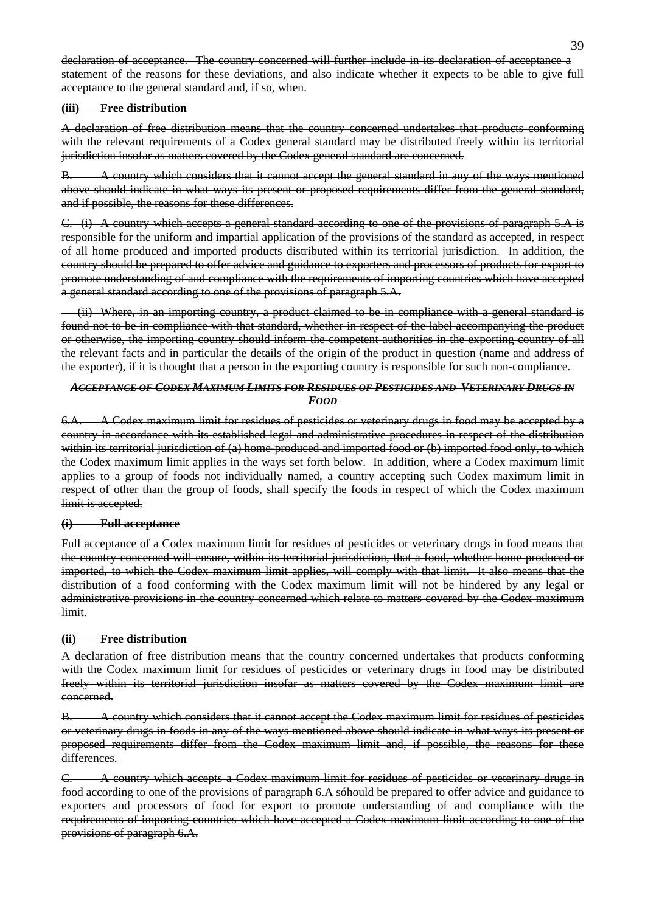declaration of acceptance. The country concerned will further include in its declaration of acceptance a statement of the reasons for these deviations, and also indicate whether it expects to be able to give full acceptance to the general standard and, if so, when.

## **(iii) Free distribution**

A declaration of free distribution means that the country concerned undertakes that products conforming with the relevant requirements of a Codex general standard may be distributed freely within its territorial jurisdiction insofar as matters covered by the Codex general standard are concerned.

B. A country which considers that it cannot accept the general standard in any of the ways mentioned above should indicate in what ways its present or proposed requirements differ from the general standard, and if possible, the reasons for these differences.

C. (i) A country which accepts a general standard according to one of the provisions of paragraph 5.A is responsible for the uniform and impartial application of the provisions of the standard as accepted, in respect of all home produced and imported products distributed within its territorial jurisdiction. In addition, the country should be prepared to offer advice and guidance to exporters and processors of products for export to promote understanding of and compliance with the requirements of importing countries which have accepted a general standard according to one of the provisions of paragraph 5.A.

(ii) Where, in an importing country, a product claimed to be in compliance with a general standard is found not to be in compliance with that standard, whether in respect of the label accompanying the product or otherwise, the importing country should inform the competent authorities in the exporting country of all the relevant facts and in particular the details of the origin of the product in question (name and address of the exporter), if it is thought that a person in the exporting country is responsible for such non-compliance.

# *ACCEPTANCE OF CODEX MAXIMUM LIMITS FOR RESIDUES OF PESTICIDES AND VETERINARY DRUGS IN FOOD*

6.A. A Codex maximum limit for residues of pesticides or veterinary drugs in food may be accepted by a country in accordance with its established legal and administrative procedures in respect of the distribution within its territorial jurisdiction of (a) home-produced and imported food or (b) imported food only, to which the Codex maximum limit applies in the ways set forth below. In addition, where a Codex maximum limit applies to a group of foods not individually named, a country accepting such Codex maximum limit in respect of other than the group of foods, shall specify the foods in respect of which the Codex maximum limit is accepted.

# **(i) Full acceptance**

Full acceptance of a Codex maximum limit for residues of pesticides or veterinary drugs in food means that the country concerned will ensure, within its territorial jurisdiction, that a food, whether home-produced or imported, to which the Codex maximum limit applies, will comply with that limit. It also means that the distribution of a food conforming with the Codex maximum limit will not be hindered by any legal or administrative provisions in the country concerned which relate to matters covered by the Codex maximum limit.

# **(ii) Free distribution**

A declaration of free distribution means that the country concerned undertakes that products conforming with the Codex maximum limit for residues of pesticides or veterinary drugs in food may be distributed freely within its territorial jurisdiction insofar as matters covered by the Codex maximum limit are concerned.

B. A country which considers that it cannot accept the Codex maximum limit for residues of pesticides or veterinary drugs in foods in any of the ways mentioned above should indicate in what ways its present or proposed requirements differ from the Codex maximum limit and, if possible, the reasons for these differences.

C. A country which accepts a Codex maximum limit for residues of pesticides or veterinary drugs in food according to one of the provisions of paragraph 6.A sóhould be prepared to offer advice and guidance to exporters and processors of food for export to promote understanding of and compliance with the requirements of importing countries which have accepted a Codex maximum limit according to one of the provisions of paragraph 6.A.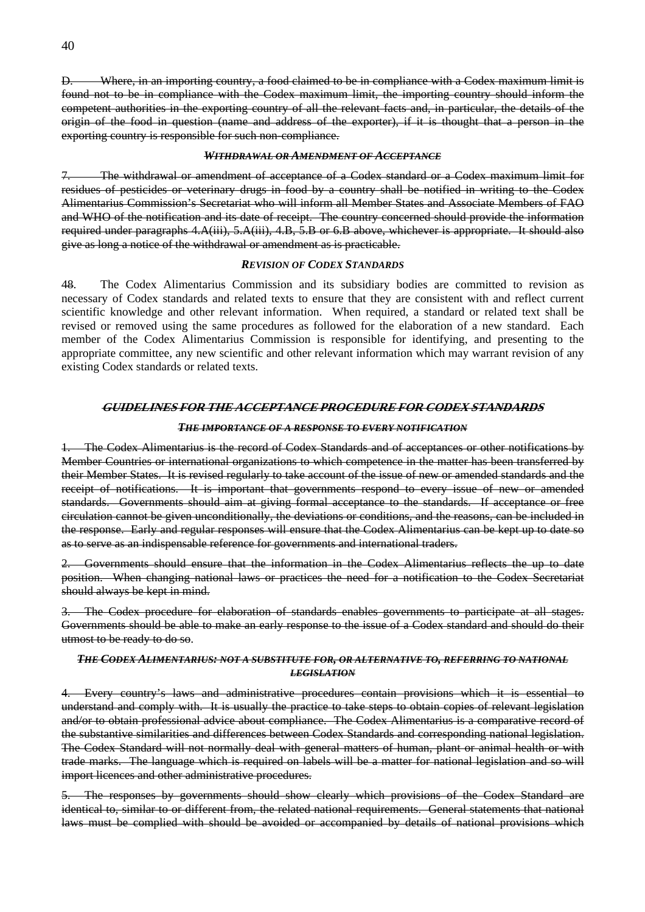D. Where, in an importing country, a food claimed to be in compliance with a Codex maximum limit is found not to be in compliance with the Codex maximum limit, the importing country should inform the competent authorities in the exporting country of all the relevant facts and, in particular, the details of the origin of the food in question (name and address of the exporter), if it is thought that a person in the exporting country is responsible for such non-compliance.

## *WITHDRAWAL OR AMENDMENT OF ACCEPTANCE*

7. The withdrawal or amendment of acceptance of a Codex standard or a Codex maximum limit for residues of pesticides or veterinary drugs in food by a country shall be notified in writing to the Codex Alimentarius Commission's Secretariat who will inform all Member States and Associate Members of FAO and WHO of the notification and its date of receipt. The country concerned should provide the information required under paragraphs 4.A(iii), 5.A(iii), 4.B, 5.B or 6.B above, whichever is appropriate. It should also give as long a notice of the withdrawal or amendment as is practicable.

#### *REVISION OF CODEX STANDARDS*

48. The Codex Alimentarius Commission and its subsidiary bodies are committed to revision as necessary of Codex standards and related texts to ensure that they are consistent with and reflect current scientific knowledge and other relevant information. When required, a standard or related text shall be revised or removed using the same procedures as followed for the elaboration of a new standard. Each member of the Codex Alimentarius Commission is responsible for identifying, and presenting to the appropriate committee, any new scientific and other relevant information which may warrant revision of any existing Codex standards or related texts.

#### **GUIDELINES FOR THE ACCEPTANCE PROCEDURE FOR CODEX STANDARDS**

#### *THE IMPORTANCE OF A RESPONSE TO EVERY NOTIFICATION*

1. The Codex Alimentarius is the record of Codex Standards and of acceptances or other notifications by Member Countries or international organizations to which competence in the matter has been transferred by their Member States. It is revised regularly to take account of the issue of new or amended standards and the receipt of notifications. It is important that governments respond to every issue of new or amended standards. Governments should aim at giving formal acceptance to the standards. If acceptance or free circulation cannot be given unconditionally, the deviations or conditions, and the reasons, can be included in the response. Early and regular responses will ensure that the Codex Alimentarius can be kept up to date so as to serve as an indispensable reference for governments and international traders.

2. Governments should ensure that the information in the Codex Alimentarius reflects the up to date position. When changing national laws or practices the need for a notification to the Codex Secretariat should always be kept in mind.

3. The Codex procedure for elaboration of standards enables governments to participate at all stages. Governments should be able to make an early response to the issue of a Codex standard and should do their utmost to be ready to do so.

# *THE CODEX ALIMENTARIUS: NOT A SUBSTITUTE FOR, OR ALTERNATIVE TO, REFERRING TO NATIONAL LEGISLATION*

4. Every country's laws and administrative procedures contain provisions which it is essential to understand and comply with. It is usually the practice to take steps to obtain copies of relevant legislation and/or to obtain professional advice about compliance. The Codex Alimentarius is a comparative record of the substantive similarities and differences between Codex Standards and corresponding national legislation. The Codex Standard will not normally deal with general matters of human, plant or animal health or with trade marks. The language which is required on labels will be a matter for national legislation and so will import licences and other administrative procedures.

5. The responses by governments should show clearly which provisions of the Codex Standard are identical to, similar to or different from, the related national requirements. General statements that national laws must be complied with should be avoided or accompanied by details of national provisions which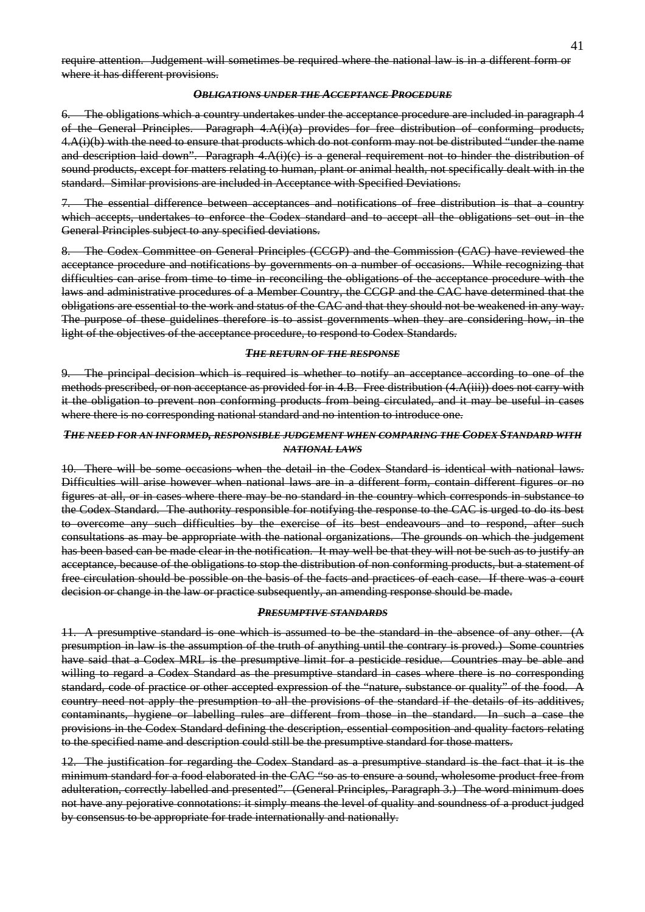require attention. Judgement will sometimes be required where the national law is in a different form or where it has different provisions.

#### *OBLIGATIONS UNDER THE ACCEPTANCE PROCEDURE*

6. The obligations which a country undertakes under the acceptance procedure are included in paragraph 4 of the General Principles. Paragraph 4.A(i)(a) provides for free distribution of conforming products,  $4.A(i)(b)$  with the need to ensure that products which do not conform may not be distributed "under the name and description laid down". Paragraph  $4.A(i)(e)$  is a general requirement not to hinder the distribution of sound products, except for matters relating to human, plant or animal health, not specifically dealt with in the standard. Similar provisions are included in Acceptance with Specified Deviations.

7. The essential difference between acceptances and notifications of free distribution is that a country which accepts, undertakes to enforce the Codex standard and to accept all the obligations set out in the General Principles subject to any specified deviations.

8. The Codex Committee on General Principles (CCGP) and the Commission (CAC) have reviewed the acceptance procedure and notifications by governments on a number of occasions. While recognizing that difficulties can arise from time to time in reconciling the obligations of the acceptance procedure with the laws and administrative procedures of a Member Country, the CCGP and the CAC have determined that the obligations are essential to the work and status of the CAC and that they should not be weakened in any way. The purpose of these guidelines therefore is to assist governments when they are considering how, in the light of the objectives of the acceptance procedure, to respond to Codex Standards.

## *THE RETURN OF THE RESPONSE*

The principal decision which is required is whether to notify an acceptance according to one of the methods prescribed, or non acceptance as provided for in 4.B. Free distribution (4.A(iii)) does not carry with it the obligation to prevent non conforming products from being circulated, and it may be useful in cases where there is no corresponding national standard and no intention to introduce one.

# *THE NEED FOR AN INFORMED, RESPONSIBLE JUDGEMENT WHEN COMPARING THE CODEX STANDARD WITH NATIONAL LAWS*

10. There will be some occasions when the detail in the Codex Standard is identical with national laws. Difficulties will arise however when national laws are in a different form, contain different figures or no figures at all, or in cases where there may be no standard in the country which corresponds in substance to the Codex Standard. The authority responsible for notifying the response to the CAC is urged to do its best to overcome any such difficulties by the exercise of its best endeavours and to respond, after such consultations as may be appropriate with the national organizations. The grounds on which the judgement has been based can be made clear in the notification. It may well be that they will not be such as to justify an acceptance, because of the obligations to stop the distribution of non conforming products, but a statement of free circulation should be possible on the basis of the facts and practices of each case. If there was a court decision or change in the law or practice subsequently, an amending response should be made.

## *PRESUMPTIVE STANDARDS*

11. A presumptive standard is one which is assumed to be the standard in the absence of any other. (A presumption in law is the assumption of the truth of anything until the contrary is proved.) Some countries have said that a Codex MRL is the presumptive limit for a pesticide residue. Countries may be able and willing to regard a Codex Standard as the presumptive standard in cases where there is no corresponding standard, code of practice or other accepted expression of the "nature, substance or quality" of the food. A country need not apply the presumption to all the provisions of the standard if the details of its additives, contaminants, hygiene or labelling rules are different from those in the standard. In such a case the provisions in the Codex Standard defining the description, essential composition and quality factors relating to the specified name and description could still be the presumptive standard for those matters.

12. The justification for regarding the Codex Standard as a presumptive standard is the fact that it is the minimum standard for a food elaborated in the CAC "so as to ensure a sound, wholesome product free from adulteration, correctly labelled and presented". (General Principles, Paragraph 3.) The word minimum does not have any pejorative connotations: it simply means the level of quality and soundness of a product judged by consensus to be appropriate for trade internationally and nationally.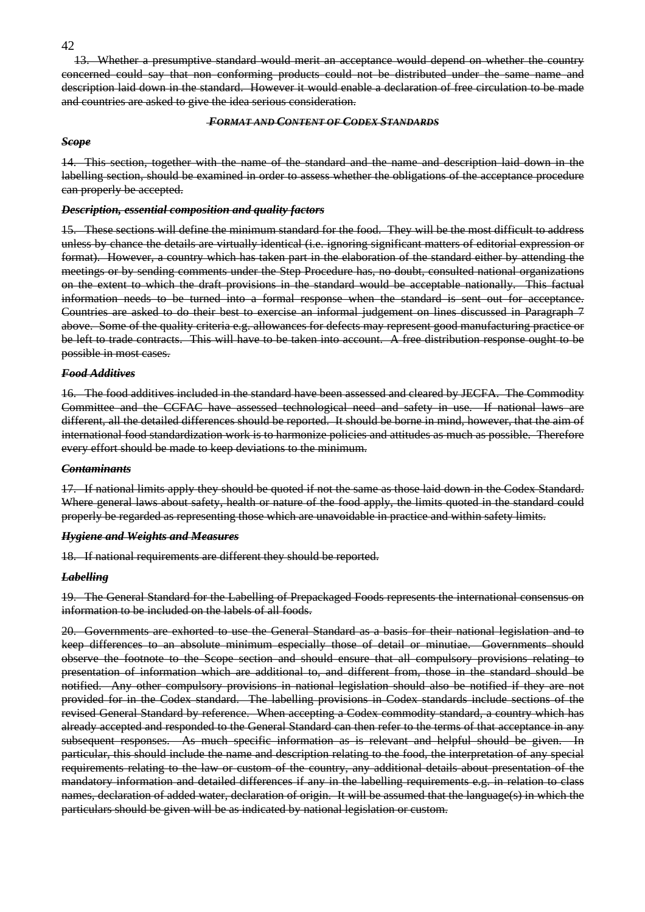42

Whether a presumptive standard would merit an acceptance would depend on whether the country concerned could say that non conforming products could not be distributed under the same name and description laid down in the standard. However it would enable a declaration of free circulation to be made and countries are asked to give the idea serious consideration.

# *FORMAT AND CONTENT OF CODEX STANDARDS*

## *Scope*

14. This section, together with the name of the standard and the name and description laid down in the labelling section, should be examined in order to assess whether the obligations of the acceptance procedure can properly be accepted.

## *Description, essential composition and quality factors*

15. These sections will define the minimum standard for the food. They will be the most difficult to address unless by chance the details are virtually identical (i.e. ignoring significant matters of editorial expression or format). However, a country which has taken part in the elaboration of the standard either by attending the meetings or by sending comments under the Step Procedure has, no doubt, consulted national organizations on the extent to which the draft provisions in the standard would be acceptable nationally. This factual information needs to be turned into a formal response when the standard is sent out for acceptance. Countries are asked to do their best to exercise an informal judgement on lines discussed in Paragraph 7 above. Some of the quality criteria e.g. allowances for defects may represent good manufacturing practice or be left to trade contracts. This will have to be taken into account. A free distribution response ought to be possible in most cases.

# *Food Additives*

16. The food additives included in the standard have been assessed and cleared by JECFA. The Commodity Committee and the CCFAC have assessed technological need and safety in use. If national laws are different, all the detailed differences should be reported. It should be borne in mind, however, that the aim of international food standardization work is to harmonize policies and attitudes as much as possible. Therefore every effort should be made to keep deviations to the minimum.

## *Contaminants*

17. If national limits apply they should be quoted if not the same as those laid down in the Codex Standard. Where general laws about safety, health or nature of the food apply, the limits quoted in the standard could properly be regarded as representing those which are unavoidable in practice and within safety limits.

## *Hygiene and Weights and Measures*

18. If national requirements are different they should be reported.

# *Labelling*

19. The General Standard for the Labelling of Prepackaged Foods represents the international consensus on information to be included on the labels of all foods.

20. Governments are exhorted to use the General Standard as a basis for their national legislation and to keep differences to an absolute minimum especially those of detail or minutiae. Governments should observe the footnote to the Scope section and should ensure that all compulsory provisions relating to presentation of information which are additional to, and different from, those in the standard should be notified. Any other compulsory provisions in national legislation should also be notified if they are not provided for in the Codex standard. The labelling provisions in Codex standards include sections of the revised General Standard by reference. When accepting a Codex commodity standard, a country which has already accepted and responded to the General Standard can then refer to the terms of that acceptance in any subsequent responses. As much specific information as is relevant and helpful should be given. In particular, this should include the name and description relating to the food, the interpretation of any special requirements relating to the law or custom of the country, any additional details about presentation of the mandatory information and detailed differences if any in the labelling requirements e.g. in relation to class names, declaration of added water, declaration of origin. It will be assumed that the language(s) in which the particulars should be given will be as indicated by national legislation or custom.